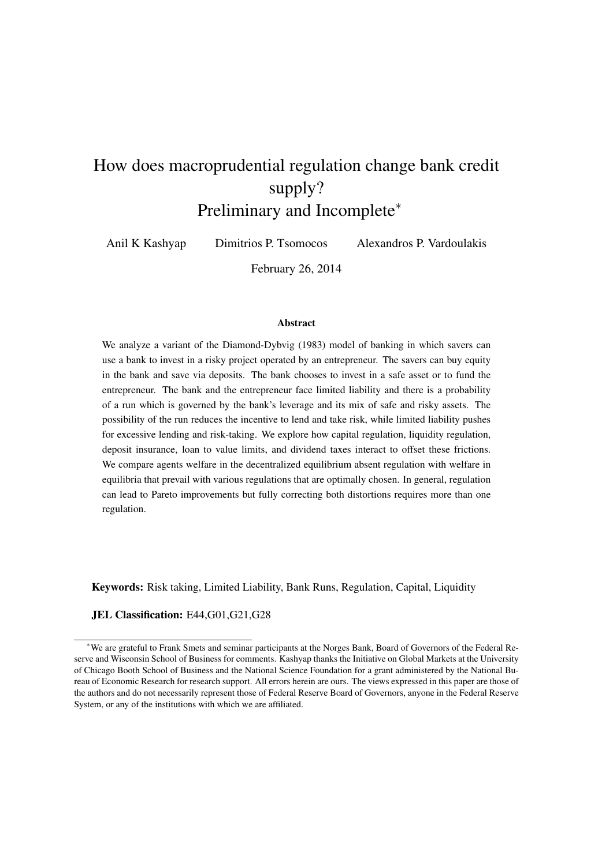# How does macroprudential regulation change bank credit supply? Preliminary and Incomplete<sup>∗</sup>

Anil K Kashyap Dimitrios P. Tsomocos Alexandros P. Vardoulakis

February 26, 2014

#### Abstract

We analyze a variant of the Diamond-Dybvig (1983) model of banking in which savers can use a bank to invest in a risky project operated by an entrepreneur. The savers can buy equity in the bank and save via deposits. The bank chooses to invest in a safe asset or to fund the entrepreneur. The bank and the entrepreneur face limited liability and there is a probability of a run which is governed by the bank's leverage and its mix of safe and risky assets. The possibility of the run reduces the incentive to lend and take risk, while limited liability pushes for excessive lending and risk-taking. We explore how capital regulation, liquidity regulation, deposit insurance, loan to value limits, and dividend taxes interact to offset these frictions. We compare agents welfare in the decentralized equilibrium absent regulation with welfare in equilibria that prevail with various regulations that are optimally chosen. In general, regulation can lead to Pareto improvements but fully correcting both distortions requires more than one regulation.

Keywords: Risk taking, Limited Liability, Bank Runs, Regulation, Capital, Liquidity

#### JEL Classification: E44,G01,G21,G28

<sup>∗</sup>We are grateful to Frank Smets and seminar participants at the Norges Bank, Board of Governors of the Federal Reserve and Wisconsin School of Business for comments. Kashyap thanks the Initiative on Global Markets at the University of Chicago Booth School of Business and the National Science Foundation for a grant administered by the National Bureau of Economic Research for research support. All errors herein are ours. The views expressed in this paper are those of the authors and do not necessarily represent those of Federal Reserve Board of Governors, anyone in the Federal Reserve System, or any of the institutions with which we are affiliated.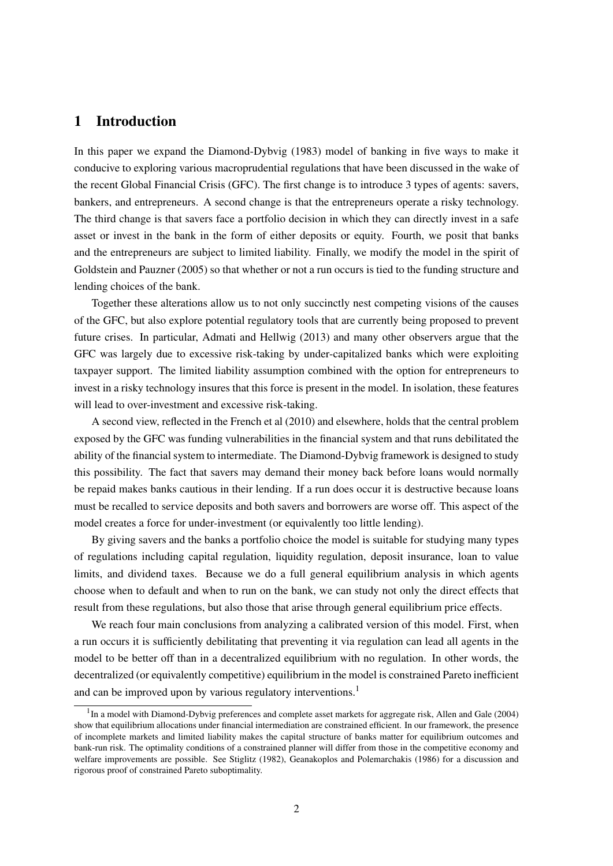## 1 Introduction

In this paper we expand the Diamond-Dybvig (1983) model of banking in five ways to make it conducive to exploring various macroprudential regulations that have been discussed in the wake of the recent Global Financial Crisis (GFC). The first change is to introduce 3 types of agents: savers, bankers, and entrepreneurs. A second change is that the entrepreneurs operate a risky technology. The third change is that savers face a portfolio decision in which they can directly invest in a safe asset or invest in the bank in the form of either deposits or equity. Fourth, we posit that banks and the entrepreneurs are subject to limited liability. Finally, we modify the model in the spirit of Goldstein and Pauzner (2005) so that whether or not a run occurs is tied to the funding structure and lending choices of the bank.

Together these alterations allow us to not only succinctly nest competing visions of the causes of the GFC, but also explore potential regulatory tools that are currently being proposed to prevent future crises. In particular, Admati and Hellwig (2013) and many other observers argue that the GFC was largely due to excessive risk-taking by under-capitalized banks which were exploiting taxpayer support. The limited liability assumption combined with the option for entrepreneurs to invest in a risky technology insures that this force is present in the model. In isolation, these features will lead to over-investment and excessive risk-taking.

A second view, reflected in the French et al (2010) and elsewhere, holds that the central problem exposed by the GFC was funding vulnerabilities in the financial system and that runs debilitated the ability of the financial system to intermediate. The Diamond-Dybvig framework is designed to study this possibility. The fact that savers may demand their money back before loans would normally be repaid makes banks cautious in their lending. If a run does occur it is destructive because loans must be recalled to service deposits and both savers and borrowers are worse off. This aspect of the model creates a force for under-investment (or equivalently too little lending).

By giving savers and the banks a portfolio choice the model is suitable for studying many types of regulations including capital regulation, liquidity regulation, deposit insurance, loan to value limits, and dividend taxes. Because we do a full general equilibrium analysis in which agents choose when to default and when to run on the bank, we can study not only the direct effects that result from these regulations, but also those that arise through general equilibrium price effects.

We reach four main conclusions from analyzing a calibrated version of this model. First, when a run occurs it is sufficiently debilitating that preventing it via regulation can lead all agents in the model to be better off than in a decentralized equilibrium with no regulation. In other words, the decentralized (or equivalently competitive) equilibrium in the model is constrained Pareto inefficient and can be improved upon by various regulatory interventions.<sup>1</sup>

<sup>&</sup>lt;sup>1</sup>In a model with Diamond-Dybvig preferences and complete asset markets for aggregate risk, Allen and Gale (2004) show that equilibrium allocations under financial intermediation are constrained efficient. In our framework, the presence of incomplete markets and limited liability makes the capital structure of banks matter for equilibrium outcomes and bank-run risk. The optimality conditions of a constrained planner will differ from those in the competitive economy and welfare improvements are possible. See Stiglitz (1982), Geanakoplos and Polemarchakis (1986) for a discussion and rigorous proof of constrained Pareto suboptimality.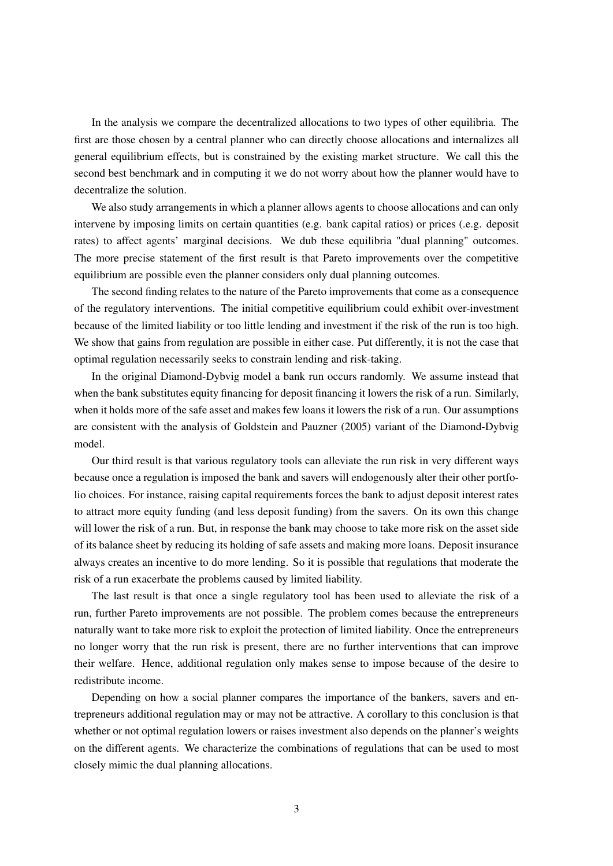In the analysis we compare the decentralized allocations to two types of other equilibria. The first are those chosen by a central planner who can directly choose allocations and internalizes all general equilibrium effects, but is constrained by the existing market structure. We call this the second best benchmark and in computing it we do not worry about how the planner would have to decentralize the solution.

We also study arrangements in which a planner allows agents to choose allocations and can only intervene by imposing limits on certain quantities (e.g. bank capital ratios) or prices (.e.g. deposit rates) to affect agents' marginal decisions. We dub these equilibria "dual planning" outcomes. The more precise statement of the first result is that Pareto improvements over the competitive equilibrium are possible even the planner considers only dual planning outcomes.

The second finding relates to the nature of the Pareto improvements that come as a consequence of the regulatory interventions. The initial competitive equilibrium could exhibit over-investment because of the limited liability or too little lending and investment if the risk of the run is too high. We show that gains from regulation are possible in either case. Put differently, it is not the case that optimal regulation necessarily seeks to constrain lending and risk-taking.

In the original Diamond-Dybvig model a bank run occurs randomly. We assume instead that when the bank substitutes equity financing for deposit financing it lowers the risk of a run. Similarly, when it holds more of the safe asset and makes few loans it lowers the risk of a run. Our assumptions are consistent with the analysis of Goldstein and Pauzner (2005) variant of the Diamond-Dybvig model.

Our third result is that various regulatory tools can alleviate the run risk in very different ways because once a regulation is imposed the bank and savers will endogenously alter their other portfolio choices. For instance, raising capital requirements forces the bank to adjust deposit interest rates to attract more equity funding (and less deposit funding) from the savers. On its own this change will lower the risk of a run. But, in response the bank may choose to take more risk on the asset side of its balance sheet by reducing its holding of safe assets and making more loans. Deposit insurance always creates an incentive to do more lending. So it is possible that regulations that moderate the risk of a run exacerbate the problems caused by limited liability.

The last result is that once a single regulatory tool has been used to alleviate the risk of a run, further Pareto improvements are not possible. The problem comes because the entrepreneurs naturally want to take more risk to exploit the protection of limited liability. Once the entrepreneurs no longer worry that the run risk is present, there are no further interventions that can improve their welfare. Hence, additional regulation only makes sense to impose because of the desire to redistribute income.

Depending on how a social planner compares the importance of the bankers, savers and entrepreneurs additional regulation may or may not be attractive. A corollary to this conclusion is that whether or not optimal regulation lowers or raises investment also depends on the planner's weights on the different agents. We characterize the combinations of regulations that can be used to most closely mimic the dual planning allocations.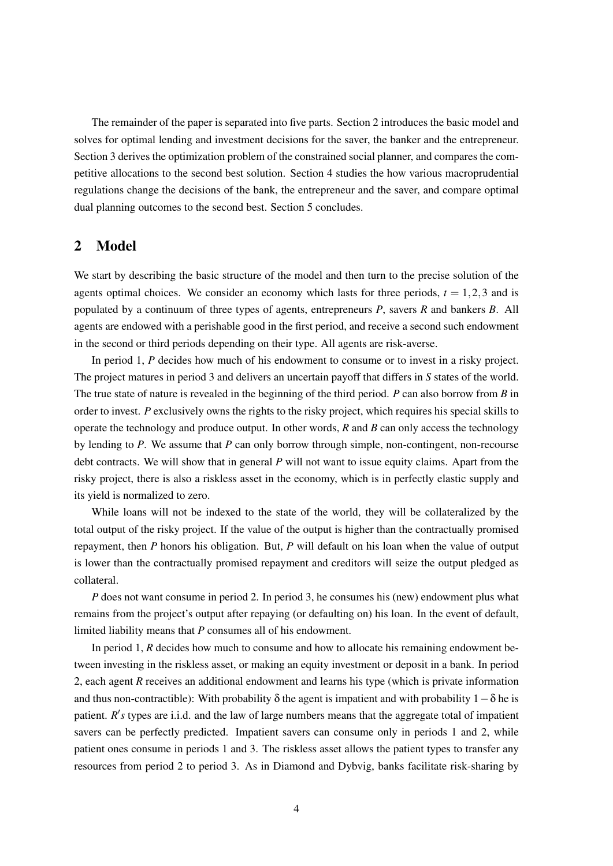The remainder of the paper is separated into five parts. Section 2 introduces the basic model and solves for optimal lending and investment decisions for the saver, the banker and the entrepreneur. Section 3 derives the optimization problem of the constrained social planner, and compares the competitive allocations to the second best solution. Section 4 studies the how various macroprudential regulations change the decisions of the bank, the entrepreneur and the saver, and compare optimal dual planning outcomes to the second best. Section 5 concludes.

# 2 Model

We start by describing the basic structure of the model and then turn to the precise solution of the agents optimal choices. We consider an economy which lasts for three periods,  $t = 1, 2, 3$  and is populated by a continuum of three types of agents, entrepreneurs *P*, savers *R* and bankers *B*. All agents are endowed with a perishable good in the first period, and receive a second such endowment in the second or third periods depending on their type. All agents are risk-averse.

In period 1, *P* decides how much of his endowment to consume or to invest in a risky project. The project matures in period 3 and delivers an uncertain payoff that differs in *S* states of the world. The true state of nature is revealed in the beginning of the third period. *P* can also borrow from *B* in order to invest. *P* exclusively owns the rights to the risky project, which requires his special skills to operate the technology and produce output. In other words, *R* and *B* can only access the technology by lending to *P*. We assume that *P* can only borrow through simple, non-contingent, non-recourse debt contracts. We will show that in general *P* will not want to issue equity claims. Apart from the risky project, there is also a riskless asset in the economy, which is in perfectly elastic supply and its yield is normalized to zero.

While loans will not be indexed to the state of the world, they will be collateralized by the total output of the risky project. If the value of the output is higher than the contractually promised repayment, then *P* honors his obligation. But, *P* will default on his loan when the value of output is lower than the contractually promised repayment and creditors will seize the output pledged as collateral.

*P* does not want consume in period 2. In period 3, he consumes his (new) endowment plus what remains from the project's output after repaying (or defaulting on) his loan. In the event of default, limited liability means that *P* consumes all of his endowment.

In period 1, *R* decides how much to consume and how to allocate his remaining endowment between investing in the riskless asset, or making an equity investment or deposit in a bank. In period 2, each agent *R* receives an additional endowment and learns his type (which is private information and thus non-contractible): With probability  $\delta$  the agent is impatient and with probability  $1-\delta$  he is patient. *R's* types are i.i.d. and the law of large numbers means that the aggregate total of impatient savers can be perfectly predicted. Impatient savers can consume only in periods 1 and 2, while patient ones consume in periods 1 and 3. The riskless asset allows the patient types to transfer any resources from period 2 to period 3. As in Diamond and Dybvig, banks facilitate risk-sharing by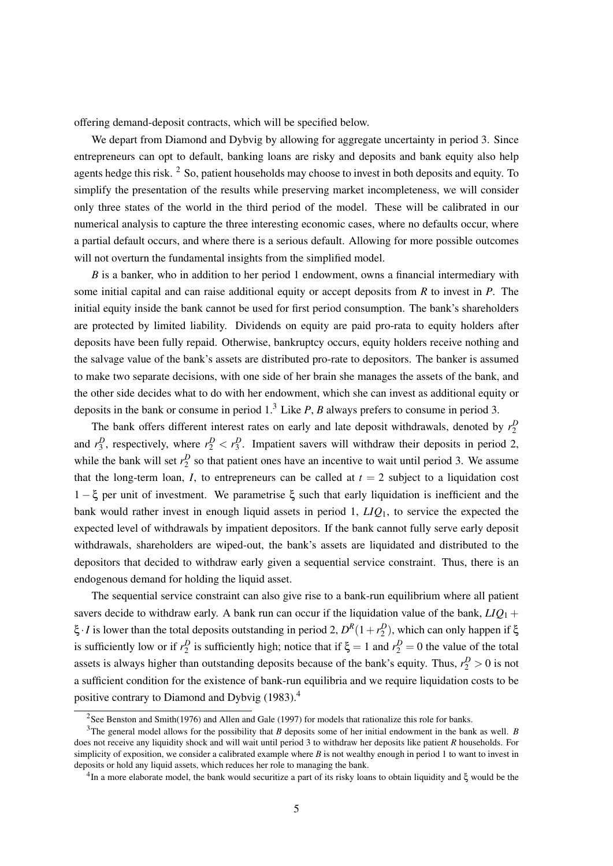offering demand-deposit contracts, which will be specified below.

We depart from Diamond and Dybvig by allowing for aggregate uncertainty in period 3. Since entrepreneurs can opt to default, banking loans are risky and deposits and bank equity also help agents hedge this risk. <sup>2</sup> So, patient households may choose to invest in both deposits and equity. To simplify the presentation of the results while preserving market incompleteness, we will consider only three states of the world in the third period of the model. These will be calibrated in our numerical analysis to capture the three interesting economic cases, where no defaults occur, where a partial default occurs, and where there is a serious default. Allowing for more possible outcomes will not overturn the fundamental insights from the simplified model.

*B* is a banker, who in addition to her period 1 endowment, owns a financial intermediary with some initial capital and can raise additional equity or accept deposits from *R* to invest in *P*. The initial equity inside the bank cannot be used for first period consumption. The bank's shareholders are protected by limited liability. Dividends on equity are paid pro-rata to equity holders after deposits have been fully repaid. Otherwise, bankruptcy occurs, equity holders receive nothing and the salvage value of the bank's assets are distributed pro-rate to depositors. The banker is assumed to make two separate decisions, with one side of her brain she manages the assets of the bank, and the other side decides what to do with her endowment, which she can invest as additional equity or deposits in the bank or consume in period 1.<sup>3</sup> Like *P*, *B* always prefers to consume in period 3.

The bank offers different interest rates on early and late deposit withdrawals, denoted by  $r_2^D$ and  $r_3^D$ , respectively, where  $r_2^D < r_3^D$ . Impatient savers will withdraw their deposits in period 2, while the bank will set  $r_2^D$  so that patient ones have an incentive to wait until period 3. We assume that the long-term loan, *I*, to entrepreneurs can be called at  $t = 2$  subject to a liquidation cost 1 − ξ per unit of investment. We parametrise ξ such that early liquidation is inefficient and the bank would rather invest in enough liquid assets in period 1, *LIQ*1, to service the expected the expected level of withdrawals by impatient depositors. If the bank cannot fully serve early deposit withdrawals, shareholders are wiped-out, the bank's assets are liquidated and distributed to the depositors that decided to withdraw early given a sequential service constraint. Thus, there is an endogenous demand for holding the liquid asset.

The sequential service constraint can also give rise to a bank-run equilibrium where all patient savers decide to withdraw early. A bank run can occur if the liquidation value of the bank,  $LIQ_1 +$ ξ *· I* is lower than the total deposits outstanding in period 2,  $D^R(1+r_2^D)$ , which can only happen if ξ is sufficiently low or if  $r_2^D$  is sufficiently high; notice that if  $\xi = 1$  and  $r_2^D = 0$  the value of the total assets is always higher than outstanding deposits because of the bank's equity. Thus,  $r_2^D > 0$  is not a sufficient condition for the existence of bank-run equilibria and we require liquidation costs to be positive contrary to Diamond and Dybvig (1983).<sup>4</sup>

<sup>&</sup>lt;sup>2</sup>See Benston and Smith(1976) and Allen and Gale (1997) for models that rationalize this role for banks.

<sup>3</sup>The general model allows for the possibility that *B* deposits some of her initial endowment in the bank as well. *B* does not receive any liquidity shock and will wait until period 3 to withdraw her deposits like patient *R* households. For simplicity of exposition, we consider a calibrated example where  $B$  is not wealthy enough in period 1 to want to invest in deposits or hold any liquid assets, which reduces her role to managing the bank.

<sup>4</sup> In a more elaborate model, the bank would securitize a part of its risky loans to obtain liquidity and ξ would be the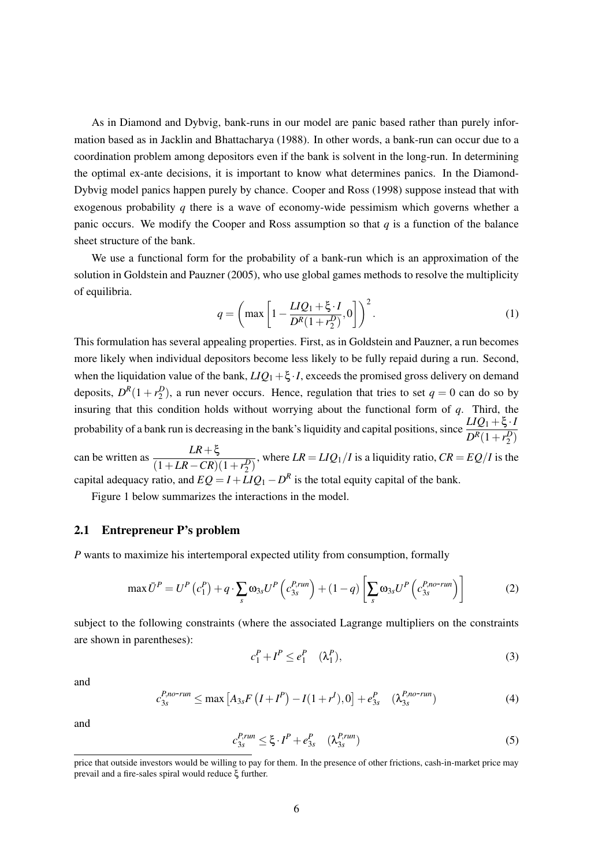As in Diamond and Dybvig, bank-runs in our model are panic based rather than purely information based as in Jacklin and Bhattacharya (1988). In other words, a bank-run can occur due to a coordination problem among depositors even if the bank is solvent in the long-run. In determining the optimal ex-ante decisions, it is important to know what determines panics. In the Diamond-Dybvig model panics happen purely by chance. Cooper and Ross (1998) suppose instead that with exogenous probability *q* there is a wave of economy-wide pessimism which governs whether a panic occurs. We modify the Cooper and Ross assumption so that *q* is a function of the balance sheet structure of the bank.

We use a functional form for the probability of a bank-run which is an approximation of the solution in Goldstein and Pauzner (2005), who use global games methods to resolve the multiplicity of equilibria.

$$
q = \left(\max\left[1 - \frac{LIQ_1 + \xi \cdot I}{D^R(1 + r_2^D)}, 0\right]\right)^2.
$$
 (1)

This formulation has several appealing properties. First, as in Goldstein and Pauzner, a run becomes more likely when individual depositors become less likely to be fully repaid during a run. Second, when the liquidation value of the bank,  $LIQ_1 + \xi \cdot I$ , exceeds the promised gross delivery on demand deposits,  $D^{R}(1+r_2^D)$ , a run never occurs. Hence, regulation that tries to set  $q=0$  can do so by insuring that this condition holds without worrying about the functional form of *q*. Third, the probability of a bank run is decreasing in the bank's liquidity and capital positions, since  $\frac{LIQ_1 + \xi \cdot I}{D^R(1+r_2^D)}$ can be written as  $\frac{LR+\xi}{(1+LR-CR)(1+r_2^D)}$ , where  $LR = LIQ_1/I$  is a liquidity ratio,  $CR = EQ/I$  is the capital adequacy ratio, and  $EQ = I + LIQ_1 - D^R$  is the total equity capital of the bank.

Figure 1 below summarizes the interactions in the model.

#### 2.1 Entrepreneur P's problem

*P* wants to maximize his intertemporal expected utility from consumption, formally

$$
\max \bar{U}^P = U^P \left( c_1^P \right) + q \cdot \sum_s \omega_{3s} U^P \left( c_{3s}^{P, run} \right) + (1 - q) \left[ \sum_s \omega_{3s} U^P \left( c_{3s}^{P, no-run} \right) \right]
$$
(2)

subject to the following constraints (where the associated Lagrange multipliers on the constraints are shown in parentheses):

$$
c_1^P + I^P \le e_1^P \quad (\lambda_1^P), \tag{3}
$$

and

$$
c_{3s}^{P,no-run} \le \max\left[A_{3s}F\left(I+I^{P}\right)-I(1+r^{I}),0\right]+e_{3s}^{P} \quad (\lambda_{3s}^{P,no-run})\tag{4}
$$

and

$$
c_{3s}^{P,run} \le \xi \cdot I^P + e_{3s}^P \quad (\lambda_{3s}^{P,run}) \tag{5}
$$

price that outside investors would be willing to pay for them. In the presence of other frictions, cash-in-market price may prevail and a fire-sales spiral would reduce ξ further.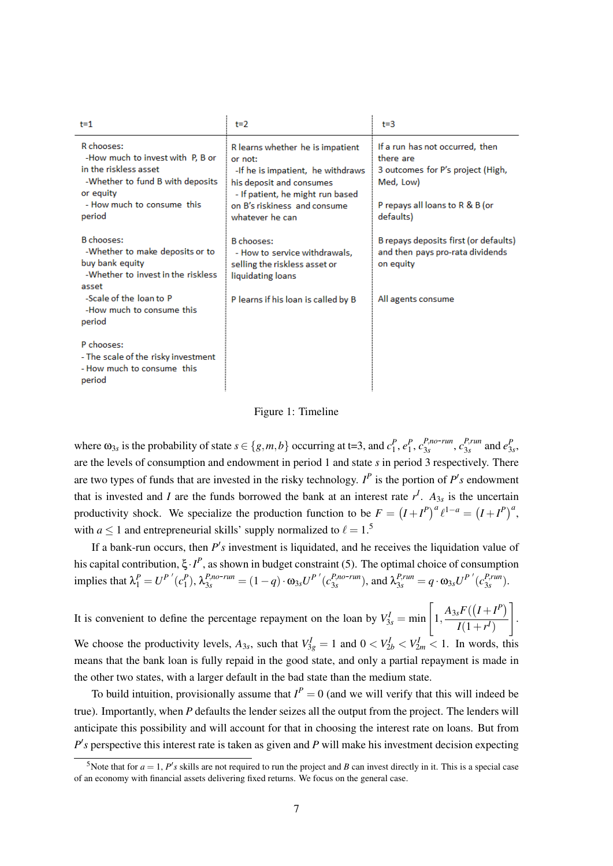| $t = 1$                                                                                                                                                           | $t=2$                                                                                                                                                                                               | $t = 3$                                                                                                                                        |
|-------------------------------------------------------------------------------------------------------------------------------------------------------------------|-----------------------------------------------------------------------------------------------------------------------------------------------------------------------------------------------------|------------------------------------------------------------------------------------------------------------------------------------------------|
| R chooses:<br>-How much to invest with P, B or<br>in the riskless asset.<br>-Whether to fund B with deposits<br>or equity<br>- How much to consume this<br>period | R learns whether he is impatient<br>or not:<br>-If he is impatient, he withdraws<br>his deposit and consumes<br>- If patient, he might run based<br>on B's riskiness and consume<br>whatever he can | If a run has not occurred, then<br>there are<br>3 outcomes for P's project (High,<br>Med, Low)<br>P repays all loans to R & B (or<br>defaults) |
| B chooses:<br>-Whether to make deposits or to<br>buy bank equity<br>-Whether to invest in the riskless<br>asset                                                   | B chooses:<br>- How to service withdrawals,<br>selling the riskless asset or<br>liquidating loans                                                                                                   | B repays deposits first (or defaults)<br>and then pays pro-rata dividends<br>on equity                                                         |
| -Scale of the loan to P<br>-How much to consume this<br>period                                                                                                    | P learns if his loan is called by B                                                                                                                                                                 | All agents consume                                                                                                                             |
| P chooses:<br>- The scale of the risky investment<br>- How much to consume this<br>period                                                                         |                                                                                                                                                                                                     |                                                                                                                                                |

Figure 1: Timeline

where  $\omega_{3s}$  is the probability of state  $s \in \{g,m,b\}$  occurring at t=3, and  $c_1^P, e_1^P, c_{3s}^{P,no-run}, c_{3s}^{P,run}$  $e_{3s}^{P, run}$  and  $e_{3s}^{P}$ , are the levels of consumption and endowment in period 1 and state *s* in period 3 respectively. There are two types of funds that are invested in the risky technology.  $I^P$  is the portion of  $P's$  endowment that is invested and *I* are the funds borrowed the bank at an interest rate  $r<sup>I</sup>$ .  $A_{3s}$  is the uncertain productivity shock. We specialize the production function to be  $F = (I + I^P)^a \ell^{1-a} = (I + I^P)^a$ , with  $a \le 1$  and entrepreneurial skills' supply normalized to  $\ell = 1.5$ 

If a bank-run occurs, then  $P'$ s investment is liquidated, and he receives the liquidation value of his capital contribution, ξ·*I P* , as shown in budget constraint (5). The optimal choice of consumption implies that  $\lambda_1^P = U^{P'}(c_1^P)$ ,  $\lambda_{3s}^{P,no-run} = (1 - q) \cdot \omega_{3s} U^{P'}(c_{3s}^{P,no-run})$ , and  $\lambda_{3s}^{P,run} = q \cdot \omega_{3s} U^{P'}(c_{3s}^{P,run})$ 3*s* ).

It is convenient to define the percentage repayment on the loan by  $V_{3s}^I = \min \left[1, \frac{A_{3s}F((I+I^P))}{I(1+r^I)}\right]$  $I(1+r^{I})$ 1 . We choose the productivity levels,  $A_{3s}$ , such that  $V_{3g}^I = 1$  and  $0 < V_{2b}^I < V_{2m}^I < 1$ . In words, this means that the bank loan is fully repaid in the good state, and only a partial repayment is made in the other two states, with a larger default in the bad state than the medium state.

To build intuition, provisionally assume that  $I^P = 0$  (and we will verify that this will indeed be true). Importantly, when *P* defaults the lender seizes all the output from the project. The lenders will anticipate this possibility and will account for that in choosing the interest rate on loans. But from  $P$ <sup>'</sup>s perspective this interest rate is taken as given and *P* will make his investment decision expecting

<sup>&</sup>lt;sup>5</sup> Note that for  $a = 1$ ,  $P's$  skills are not required to run the project and *B* can invest directly in it. This is a special case of an economy with financial assets delivering fixed returns. We focus on the general case.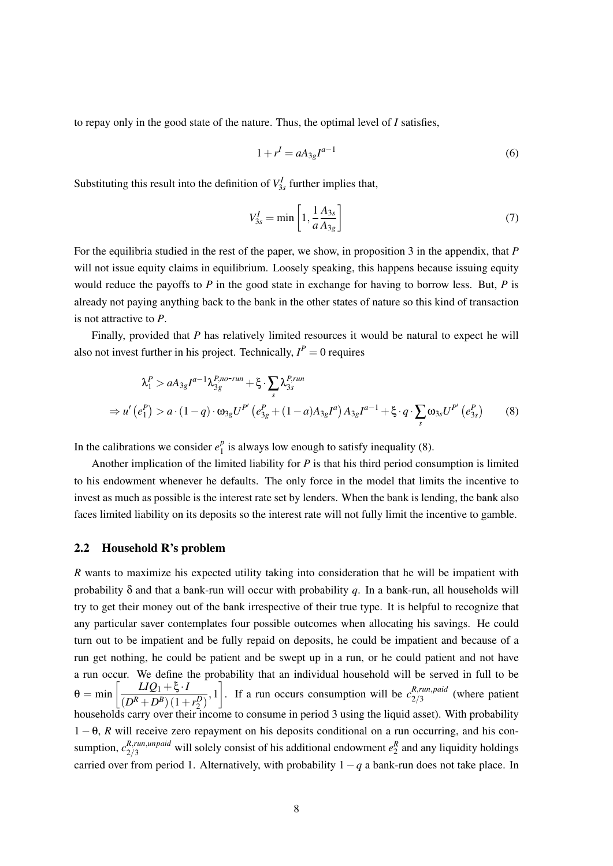to repay only in the good state of the nature. Thus, the optimal level of *I* satisfies,

$$
1 + r^I = aA_{3g}I^{a-1}
$$
 (6)

Substituting this result into the definition of  $V_{3s}^I$  further implies that,

$$
V_{3s}^I = \min\left[1, \frac{1}{a}\frac{A_{3s}}{A_{3g}}\right]
$$
\n<sup>(7)</sup>

For the equilibria studied in the rest of the paper, we show, in proposition 3 in the appendix, that *P* will not issue equity claims in equilibrium. Loosely speaking, this happens because issuing equity would reduce the payoffs to *P* in the good state in exchange for having to borrow less. But, *P* is already not paying anything back to the bank in the other states of nature so this kind of transaction is not attractive to *P*.

Finally, provided that *P* has relatively limited resources it would be natural to expect he will also not invest further in his project. Technically,  $I^P = 0$  requires

$$
\lambda_1^P > aA_{3g}I^{a-1}\lambda_{3g}^{P,no-run} + \xi \cdot \sum_s \lambda_{3s}^{P,run}
$$
  
\n
$$
\Rightarrow u'(e_1^P) > a \cdot (1-q) \cdot \omega_{3g}U^{P'}(e_{3g}^P + (1-a)A_{3g}I^a)A_{3g}I^{a-1} + \xi \cdot q \cdot \sum_s \omega_{3s}U^{P'}(e_{3s}^P)
$$
 (8)

In the calibrations we consider  $e_1^p$  $_1^p$  is always low enough to satisfy inequality (8).

Another implication of the limited liability for *P* is that his third period consumption is limited to his endowment whenever he defaults. The only force in the model that limits the incentive to invest as much as possible is the interest rate set by lenders. When the bank is lending, the bank also faces limited liability on its deposits so the interest rate will not fully limit the incentive to gamble.

### 2.2 Household R's problem

*R* wants to maximize his expected utility taking into consideration that he will be impatient with probability δ and that a bank-run will occur with probability *q*. In a bank-run, all households will try to get their money out of the bank irrespective of their true type. It is helpful to recognize that any particular saver contemplates four possible outcomes when allocating his savings. He could turn out to be impatient and be fully repaid on deposits, he could be impatient and because of a run get nothing, he could be patient and be swept up in a run, or he could patient and not have a run occur. We define the probability that an individual household will be served in full to be  $\theta = \min \left[ \frac{LIQ_1 + \xi \cdot I}{\sqrt{R_L + R_1^2 + R_2^2}} \right]$  $\left(\frac{LIQ_1+\xi \cdot I}{(D^R+D^B)(1+r_2^D)},1\right]$ . If a run occurs consumption will be  $c_{2/3}^{R,run, paid}$  $\frac{\pi, ran, para}{2/3}$  (where patient households carry over their income to consume in period 3 using the liquid asset). With probability 1 − θ, *R* will receive zero repayment on his deposits conditional on a run occurring, and his consumption,  $c_{2/3}^{R,run,unpaid}$  will solely consist of his additional endowment  $e_2^R$  and any liquidity holdings carried over from period 1. Alternatively, with probability 1−*q* a bank-run does not take place. In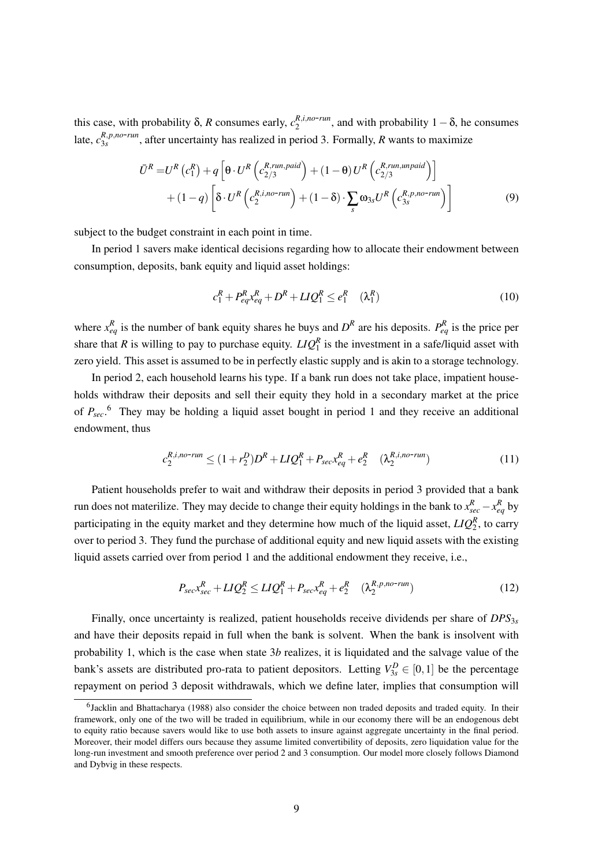this case, with probability  $\delta$ , *R* consumes early,  $c_2^{R,i,no-run}$ , and with probability 1 –  $\delta$ , he consumes late,  $c_{3s}^{R,p,no-run}$ , after uncertainty has realized in period 3. Formally, *R* wants to maximize

$$
\bar{U}^{R} = U^{R} (c_{1}^{R}) + q \left[ \theta \cdot U^{R} \left( c_{2/3}^{R,run, paid} \right) + (1 - \theta) U^{R} \left( c_{2/3}^{R,run,unpaid} \right) \right] \n+ (1 - q) \left[ \delta \cdot U^{R} \left( c_{2}^{R,inn-run} \right) + (1 - \delta) \cdot \sum_{s} \omega_{3s} U^{R} \left( c_{3s}^{R,po-run} \right) \right]
$$
\n(9)

subject to the budget constraint in each point in time.

In period 1 savers make identical decisions regarding how to allocate their endowment between consumption, deposits, bank equity and liquid asset holdings:

$$
c_1^R + P_{eq}^R x_{eq}^R + D^R + L I Q_1^R \le e_1^R \quad (\lambda_1^R) \tag{10}
$$

where  $x_{eq}^R$  is the number of bank equity shares he buys and  $D^R$  are his deposits.  $P_{eq}^R$  is the price per share that *R* is willing to pay to purchase equity.  $LIQ_1^R$  is the investment in a safe/liquid asset with zero yield. This asset is assumed to be in perfectly elastic supply and is akin to a storage technology.

In period 2, each household learns his type. If a bank run does not take place, impatient households withdraw their deposits and sell their equity they hold in a secondary market at the price of *Psec*. <sup>6</sup> They may be holding a liquid asset bought in period 1 and they receive an additional endowment, thus

$$
c_2^{R,i,no\text{-}run} \le (1+r_2^D)D^R + LIQ_1^R + P_{sec}x_{eq}^R + e_2^R \quad (\lambda_2^{R,i,no\text{-}run}) \tag{11}
$$

Patient households prefer to wait and withdraw their deposits in period 3 provided that a bank run does not materilize. They may decide to change their equity holdings in the bank to  $x_{sec}^R - x_{eq}^R$  by participating in the equity market and they determine how much of the liquid asset,  $LIQ_2^R$ , to carry over to period 3. They fund the purchase of additional equity and new liquid assets with the existing liquid assets carried over from period 1 and the additional endowment they receive, i.e.,

$$
P_{sec}x_{sec}^R + LIQ_2^R \le LIQ_1^R + P_{sec}x_{eq}^R + e_2^R \quad (\lambda_2^{R,p,no-run})
$$
\n
$$
(12)
$$

Finally, once uncertainty is realized, patient households receive dividends per share of  $DPS_{3s}$ and have their deposits repaid in full when the bank is solvent. When the bank is insolvent with probability 1, which is the case when state 3*b* realizes, it is liquidated and the salvage value of the bank's assets are distributed pro-rata to patient depositors. Letting  $V_{3s}^D \in [0,1]$  be the percentage repayment on period 3 deposit withdrawals, which we define later, implies that consumption will

<sup>&</sup>lt;sup>6</sup>Jacklin and Bhattacharya (1988) also consider the choice between non traded deposits and traded equity. In their framework, only one of the two will be traded in equilibrium, while in our economy there will be an endogenous debt to equity ratio because savers would like to use both assets to insure against aggregate uncertainty in the final period. Moreover, their model differs ours because they assume limited convertibility of deposits, zero liquidation value for the long-run investment and smooth preference over period 2 and 3 consumption. Our model more closely follows Diamond and Dybvig in these respects.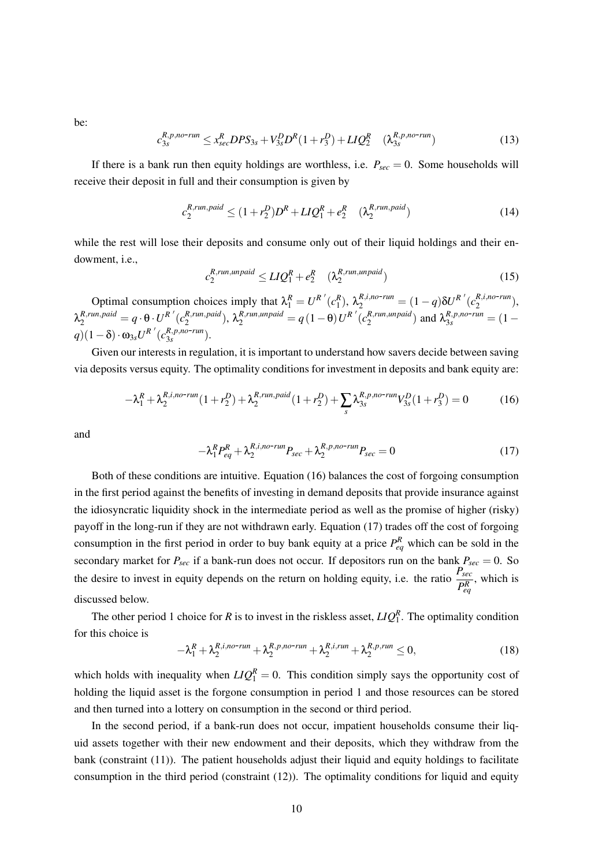be:

$$
c_{3s}^{R,p,no-run} \le x_{sec}^{R} DPS_{3s} + V_{3s}^{D} D^{R} (1+r_{3}^{D}) + LIQ_{2}^{R} \quad (\lambda_{3s}^{R,p,no-run}) \tag{13}
$$

If there is a bank run then equity holdings are worthless, i.e.  $P_{\text{sec}} = 0$ . Some households will receive their deposit in full and their consumption is given by

$$
c_2^{R,run, paid} \le (1+r_2^D)D^R + LIQ_1^R + e_2^R \quad (\lambda_2^{R,run, paid})
$$
\n
$$
(14)
$$

while the rest will lose their deposits and consume only out of their liquid holdings and their endowment, i.e.,

$$
c_2^{R,run,unpaid} \le LIQ_1^R + e_2^R \quad (\lambda_2^{R,run,unpaid}) \tag{15}
$$

Optimal consumption choices imply that  $\lambda_1^R = U^{R'}(c_1^R)$ ,  $\lambda_2^{R,i,no-run} = (1-q)\delta U^{R'}(c_2^{R,i,no-run})$ ,  $\lambda_2^{R,run,paid} = q \cdot \theta \cdot U^{R'}(c_2^{R,run, paid})$  $\lambda_2^{R,run, paid}$ ),  $\lambda_2^{R,run,unpaid} = q(1-\theta)U^R$ <sup>'</sup>( $c_2^{R,run,unpaid}$  $\binom{R, run, un paid}{2}$  and  $\lambda_{3s}^{R, p, no-run} = (1$  $q$ )(1–δ) ·  $\omega_{3s}U^{R'}(c_{3s}^{R,pno-run}).$ 

Given our interests in regulation, it is important to understand how savers decide between saving via deposits versus equity. The optimality conditions for investment in deposits and bank equity are:

$$
-\lambda_1^R + \lambda_2^{R,i,no\text{-}run}(1+r_2^D) + \lambda_2^{R,run,paid}(1+r_2^D) + \sum_s \lambda_{3s}^{R,p,no\text{-}run} V_{3s}^D(1+r_3^D) = 0 \tag{16}
$$

and

$$
-\lambda_1^R P_{eq}^R + \lambda_2^{R,i,no-run} P_{sec} + \lambda_2^{R,p,no-run} P_{sec} = 0
$$
\n(17)

Both of these conditions are intuitive. Equation (16) balances the cost of forgoing consumption in the first period against the benefits of investing in demand deposits that provide insurance against the idiosyncratic liquidity shock in the intermediate period as well as the promise of higher (risky) payoff in the long-run if they are not withdrawn early. Equation (17) trades off the cost of forgoing consumption in the first period in order to buy bank equity at a price  $P_{eq}^R$  which can be sold in the secondary market for  $P_{sec}$  if a bank-run does not occur. If depositors run on the bank  $P_{sec} = 0$ . So the desire to invest in equity depends on the return on holding equity, i.e. the ratio  $\frac{P_{sec}}{P_{eq}^R}$ , which is discussed below.

The other period 1 choice for *R* is to invest in the riskless asset,  $LIQ_1^R$ . The optimality condition for this choice is

$$
-\lambda_1^R + \lambda_2^{R,i,no-run} + \lambda_2^{R,p,no-run} + \lambda_2^{R,i,run} + \lambda_2^{R,p,run} \le 0,
$$
\n(18)

which holds with inequality when  $LIQ_1^R = 0$ . This condition simply says the opportunity cost of holding the liquid asset is the forgone consumption in period 1 and those resources can be stored and then turned into a lottery on consumption in the second or third period.

In the second period, if a bank-run does not occur, impatient households consume their liquid assets together with their new endowment and their deposits, which they withdraw from the bank (constraint (11)). The patient households adjust their liquid and equity holdings to facilitate consumption in the third period (constraint (12)). The optimality conditions for liquid and equity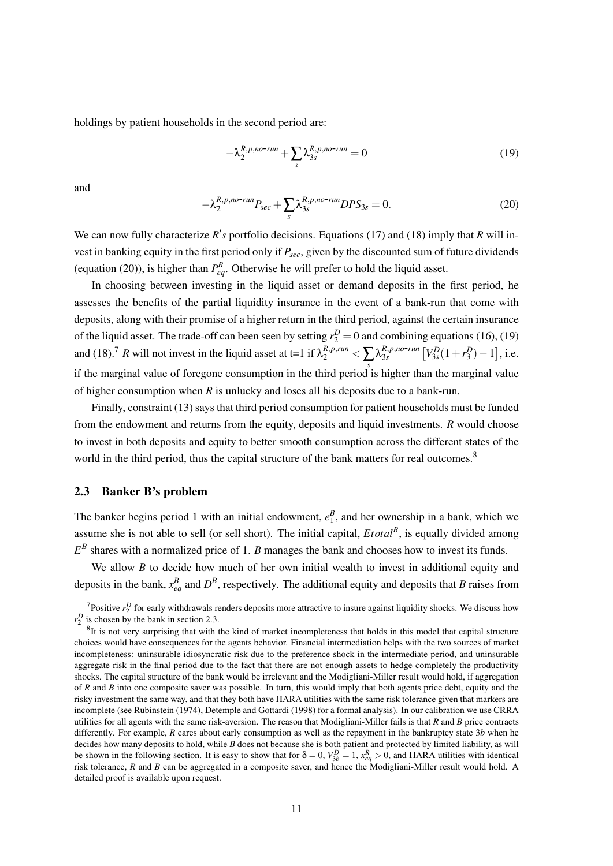holdings by patient households in the second period are:

$$
-\lambda_2^{R,p,no-run} + \sum_s \lambda_{3s}^{R,p,no-run} = 0 \tag{19}
$$

and

$$
-\lambda_2^{R,p,no-run}P_{sec} + \sum_s \lambda_{3s}^{R,p,no-run} DPS_{3s} = 0.
$$
\n(20)

We can now fully characterize  $R'$ s portfolio decisions. Equations (17) and (18) imply that  $R$  will invest in banking equity in the first period only if *Psec*, given by the discounted sum of future dividends (equation (20)), is higher than  $P_{eq}^R$ . Otherwise he will prefer to hold the liquid asset.

In choosing between investing in the liquid asset or demand deposits in the first period, he assesses the benefits of the partial liquidity insurance in the event of a bank-run that come with deposits, along with their promise of a higher return in the third period, against the certain insurance of the liquid asset. The trade-off can been seen by setting  $r_2^D = 0$  and combining equations (16), (19) and (18).<sup>7</sup> R will not invest in the liquid asset at t=1 if  $\lambda_2^{R,p,run} < \sum_s \lambda_{3s}^{R,p,no-run} [V_{3s}^D(1+r_3^D)-1]$ , i.e. if the marginal value of foregone consumption in the third period is higher than the marginal value of higher consumption when *R* is unlucky and loses all his deposits due to a bank-run.

Finally, constraint (13) says that third period consumption for patient households must be funded from the endowment and returns from the equity, deposits and liquid investments. *R* would choose to invest in both deposits and equity to better smooth consumption across the different states of the world in the third period, thus the capital structure of the bank matters for real outcomes.<sup>8</sup>

### 2.3 Banker B's problem

The banker begins period 1 with an initial endowment,  $e_1^B$ , and her ownership in a bank, which we assume she is not able to sell (or sell short). The initial capital, *Etotal*<sup>B</sup>, is equally divided among  $E^B$  shares with a normalized price of 1. *B* manages the bank and chooses how to invest its funds.

We allow *B* to decide how much of her own initial wealth to invest in additional equity and deposits in the bank,  $x_{eq}^B$  and  $D^B$ , respectively. The additional equity and deposits that *B* raises from

<sup>&</sup>lt;sup>7</sup>Positive  $r_2^D$  for early withdrawals renders deposits more attractive to insure against liquidity shocks. We discuss how  $r_2^D$  is chosen by the bank in section 2.3.

 ${}^{8}$ It is not very surprising that with the kind of market incompleteness that holds in this model that capital structure choices would have consequences for the agents behavior. Financial intermediation helps with the two sources of market incompleteness: uninsurable idiosyncratic risk due to the preference shock in the intermediate period, and uninsurable aggregate risk in the final period due to the fact that there are not enough assets to hedge completely the productivity shocks. The capital structure of the bank would be irrelevant and the Modigliani-Miller result would hold, if aggregation of *R* and *B* into one composite saver was possible. In turn, this would imply that both agents price debt, equity and the risky investment the same way, and that they both have HARA utilities with the same risk tolerance given that markers are incomplete (see Rubinstein (1974), Detemple and Gottardi (1998) for a formal analysis). In our calibration we use CRRA utilities for all agents with the same risk-aversion. The reason that Modigliani-Miller fails is that *R* and *B* price contracts differently. For example, *R* cares about early consumption as well as the repayment in the bankruptcy state 3*b* when he decides how many deposits to hold, while *B* does not because she is both patient and protected by limited liability, as will be shown in the following section. It is easy to show that for  $\delta = 0$ ,  $V_{3b}^D = 1$ ,  $x_{eq}^R > 0$ , and HARA utilities with identical risk tolerance, *R* and *B* can be aggregated in a composite saver, and hence the Modigliani-Miller result would hold. A detailed proof is available upon request.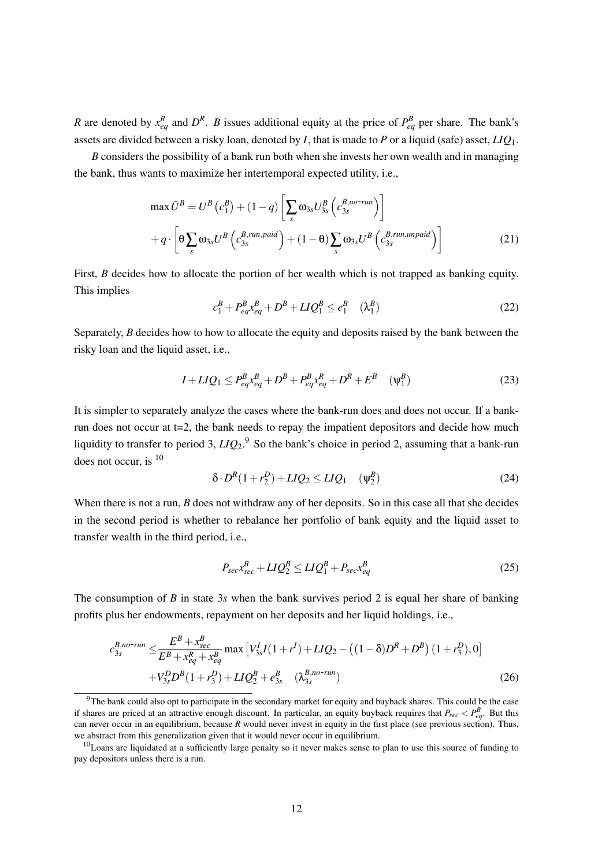*R* are denoted by  $x_{eq}^R$  and  $D^R$ . *B* issues additional equity at the price of  $P_{eq}^B$  per share. The bank's assets are divided between a risky loan, denoted by *I*, that is made to *P* or a liquid (safe) asset, *LIQ*1.

*B* considers the possibility of a bank run both when she invests her own wealth and in managing the bank, thus wants to maximize her intertemporal expected utility, i.e.,

$$
\max \bar{U}^{B} = U^{B} (c_{1}^{B}) + (1 - q) \left[ \sum_{s} \omega_{3s} U_{3s}^{B} \left( c_{3s}^{B,no-run} \right) \right]
$$

$$
+ q \cdot \left[ \Theta \sum_{s} \omega_{3s} U^{B} \left( c_{3s}^{B,run, paid} \right) + (1 - \Theta) \sum_{s} \omega_{3s} U^{B} \left( c_{3s}^{B,run,unpaid} \right) \right]
$$
(21)

First, *B* decides how to allocate the portion of her wealth which is not trapped as banking equity. This implies

$$
c_1^B + P_{eq}^B x_{eq}^B + D^B + L I Q_1^B \le e_1^B \quad (\lambda_1^B)
$$
 (22)

Separately, *B* decides how to how to allocate the equity and deposits raised by the bank between the risky loan and the liquid asset, i.e.,

$$
I + LIQ_1 \le P_{eq}^B x_{eq}^B + D^B + P_{eq}^B x_{eq}^R + D^R + E^B \quad (\Psi_1^B)
$$
 (23)

It is simpler to separately analyze the cases where the bank-run does and does not occur. If a bankrun does not occur at t=2, the bank needs to repay the impatient depositors and decide how much liquidity to transfer to period 3, *LIQ*2. <sup>9</sup> So the bank's choice in period 2, assuming that a bank-run does not occur, is <sup>10</sup>

$$
\delta \cdot D^R (1 + r_2^D) + L I Q_2 \le L I Q_1 \quad (\Psi_2^B) \tag{24}
$$

When there is not a run, *B* does not withdraw any of her deposits. So in this case all that she decides in the second period is whether to rebalance her portfolio of bank equity and the liquid asset to transfer wealth in the third period, i.e.,

$$
P_{sec}x_{sec}^B + LIQ_2^B \le LIQ_1^B + P_{sec}x_{eq}^B
$$
\n
$$
(25)
$$

The consumption of *B* in state 3*s* when the bank survives period 2 is equal her share of banking profits plus her endowments, repayment on her deposits and her liquid holdings, i.e.,

$$
c_{3s}^{B,no-run} \leq \frac{E^B + x_{sec}^B}{E^B + x_{eq}^B + x_{eq}^B} \max \left[ V_{3s}^I I(1+r^I) + L I Q_2 - \left( (1-\delta)D^R + D^B \right) (1+r_3^D), 0 \right] + V_{3s}^D D^B (1+r_3^D) + L I Q_2^B + e_{3s}^B \left( \lambda_{3s}^{B,no-run} \right)
$$
(26)

 $9$ The bank could also opt to participate in the secondary market for equity and buyback shares. This could be the case if shares are priced at an attractive enough discount. In particular, an equity buyback requires that  $P_{sec} < P_{eq}^B$ . But this can never occur in an equilibrium, because *R* would never invest in equity in the first place (see previous section). Thus, we abstract from this generalization given that it would never occur in equilibrium.

 $10$ Loans are liquidated at a sufficiently large penalty so it never makes sense to plan to use this source of funding to pay depositors unless there is a run.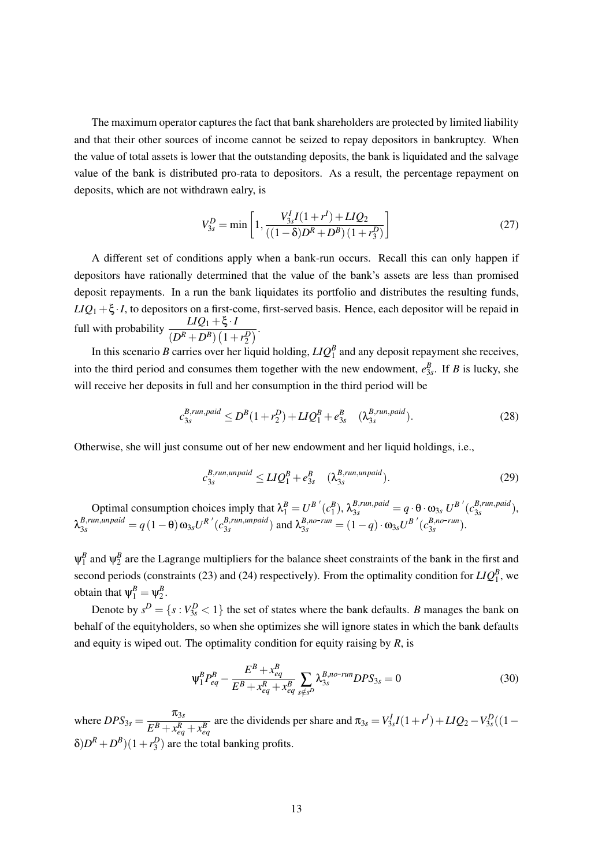The maximum operator captures the fact that bank shareholders are protected by limited liability and that their other sources of income cannot be seized to repay depositors in bankruptcy. When the value of total assets is lower that the outstanding deposits, the bank is liquidated and the salvage value of the bank is distributed pro-rata to depositors. As a result, the percentage repayment on deposits, which are not withdrawn ealry, is

$$
V_{3s}^D = \min\left[1, \frac{V_{3s}^I I(1+r^I) + L I Q_2}{((1-\delta)D^R + D^B)(1+r_3^D)}\right]
$$
(27)

A different set of conditions apply when a bank-run occurs. Recall this can only happen if depositors have rationally determined that the value of the bank's assets are less than promised deposit repayments. In a run the bank liquidates its portfolio and distributes the resulting funds,  $LIQ_1 + \xi \cdot I$ , to depositors on a first-come, first-served basis. Hence, each depositor will be repaid in full with probability  $\frac{LIQ_1 + \xi \cdot I}{(D^R + D^B) (1 + r_2^D)}$ .

In this scenario *B* carries over her liquid holding,  $LIQ_1^B$  and any deposit repayment she receives, into the third period and consumes them together with the new endowment,  $e_{3s}^B$ . If *B* is lucky, she will receive her deposits in full and her consumption in the third period will be

$$
c_{3s}^{B,run, paid} \le D^B (1 + r_2^D) + L I Q_1^B + e_{3s}^B \quad (\lambda_{3s}^{B,run, paid}). \tag{28}
$$

Otherwise, she will just consume out of her new endowment and her liquid holdings, i.e.,

$$
c_{3s}^{B,run,unpaid} \le LIQ_1^B + e_{3s}^B \quad (\lambda_{3s}^{B,run,unpaid}). \tag{29}
$$

Optimal consumption choices imply that  $\lambda_1^B = U^{B'}(c_1^B)$ ,  $\lambda_{3s}^{B,run,paid} = q \cdot \theta \cdot \omega_{3s} U^{B'}(c_{3s}^{B,run,paid})$ 3*s* ),  $\lambda_{3s}^{B,run,unpaid}=q\left(1-\theta\right)\omega_{3s}U^{R}\{'c^{B,run,unpaid}_{3s}$  $\frac{B, run, un paid}{3s}$  and  $\lambda_{3s}^{B, no-run} = (1-q) \cdot \omega_{3s} U^{B'} (c_{3s}^{B, no-run})$ .

 $\psi_1^B$  and  $\psi_2^B$  are the Lagrange multipliers for the balance sheet constraints of the bank in the first and second periods (constraints (23) and (24) respectively). From the optimality condition for  $LIQ_1^B$ , we obtain that  $\psi_1^B = \psi_2^B$ .

Denote by  $s^D = \{s : V_{3s}^D < 1\}$  the set of states where the bank defaults. *B* manages the bank on behalf of the equityholders, so when she optimizes she will ignore states in which the bank defaults and equity is wiped out. The optimality condition for equity raising by *R*, is

$$
\Psi_1^B P_{eq}^B - \frac{E^B + x_{eq}^B}{E^B + x_{eq}^R + x_{eq}^B} \sum_{s \notin s^D} \lambda_{3s}^{B, no-run} DPS_{3s} = 0 \tag{30}
$$

where  $DPS_{3s} = \frac{\pi_{3s}}{\sqrt{R_{3s}} + \sqrt{R_{3s}}}$  $E^{B} + x_{eq}^{R} + x_{eq}^{B}$ are the dividends per share and  $\pi_{3s} = V_{3s}^{I}I(1+r^{I}) + LIQ_{2} - V_{3s}^{D}((1-r^{I})^{I})$  $\delta D^R + D^B$ )(1+*r*<sup>*D*</sup><sub>3</sub>) are the total banking profits.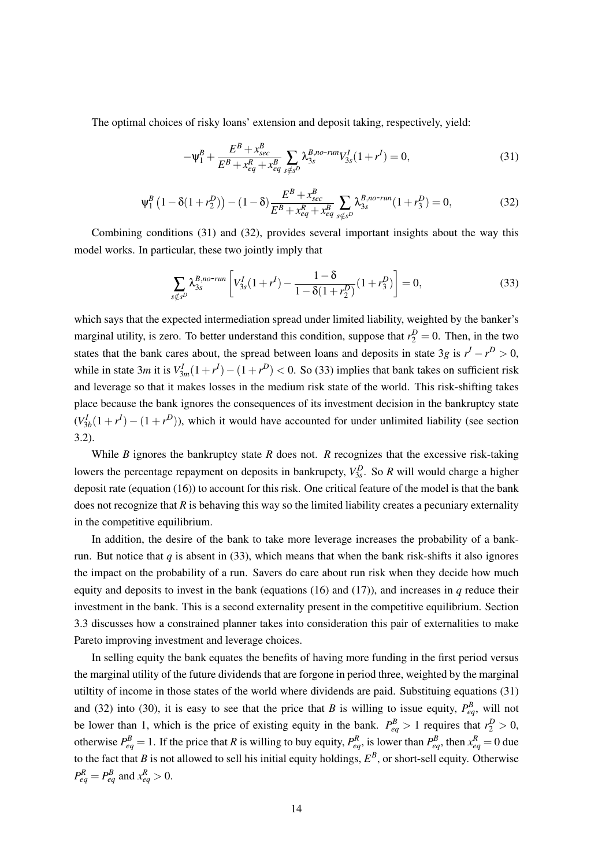The optimal choices of risky loans' extension and deposit taking, respectively, yield:

$$
-\Psi_1^B + \frac{E^B + x_{\text{sec}}^B}{E^B + x_{\text{eq}}^R + x_{\text{eq}}^B} \sum_{s \notin s^D} \lambda_{3s}^{B, no\text{-}run} V_{3s}^I (1 + r^I) = 0,\tag{31}
$$

$$
\Psi_1^B \left( 1 - \delta (1 + r_2^D) \right) - (1 - \delta) \frac{E^B + x_{sec}^B}{E^B + x_{eq}^R + x_{eq}^B} \sum_{s \notin s^D} \lambda_{3s}^{B, no \text{-run}} (1 + r_3^D) = 0,\tag{32}
$$

Combining conditions (31) and (32), provides several important insights about the way this model works. In particular, these two jointly imply that

$$
\sum_{s \notin s^D} \lambda_{3s}^{B, no-run} \left[ V_{3s}^I (1 + r^I) - \frac{1 - \delta}{1 - \delta (1 + r_2^D)} (1 + r_3^D) \right] = 0,
$$
\n(33)

which says that the expected intermediation spread under limited liability, weighted by the banker's marginal utility, is zero. To better understand this condition, suppose that  $r_2^D = 0$ . Then, in the two states that the bank cares about, the spread between loans and deposits in state 3*g* is  $r<sup>I</sup> - r<sup>D</sup> > 0$ , while in state 3*m* it is  $V_{3m}^I(1+r^I) - (1+r^D) < 0$ . So (33) implies that bank takes on sufficient risk and leverage so that it makes losses in the medium risk state of the world. This risk-shifting takes place because the bank ignores the consequences of its investment decision in the bankruptcy state  $(V_{3b}^I(1 + r^I) - (1 + r^D))$ , which it would have accounted for under unlimited liability (see section 3.2).

While *B* ignores the bankruptcy state *R* does not. *R* recognizes that the excessive risk-taking lowers the percentage repayment on deposits in bankrupcty,  $V_{3s}^D$ . So *R* will would charge a higher deposit rate (equation (16)) to account for this risk. One critical feature of the model is that the bank does not recognize that *R* is behaving this way so the limited liability creates a pecuniary externality in the competitive equilibrium.

In addition, the desire of the bank to take more leverage increases the probability of a bankrun. But notice that  $q$  is absent in (33), which means that when the bank risk-shifts it also ignores the impact on the probability of a run. Savers do care about run risk when they decide how much equity and deposits to invest in the bank (equations  $(16)$  and  $(17)$ ), and increases in *q* reduce their investment in the bank. This is a second externality present in the competitive equilibrium. Section 3.3 discusses how a constrained planner takes into consideration this pair of externalities to make Pareto improving investment and leverage choices.

In selling equity the bank equates the benefits of having more funding in the first period versus the marginal utility of the future dividends that are forgone in period three, weighted by the marginal utiltity of income in those states of the world where dividends are paid. Substituing equations (31) and (32) into (30), it is easy to see that the price that *B* is willing to issue equity,  $P_{eq}^B$ , will not be lower than 1, which is the price of existing equity in the bank.  $P_{eq}^{B} > 1$  requires that  $r_2^{D} > 0$ , otherwise  $P_{eq}^B = 1$ . If the price that *R* is willing to buy equity,  $P_{eq}^R$ , is lower than  $P_{eq}^B$ , then  $x_{eq}^R = 0$  due to the fact that *B* is not allowed to sell his initial equity holdings,  $E^B$ , or short-sell equity. Otherwise  $P_{eq}^R = P_{eq}^B$  and  $x_{eq}^R > 0$ .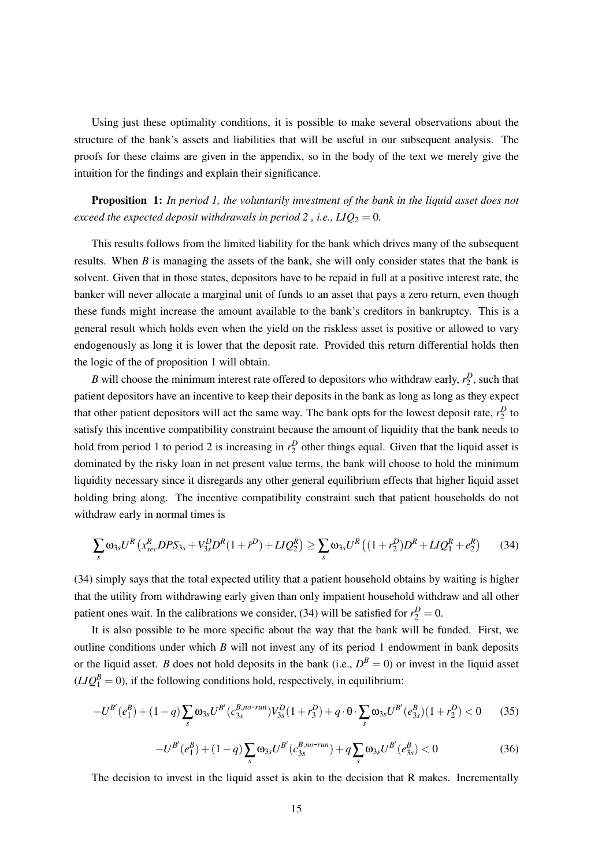Using just these optimality conditions, it is possible to make several observations about the structure of the bank's assets and liabilities that will be useful in our subsequent analysis. The proofs for these claims are given in the appendix, so in the body of the text we merely give the intuition for the findings and explain their significance.

Proposition 1: *In period 1, the voluntarily investment of the bank in the liquid asset does not exceed the expected deposit withdrawals in period 2, i.e.,*  $LIQ_2 = 0$ *.* 

This results follows from the limited liability for the bank which drives many of the subsequent results. When *B* is managing the assets of the bank, she will only consider states that the bank is solvent. Given that in those states, depositors have to be repaid in full at a positive interest rate, the banker will never allocate a marginal unit of funds to an asset that pays a zero return, even though these funds might increase the amount available to the bank's creditors in bankruptcy. This is a general result which holds even when the yield on the riskless asset is positive or allowed to vary endogenously as long it is lower that the deposit rate. Provided this return differential holds then the logic of the of proposition 1 will obtain.

*B* will choose the minimum interest rate offered to depositors who withdraw early,  $r_2^D$ , such that patient depositors have an incentive to keep their deposits in the bank as long as long as they expect that other patient depositors will act the same way. The bank opts for the lowest deposit rate,  $r_2^D$  to satisfy this incentive compatibility constraint because the amount of liquidity that the bank needs to hold from period 1 to period 2 is increasing in  $r_2^D$  other things equal. Given that the liquid asset is dominated by the risky loan in net present value terms, the bank will choose to hold the minimum liquidity necessary since it disregards any other general equilibrium effects that higher liquid asset holding bring along. The incentive compatibility constraint such that patient households do not withdraw early in normal times is

$$
\sum_{s} \omega_{3s} U^{R} \left( x_{sec}^{R} DPS_{3s} + V_{3s}^{D} D^{R} (1 + \bar{r}^{D}) + LIQ_{2}^{R} \right) \geq \sum_{s} \omega_{3s} U^{R} \left( (1 + r_{2}^{D}) D^{R} + LIQ_{1}^{R} + e_{2}^{R} \right) \tag{34}
$$

(34) simply says that the total expected utility that a patient household obtains by waiting is higher that the utility from withdrawing early given than only impatient household withdraw and all other patient ones wait. In the calibrations we consider, (34) will be satisfied for  $r_2^D = 0$ .

It is also possible to be more specific about the way that the bank will be funded. First, we outline conditions under which *B* will not invest any of its period 1 endowment in bank deposits or the liquid asset. *B* does not hold deposits in the bank (i.e.,  $D^B = 0$ ) or invest in the liquid asset  $(LIQ_1^B = 0)$ , if the following conditions hold, respectively, in equilibrium:

$$
-U^{B'}(e_1^B) + (1-q)\sum_s \omega_{3s} U^{B'}(c_{3s}^{B,no-run})V_{3s}^D(1+r_3^D) + q \cdot \Theta \cdot \sum_s \omega_{3s} U^{B'}(e_{3s}^B)(1+r_2^D) < 0 \tag{35}
$$

$$
-U^{B'}(e_1^B) + (1-q)\sum_s \omega_{3s} U^{B'}(c_{3s}^{B,no-run}) + q\sum_s \omega_{3s} U^{B'}(e_{3s}^B) < 0
$$
\n(36)

The decision to invest in the liquid asset is akin to the decision that R makes. Incrementally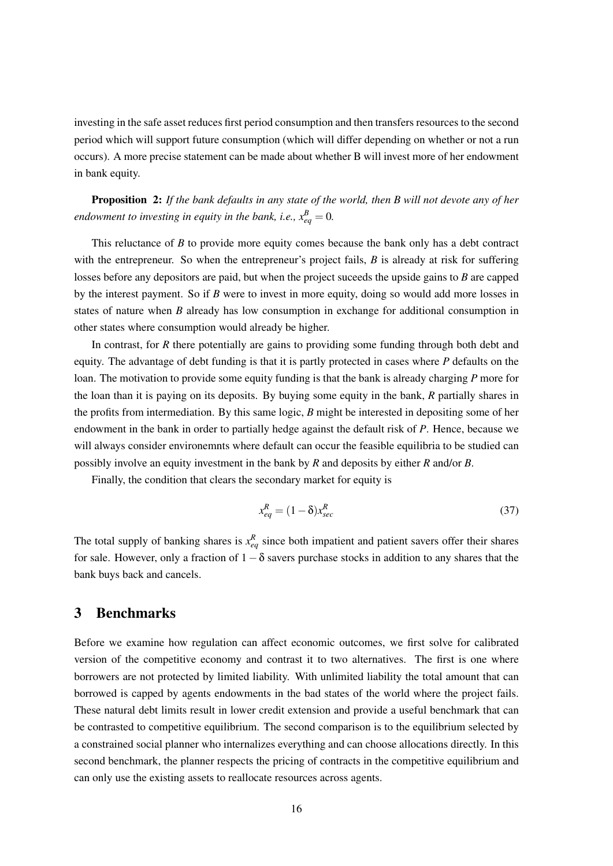investing in the safe asset reduces first period consumption and then transfers resources to the second period which will support future consumption (which will differ depending on whether or not a run occurs). A more precise statement can be made about whether B will invest more of her endowment in bank equity.

Proposition 2: *If the bank defaults in any state of the world, then B will not devote any of her endowment to investing in equity in the bank, i.e.,*  $x_{eq}^B = 0$ .

This reluctance of *B* to provide more equity comes because the bank only has a debt contract with the entrepreneur. So when the entrepreneur's project fails, *B* is already at risk for suffering losses before any depositors are paid, but when the project suceeds the upside gains to *B* are capped by the interest payment. So if *B* were to invest in more equity, doing so would add more losses in states of nature when *B* already has low consumption in exchange for additional consumption in other states where consumption would already be higher.

In contrast, for *R* there potentially are gains to providing some funding through both debt and equity. The advantage of debt funding is that it is partly protected in cases where *P* defaults on the loan. The motivation to provide some equity funding is that the bank is already charging *P* more for the loan than it is paying on its deposits. By buying some equity in the bank, *R* partially shares in the profits from intermediation. By this same logic, *B* might be interested in depositing some of her endowment in the bank in order to partially hedge against the default risk of *P*. Hence, because we will always consider environemnts where default can occur the feasible equilibria to be studied can possibly involve an equity investment in the bank by *R* and deposits by either *R* and/or *B*.

Finally, the condition that clears the secondary market for equity is

$$
x_{eq}^R = (1 - \delta)x_{sec}^R \tag{37}
$$

The total supply of banking shares is  $x_{eq}^R$  since both impatient and patient savers offer their shares for sale. However, only a fraction of  $1-\delta$  savers purchase stocks in addition to any shares that the bank buys back and cancels.

# 3 Benchmarks

Before we examine how regulation can affect economic outcomes, we first solve for calibrated version of the competitive economy and contrast it to two alternatives. The first is one where borrowers are not protected by limited liability. With unlimited liability the total amount that can borrowed is capped by agents endowments in the bad states of the world where the project fails. These natural debt limits result in lower credit extension and provide a useful benchmark that can be contrasted to competitive equilibrium. The second comparison is to the equilibrium selected by a constrained social planner who internalizes everything and can choose allocations directly. In this second benchmark, the planner respects the pricing of contracts in the competitive equilibrium and can only use the existing assets to reallocate resources across agents.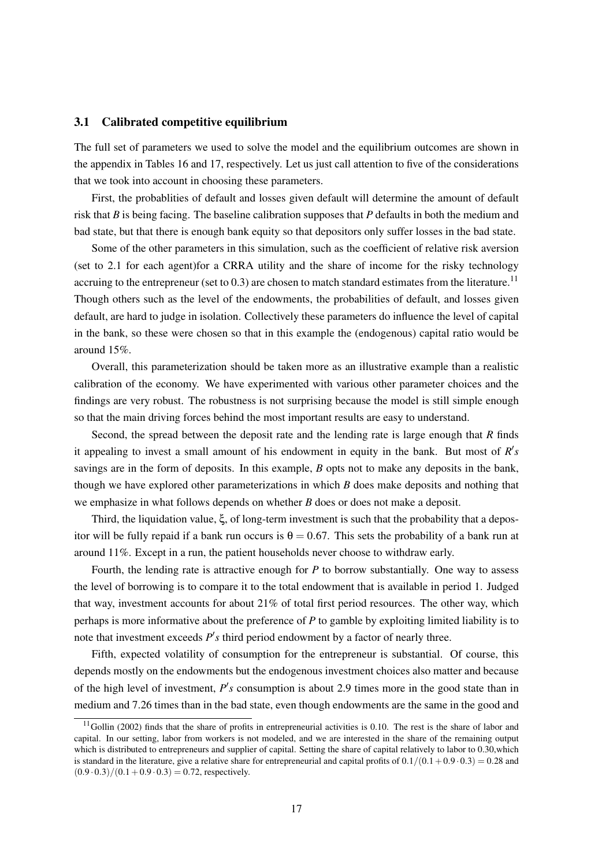#### 3.1 Calibrated competitive equilibrium

The full set of parameters we used to solve the model and the equilibrium outcomes are shown in the appendix in Tables 16 and 17, respectively. Let us just call attention to five of the considerations that we took into account in choosing these parameters.

First, the probablities of default and losses given default will determine the amount of default risk that *B* is being facing. The baseline calibration supposes that *P* defaults in both the medium and bad state, but that there is enough bank equity so that depositors only suffer losses in the bad state.

Some of the other parameters in this simulation, such as the coefficient of relative risk aversion (set to 2.1 for each agent)for a CRRA utility and the share of income for the risky technology accruing to the entrepreneur (set to  $0.3$ ) are chosen to match standard estimates from the literature.<sup>11</sup> Though others such as the level of the endowments, the probabilities of default, and losses given default, are hard to judge in isolation. Collectively these parameters do influence the level of capital in the bank, so these were chosen so that in this example the (endogenous) capital ratio would be around 15%.

Overall, this parameterization should be taken more as an illustrative example than a realistic calibration of the economy. We have experimented with various other parameter choices and the findings are very robust. The robustness is not surprising because the model is still simple enough so that the main driving forces behind the most important results are easy to understand.

Second, the spread between the deposit rate and the lending rate is large enough that *R* finds it appealing to invest a small amount of his endowment in equity in the bank. But most of  $R's$ savings are in the form of deposits. In this example, *B* opts not to make any deposits in the bank, though we have explored other parameterizations in which *B* does make deposits and nothing that we emphasize in what follows depends on whether *B* does or does not make a deposit.

Third, the liquidation value, ξ, of long-term investment is such that the probability that a depositor will be fully repaid if a bank run occurs is  $\theta = 0.67$ . This sets the probability of a bank run at around 11%. Except in a run, the patient households never choose to withdraw early.

Fourth, the lending rate is attractive enough for *P* to borrow substantially. One way to assess the level of borrowing is to compare it to the total endowment that is available in period 1. Judged that way, investment accounts for about 21% of total first period resources. The other way, which perhaps is more informative about the preference of *P* to gamble by exploiting limited liability is to note that investment exceeds  $P'$ s third period endowment by a factor of nearly three.

Fifth, expected volatility of consumption for the entrepreneur is substantial. Of course, this depends mostly on the endowments but the endogenous investment choices also matter and because of the high level of investment,  $P$ 's consumption is about 2.9 times more in the good state than in medium and 7.26 times than in the bad state, even though endowments are the same in the good and

 $11$ Gollin (2002) finds that the share of profits in entrepreneurial activities is 0.10. The rest is the share of labor and capital. In our setting, labor from workers is not modeled, and we are interested in the share of the remaining output which is distributed to entrepreneurs and supplier of capital. Setting the share of capital relatively to labor to 0.30, which is standard in the literature, give a relative share for entrepreneurial and capital profits of  $0.1/(0.1+0.9 \cdot 0.3) = 0.28$  and  $(0.9 \cdot 0.3)/(0.1 + 0.9 \cdot 0.3) = 0.72$ , respectively.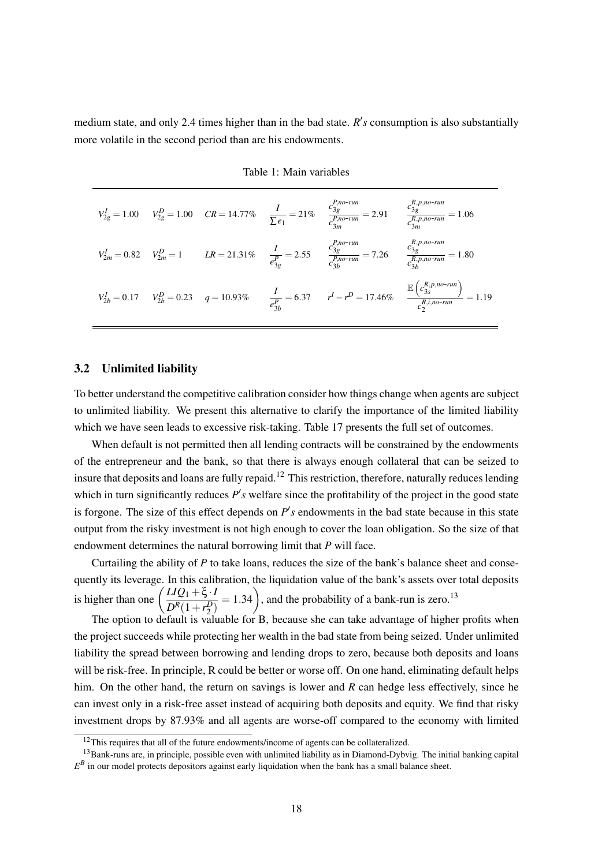medium state, and only 2.4 times higher than in the bad state.  $R's$  consumption is also substantially more volatile in the second period than are his endowments.

|  |  | $V_{2g}^I = 1.00$ $V_{2g}^D = 1.00$ $CR = 14.77\%$ $\frac{I}{\sum e_1} = 21\%$ $\frac{c_{3g}^{P,norrun}}{c_{3m}^{P,norrun}} = 2.91$ $\frac{c_{3g}^{R,p,norrun}}{c_{3m}^{P,norrun}} = 1.06$ |                                                                                                                                                                                   |
|--|--|--------------------------------------------------------------------------------------------------------------------------------------------------------------------------------------------|-----------------------------------------------------------------------------------------------------------------------------------------------------------------------------------|
|  |  | $V_{2m}^I = 0.82$ $V_{2m}^D = 1$ $LR = 21.31\%$ $\frac{I}{e_{3g}^P} = 2.55$ $\frac{c_{3g}^{P,norum}}{c_{3h}^{P,norum}} = 7.26$ $\frac{c_{3g}^{R,p,norum}}{c_{3h}^{P,norum}} = 1.80$        |                                                                                                                                                                                   |
|  |  |                                                                                                                                                                                            | $V_{2b}^I = 0.17$ $V_{2b}^D = 0.23$ $q = 10.93\%$ $\frac{I}{e_{3b}^P} = 6.37$ $r^I - r^D = 17.46\%$ $\frac{\mathbb{E}\left(c_{3s}^{R,p,o-run}\right)}{c_{3s}^{R,p,o-run}} = 1.19$ |

Table 1: Main variables

#### 3.2 Unlimited liability

To better understand the competitive calibration consider how things change when agents are subject to unlimited liability. We present this alternative to clarify the importance of the limited liability which we have seen leads to excessive risk-taking. Table 17 presents the full set of outcomes.

When default is not permitted then all lending contracts will be constrained by the endowments of the entrepreneur and the bank, so that there is always enough collateral that can be seized to insure that deposits and loans are fully repaid.<sup>12</sup> This restriction, therefore, naturally reduces lending which in turn significantly reduces  $P'$ s welfare since the profitability of the project in the good state is forgone. The size of this effect depends on  $P's$  endowments in the bad state because in this state output from the risky investment is not high enough to cover the loan obligation. So the size of that endowment determines the natural borrowing limit that *P* will face.

Curtailing the ability of *P* to take loans, reduces the size of the bank's balance sheet and consequently its leverage. In this calibration, the liquidation value of the bank's assets over total deposits is higher than one  $\left( \frac{LIQ_1 + \xi \cdot I}{R_1R_2} \right)$  $\frac{LIQ_1+\xi \cdot I}{D^R(1+r_2^D)}$  = 1.34), and the probability of a bank-run is zero.<sup>13</sup>

The option to default is valuable for B, because she can take advantage of higher profits when the project succeeds while protecting her wealth in the bad state from being seized. Under unlimited liability the spread between borrowing and lending drops to zero, because both deposits and loans will be risk-free. In principle, R could be better or worse off. On one hand, eliminating default helps him. On the other hand, the return on savings is lower and *R* can hedge less effectively, since he can invest only in a risk-free asset instead of acquiring both deposits and equity. We find that risky investment drops by 87.93% and all agents are worse-off compared to the economy with limited

<sup>&</sup>lt;sup>12</sup>This requires that all of the future endowments/income of agents can be collateralized.

 $13$ Bank-runs are, in principle, possible even with unlimited liability as in Diamond-Dybvig. The initial banking capital  $E^B$  in our model protects depositors against early liquidation when the bank has a small balance sheet.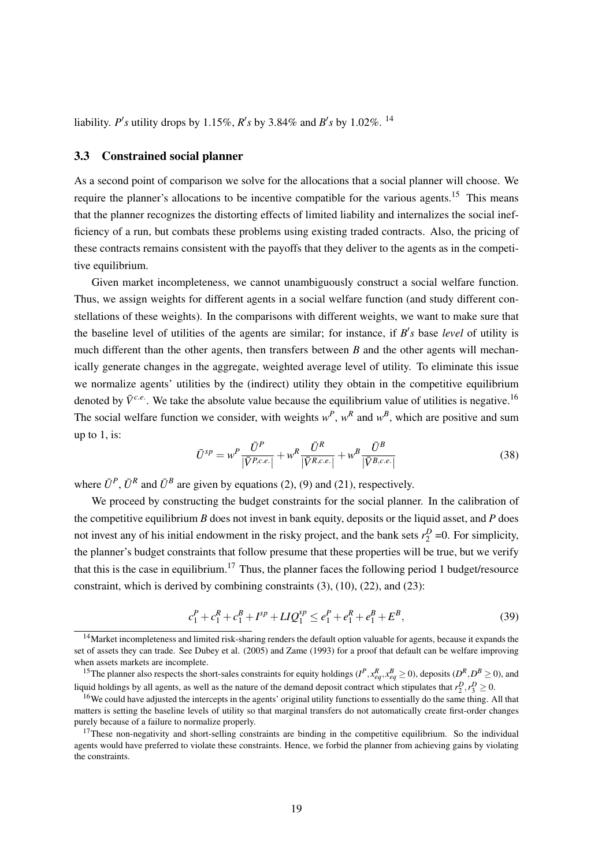liability. *P*'s utility drops by 1.15%, *R*'s by 3.84% and *B*'s by 1.02%. <sup>14</sup>

#### 3.3 Constrained social planner

As a second point of comparison we solve for the allocations that a social planner will choose. We require the planner's allocations to be incentive compatible for the various agents.<sup>15</sup> This means that the planner recognizes the distorting effects of limited liability and internalizes the social inefficiency of a run, but combats these problems using existing traded contracts. Also, the pricing of these contracts remains consistent with the payoffs that they deliver to the agents as in the competitive equilibrium.

Given market incompleteness, we cannot unambiguously construct a social welfare function. Thus, we assign weights for different agents in a social welfare function (and study different constellations of these weights). In the comparisons with different weights, we want to make sure that the baseline level of utilities of the agents are similar; for instance, if  $B's$  base *level* of utility is much different than the other agents, then transfers between *B* and the other agents will mechanically generate changes in the aggregate, weighted average level of utility. To eliminate this issue we normalize agents' utilities by the (indirect) utility they obtain in the competitive equilibrium denoted by  $\bar{V}^{c,e}$ . We take the absolute value because the equilibrium value of utilities is negative.<sup>16</sup> The social welfare function we consider, with weights  $w^P$ ,  $w^R$  and  $w^B$ , which are positive and sum up to 1, is:

$$
\bar{U}^{sp} = w^P \frac{\bar{U}^P}{|\bar{V}^{P,c.e.}|} + w^R \frac{\bar{U}^R}{|\bar{V}^{R,c.e.}|} + w^B \frac{\bar{U}^B}{|\bar{V}^{B,c.e.}|}
$$
(38)

where  $\bar{U}^P$ ,  $\bar{U}^R$  and  $\bar{U}^B$  are given by equations (2), (9) and (21), respectively.

We proceed by constructing the budget constraints for the social planner. In the calibration of the competitive equilibrium *B* does not invest in bank equity, deposits or the liquid asset, and *P* does not invest any of his initial endowment in the risky project, and the bank sets  $r_2^D$  =0. For simplicity, the planner's budget constraints that follow presume that these properties will be true, but we verify that this is the case in equilibrium.<sup>17</sup> Thus, the planner faces the following period 1 budget/resource constraint, which is derived by combining constraints (3), (10), (22), and (23):

$$
c_1^P + c_1^R + c_1^B + I^{sp} + LIQ_1^{sp} \le e_1^P + e_1^R + e_1^R + E^B,
$$
\n(39)

<sup>&</sup>lt;sup>14</sup>Market incompleteness and limited risk-sharing renders the default option valuable for agents, because it expands the set of assets they can trade. See Dubey et al. (2005) and Zame (1993) for a proof that default can be welfare improving when assets markets are incomplete.

<sup>&</sup>lt;sup>15</sup>The planner also respects the short-sales constraints for equity holdings ( $I^P$ ,  $x_{eq}^R$ ,  $x_{eq}^B \ge 0$ ), deposits ( $D^R$ ,  $D^B \ge 0$ ), and liquid holdings by all agents, as well as the nature of the demand deposit contract which stipulates that  $r_2^D, r_3^D \ge 0$ .

<sup>&</sup>lt;sup>16</sup>We could have adjusted the intercepts in the agents' original utility functions to essentially do the same thing. All that matters is setting the baseline levels of utility so that marginal transfers do not automatically create first-order changes purely because of a failure to normalize properly.

 $17$ These non-negativity and short-selling constraints are binding in the competitive equilibrium. So the individual agents would have preferred to violate these constraints. Hence, we forbid the planner from achieving gains by violating the constraints.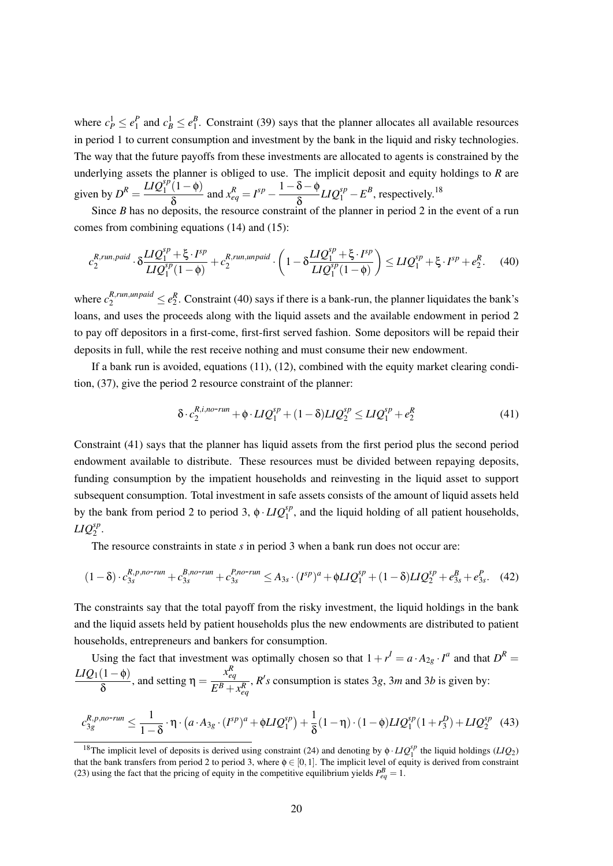where  $c_P^1 \le e_1^P$  and  $c_B^1 \le e_1^B$ . Constraint (39) says that the planner allocates all available resources in period 1 to current consumption and investment by the bank in the liquid and risky technologies. The way that the future payoffs from these investments are allocated to agents is constrained by the underlying assets the planner is obliged to use. The implicit deposit and equity holdings to *R* are given by  $D^R = \frac{LIQ_1^{sp}(1-\phi)}{s}$ δ and  $x_{eq}^R = I^{sp} - \frac{1-\delta-\phi}{s}$ δ  $LIQ_1^{sp} - E^B$ , respectively.<sup>18</sup>

Since *B* has no deposits, the resource constraint of the planner in period 2 in the event of a run comes from combining equations (14) and (15):

$$
c_2^{R,run, paid} \cdot \delta \frac{LIQ_1^{sp} + \xi \cdot I^{sp}}{LIQ_1^{sp}(1-\phi)} + c_2^{R,run, un paid} \cdot \left(1 - \delta \frac{LIQ_1^{sp} + \xi \cdot I^{sp}}{LIQ_1^{sp}(1-\phi)}\right) \le LIQ_1^{sp} + \xi \cdot I^{sp} + e_2^R. \tag{40}
$$

where  $c_2^{R,run,unpaid} \le e_2^R$ . Constraint (40) says if there is a bank-run, the planner liquidates the bank's loans, and uses the proceeds along with the liquid assets and the available endowment in period 2 to pay off depositors in a first-come, first-first served fashion. Some depositors will be repaid their deposits in full, while the rest receive nothing and must consume their new endowment.

If a bank run is avoided, equations (11), (12), combined with the equity market clearing condition, (37), give the period 2 resource constraint of the planner:

$$
\delta \cdot c_2^{R,i,n\sigma\text{-run}} + \phi \cdot LIQ_1^{sp} + (1 - \delta)LIQ_2^{sp} \le LIQ_1^{sp} + e_2^R \tag{41}
$$

Constraint (41) says that the planner has liquid assets from the first period plus the second period endowment available to distribute. These resources must be divided between repaying deposits, funding consumption by the impatient households and reinvesting in the liquid asset to support subsequent consumption. Total investment in safe assets consists of the amount of liquid assets held by the bank from period 2 to period 3,  $\phi \cdot LIQ_1^{sp}$ , and the liquid holding of all patient households,  $LIQ_2^{sp}$ .

The resource constraints in state *s* in period 3 when a bank run does not occur are:

$$
(1 - \delta) \cdot c_{3s}^{R, p, no\text{-}run} + c_{3s}^{B, no\text{-}run} + c_{3s}^{P, no\text{-}run} \leq A_{3s} \cdot (I^{sp})^a + \phi LIQ_1^{sp} + (1 - \delta)LIQ_2^{sp} + e_{3s}^B + e_{3s}^P. \tag{42}
$$

The constraints say that the total payoff from the risky investment, the liquid holdings in the bank and the liquid assets held by patient households plus the new endowments are distributed to patient households, entrepreneurs and bankers for consumption.

Using the fact that investment was optimally chosen so that 
$$
1 + r^l = a \cdot A_{2g} \cdot I^a
$$
 and that  $D^R =$   

$$
\frac{LIQ_1(1-\phi)}{\delta}
$$
, and setting  $\eta = \frac{x_{eq}^R}{E^B + x_{eq}^R}$ , *R's* consumption is states 3*g*, 3*m* and 3*b* is given by:

$$
c_{3g}^{R,p,no-run} \leq \frac{1}{1-\delta} \cdot \eta \cdot (a \cdot A_{3g} \cdot (I^{sp})^a + \phi LIQ_1^{sp}) + \frac{1}{\delta} (1-\eta) \cdot (1-\phi)LIQ_1^{sp}(1+r_3^D) + LIQ_2^{sp} \tag{43}
$$

<sup>&</sup>lt;sup>18</sup>The implicit level of deposits is derived using constraint (24) and denoting by  $\phi \cdot LIQ_1^{sp}$  the liquid holdings (*LIQ*<sub>2</sub>) that the bank transfers from period 2 to period 3, where  $\phi \in [0,1]$ . The implicit level of equity is derived from constraint (23) using the fact that the pricing of equity in the competitive equilibrium yields  $P_{eq}^{B} = 1$ .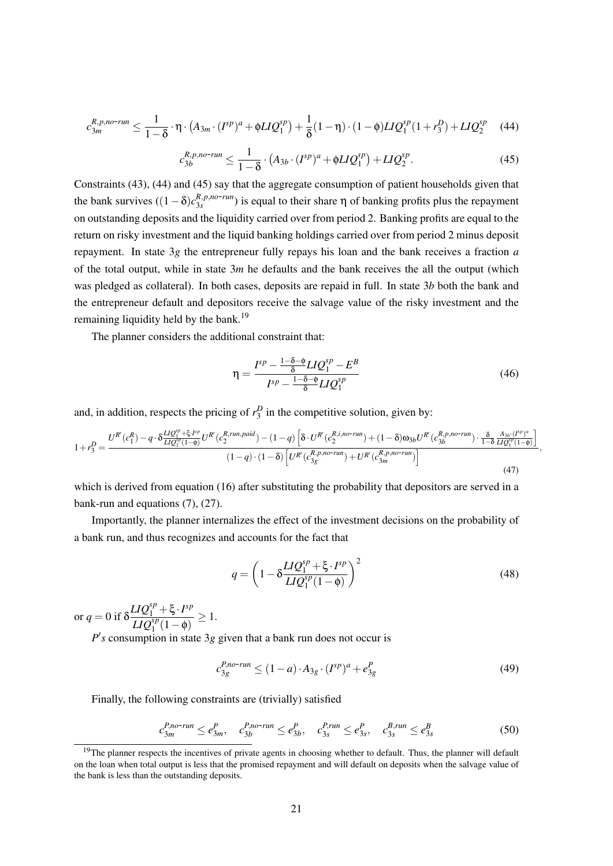$$
c_{3m}^{R,p,no\text{-}run} \leq \frac{1}{1-\delta} \cdot \eta \cdot (A_{3m} \cdot (I^{sp})^a + \phi LIQ_1^{sp}) + \frac{1}{\delta}(1-\eta) \cdot (1-\phi)LIQ_1^{sp}(1+r_3^D) + LIQ_2^{sp} \tag{44}
$$

$$
c_{3b}^{R,p,no-run} \le \frac{1}{1-\delta} \cdot (A_{3b} \cdot (I^{sp})^a + \phi LIQ_1^{sp}) + LIQ_2^{sp}.
$$
 (45)

Constraints (43), (44) and (45) say that the aggregate consumption of patient households given that the bank survives  $((1 - \delta)c_{3s}^{R,p,no-run})$  is equal to their share  $\eta$  of banking profits plus the repayment on outstanding deposits and the liquidity carried over from period 2. Banking profits are equal to the return on risky investment and the liquid banking holdings carried over from period 2 minus deposit repayment. In state 3*g* the entrepreneur fully repays his loan and the bank receives a fraction *a* of the total output, while in state 3*m* he defaults and the bank receives the all the output (which was pledged as collateral). In both cases, deposits are repaid in full. In state 3*b* both the bank and the entrepreneur default and depositors receive the salvage value of the risky investment and the remaining liquidity held by the bank.<sup>19</sup>

The planner considers the additional constraint that:

$$
\eta = \frac{I^{sp} - \frac{1 - \delta - \phi}{\delta} L I Q_1^{sp} - E^B}{I^{sp} - \frac{1 - \delta - \phi}{\delta} L I Q_1^{sp}} \tag{46}
$$

and, in addition, respects the pricing of  $r_3^D$  in the competitive solution, given by:

$$
1 + r_3^D = \frac{U^{R'}(c_1^R) - q \cdot \delta \frac{LlQ_1^{sp} + \xi \cdot F^p}{LlQ_1^{sp}(1-\phi)} U^{R'}(c_2^{R,run, paid}) - (1-q) \left[ \delta \cdot U^{R'}(c_2^{R,i, no-run}) + (1-\delta) \omega_{3b} U^{R'}(c_{3b}^{R,p, no-run}) \cdot \frac{\delta}{1-\delta} \frac{A_{3b} \cdot (F^p)^a}{LlQ_1^{sp}(1-\phi)} \right]}{(1-q) \cdot (1-\delta) \left[ U^{R'}(c_{3g}^{R,p, no-run}) + U^{R'}(c_{3m}^{R,p, no-run}) \right]}
$$
\n
$$
(47)
$$

which is derived from equation (16) after substituting the probability that depositors are served in a bank-run and equations (7), (27).

Importantly, the planner internalizes the effect of the investment decisions on the probability of a bank run, and thus recognizes and accounts for the fact that

$$
q = \left(1 - \delta \frac{LIQ_1^{sp} + \xi \cdot I^{sp}}{LIQ_1^{sp}(1-\phi)}\right)^2
$$
 (48)

or  $q = 0$  if  $\delta$  $LIQ_1^{sp} + \xi \cdot I^{sp}$  $\frac{L}{L}IQ_1^{sp}(1-\phi) \geq 1.$ 

 $P$ <sup>'</sup>s consumption in state 3g given that a bank run does not occur is

$$
c_{3g}^{P,no-run} \le (1-a) \cdot A_{3g} \cdot (I^{sp})^a + e_{3g}^P \tag{49}
$$

Finally, the following constraints are (trivially) satisfied

$$
c_{3m}^{P,no-run} \leq e_{3m}^P, \quad c_{3b}^{P,no-run} \leq e_{3b}^P, \quad c_{3s}^{P,run} \leq e_{3s}^P, \quad c_{3s}^{B,run} \leq e_{3s}^B \tag{50}
$$

 $19$ The planner respects the incentives of private agents in choosing whether to default. Thus, the planner will default on the loan when total output is less that the promised repayment and will default on deposits when the salvage value of the bank is less than the outstanding deposits.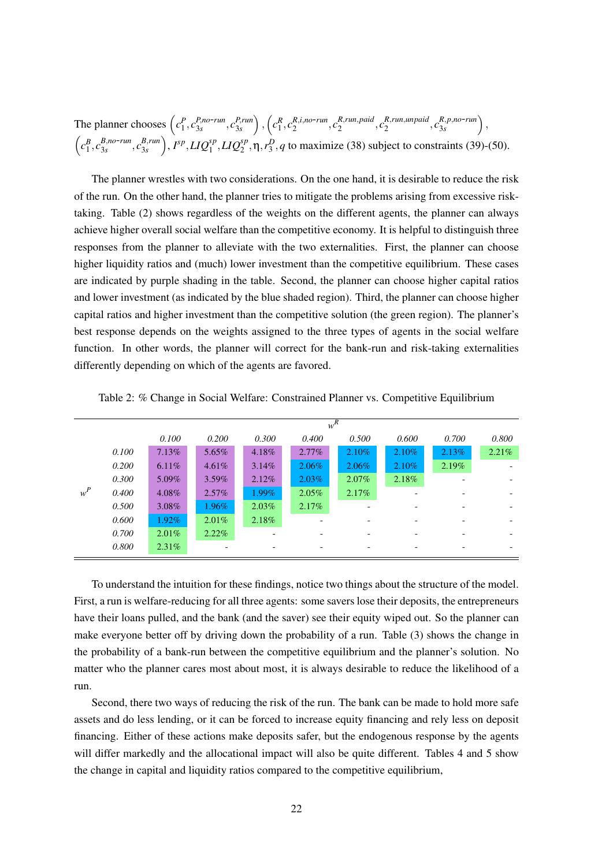The planner chooses  $\left(c_1^P, c_{3s}^{P,no-run}, c_{3s}^{P,run}\right)$  $\binom{P, run}{3s}$ ,  $\left(c_1^R, c_2^{R,i,no-run}, c_2^{R,run,paid}\right)$ 2 , *c R*,*run*,*unpaid*  $\binom{R, run, un paid}{2}, C_{3s}^{R, p, no-run}$ ,  $\left(c_1^B, c_{3s}^{B,no-run}, c_{3s}^{B,run}\right)$  $\binom{B, run}{3s}$ ,  $I^{sp}$ ,  $LIQ_1^{sp}$ ,  $LIQ_2^{sp}$ ,  $\eta$ ,  $r_3^D$ , *q* to maximize (38) subject to constraints (39)-(50).

The planner wrestles with two considerations. On the one hand, it is desirable to reduce the risk of the run. On the other hand, the planner tries to mitigate the problems arising from excessive risktaking. Table (2) shows regardless of the weights on the different agents, the planner can always achieve higher overall social welfare than the competitive economy. It is helpful to distinguish three responses from the planner to alleviate with the two externalities. First, the planner can choose higher liquidity ratios and (much) lower investment than the competitive equilibrium. These cases are indicated by purple shading in the table. Second, the planner can choose higher capital ratios and lower investment (as indicated by the blue shaded region). Third, the planner can choose higher capital ratios and higher investment than the competitive solution (the green region). The planner's best response depends on the weights assigned to the three types of agents in the social welfare function. In other words, the planner will correct for the bank-run and risk-taking externalities differently depending on which of the agents are favored.

|       | $\overline{w^R}$ |          |          |          |          |          |                          |       |       |  |
|-------|------------------|----------|----------|----------|----------|----------|--------------------------|-------|-------|--|
|       |                  | 0.100    | 0.200    | 0.300    | 0.400    | 0.500    | 0.600                    | 0.700 | 0.800 |  |
|       | 0.100            | 7.13%    | 5.65%    | 4.18%    | $2.77\%$ | 2.10%    | $2.10\%$                 | 2.13% | 2.21% |  |
|       | 0.200            | 6.11%    | 4.61%    | $3.14\%$ | $2.06\%$ | $2.06\%$ | $2.10\%$                 | 2.19% |       |  |
|       | 0.300            | $5.09\%$ | $3.59\%$ | 2.12%    | $2.03\%$ | $2.07\%$ | 2.18%                    |       |       |  |
| $w^P$ | 0.400            | 4.08%    | $2.57\%$ | $1.99\%$ | $2.05\%$ | 2.17%    | $\overline{\phantom{0}}$ |       |       |  |
|       | 0.500            | $3.08\%$ | $1.96\%$ | $2.03\%$ | 2.17%    |          |                          |       |       |  |
|       | 0.600            | $1.92\%$ | $2.01\%$ | 2.18%    |          |          |                          |       |       |  |
|       | 0.700            | $2.01\%$ | $2.22\%$ |          |          |          |                          |       |       |  |
|       | 0.800            | 2.31%    |          |          |          |          |                          |       |       |  |

Table 2: % Change in Social Welfare: Constrained Planner vs. Competitive Equilibrium

To understand the intuition for these findings, notice two things about the structure of the model. First, a run is welfare-reducing for all three agents: some savers lose their deposits, the entrepreneurs have their loans pulled, and the bank (and the saver) see their equity wiped out. So the planner can make everyone better off by driving down the probability of a run. Table (3) shows the change in the probability of a bank-run between the competitive equilibrium and the planner's solution. No matter who the planner cares most about most, it is always desirable to reduce the likelihood of a run.

Second, there two ways of reducing the risk of the run. The bank can be made to hold more safe assets and do less lending, or it can be forced to increase equity financing and rely less on deposit financing. Either of these actions make deposits safer, but the endogenous response by the agents will differ markedly and the allocational impact will also be quite different. Tables 4 and 5 show the change in capital and liquidity ratios compared to the competitive equilibrium,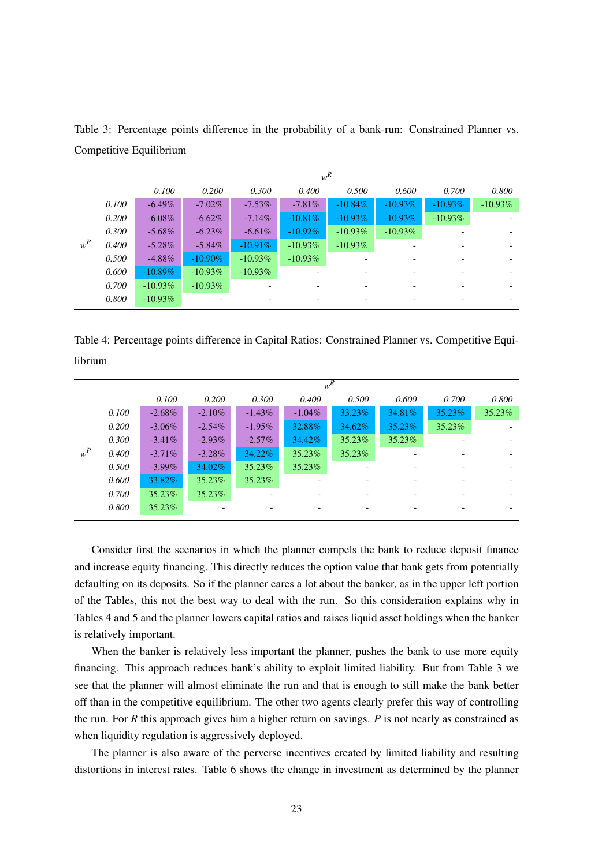|       |       | $w^R$      |            |            |            |            |            |                          |           |  |  |
|-------|-------|------------|------------|------------|------------|------------|------------|--------------------------|-----------|--|--|
|       |       | 0.100      | 0.200      | 0.300      | 0.400      | 0.500      | 0.600      | 0.700                    | 0.800     |  |  |
|       | 0.100 | $-6.49\%$  | $-7.02\%$  | $-7.53\%$  | $-7.81\%$  | $-10.84\%$ | $-10.93\%$ | $-10.93\%$               | $-10.93%$ |  |  |
|       | 0.200 | $-6.08\%$  | $-6.62\%$  | $-7.14\%$  | $-10.81\%$ | $-10.93\%$ | $-10.93\%$ | $-10.93\%$               |           |  |  |
|       | 0.300 | $-5.68\%$  | $-6.23\%$  | $-6.61\%$  | $-10.92\%$ | $-10.93\%$ | $-10.93\%$ |                          |           |  |  |
| $w^P$ | 0.400 | $-5.28\%$  | $-5.84\%$  | $-10.91\%$ | $-10.93\%$ | $-10.93\%$ |            |                          |           |  |  |
|       | 0.500 | $-4.88\%$  | $-10.90\%$ | $-10.93\%$ | $-10.93\%$ |            |            |                          |           |  |  |
|       | 0.600 | $-10.89\%$ | $-10.93\%$ | $-10.93\%$ |            |            |            |                          |           |  |  |
|       | 0.700 | $-10.93\%$ | $-10.93\%$ |            |            |            |            |                          |           |  |  |
|       | 0.800 | $-10.93\%$ |            |            | -          |            | -          | $\overline{\phantom{a}}$ |           |  |  |

Table 3: Percentage points difference in the probability of a bank-run: Constrained Planner vs. Competitive Equilibrium

Table 4: Percentage points difference in Capital Ratios: Constrained Planner vs. Competitive Equilibrium

|       |       | $w^R$     |           |           |           |        |                          |                          |                          |  |  |
|-------|-------|-----------|-----------|-----------|-----------|--------|--------------------------|--------------------------|--------------------------|--|--|
|       |       | 0.100     | 0.200     | 0.300     | 0.400     | 0.500  | 0.600                    | 0.700                    | 0.800                    |  |  |
|       | 0.100 | $-2.68\%$ | $-2.10\%$ | $-1.43\%$ | $-1.04\%$ | 33.23% | 34.81%                   | 35.23%                   | 35.23%                   |  |  |
|       | 0.200 | $-3.06\%$ | $-2.54\%$ | $-1.95\%$ | 32.88%    | 34.62% | 35.23%                   | 35.23%                   |                          |  |  |
|       | 0.300 | $-3.41\%$ | $-2.93\%$ | $-2.57\%$ | 34.42%    | 35.23% | 35.23%                   |                          |                          |  |  |
| $w^P$ | 0.400 | $-3.71\%$ | $-3.28\%$ | 34.22%    | 35.23%    | 35.23% |                          | $\overline{\phantom{a}}$ |                          |  |  |
|       | 0.500 | $-3.99\%$ | 34.02%    | 35.23%    | 35.23%    |        | $\overline{\phantom{0}}$ | $\overline{\phantom{a}}$ |                          |  |  |
|       | 0.600 | 33.82%    | 35.23%    | 35.23%    |           | -      | $\overline{\phantom{0}}$ | $\overline{\phantom{a}}$ | $\overline{\phantom{0}}$ |  |  |
|       | 0.700 | 35.23%    | 35.23%    |           |           |        |                          | $\overline{\phantom{a}}$ |                          |  |  |
|       | 0.800 | 35.23%    | -         | -         |           | -      | $\overline{\phantom{0}}$ | -                        |                          |  |  |

Consider first the scenarios in which the planner compels the bank to reduce deposit finance and increase equity financing. This directly reduces the option value that bank gets from potentially defaulting on its deposits. So if the planner cares a lot about the banker, as in the upper left portion of the Tables, this not the best way to deal with the run. So this consideration explains why in Tables 4 and 5 and the planner lowers capital ratios and raises liquid asset holdings when the banker is relatively important.

When the banker is relatively less important the planner, pushes the bank to use more equity financing. This approach reduces bank's ability to exploit limited liability. But from Table 3 we see that the planner will almost eliminate the run and that is enough to still make the bank better off than in the competitive equilibrium. The other two agents clearly prefer this way of controlling the run. For *R* this approach gives him a higher return on savings. *P* is not nearly as constrained as when liquidity regulation is aggressively deployed.

The planner is also aware of the perverse incentives created by limited liability and resulting distortions in interest rates. Table 6 shows the change in investment as determined by the planner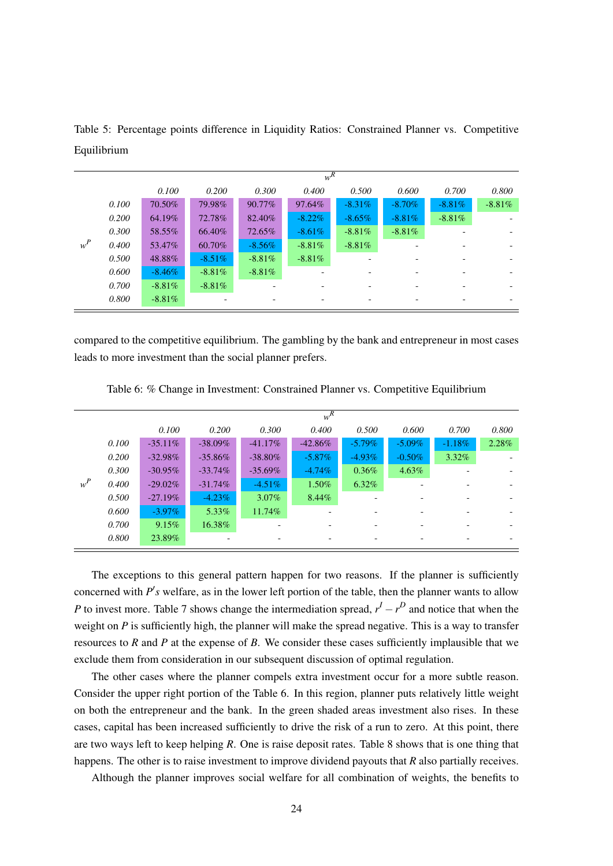|       |       | $w^R$     |           |           |           |           |           |           |          |  |  |
|-------|-------|-----------|-----------|-----------|-----------|-----------|-----------|-----------|----------|--|--|
|       |       | 0.100     | 0.200     | 0.300     | 0.400     | 0.500     | 0.600     | 0.700     | 0.800    |  |  |
|       | 0.100 | 70.50%    | 79.98%    | 90.77%    | 97.64%    | $-8.31\%$ | $-8.70\%$ | $-8.81\%$ | $-8.81%$ |  |  |
|       | 0.200 | 64.19%    | 72.78%    | 82.40%    | $-8.22\%$ | $-8.65\%$ | $-8.81\%$ | $-8.81\%$ |          |  |  |
|       | 0.300 | 58.55%    | 66.40%    | 72.65%    | $-8.61\%$ | $-8.81\%$ | $-8.81\%$ |           |          |  |  |
| $w^P$ | 0.400 | 53.47%    | 60.70%    | $-8.56\%$ | $-8.81\%$ | $-8.81\%$ |           |           |          |  |  |
|       | 0.500 | 48.88%    | $-8.51\%$ | $-8.81\%$ | $-8.81\%$ |           |           |           |          |  |  |
|       | 0.600 | $-8.46\%$ | $-8.81\%$ | $-8.81\%$ |           |           |           |           |          |  |  |
|       | 0.700 | $-8.81\%$ | $-8.81\%$ |           |           |           |           |           |          |  |  |
|       | 0.800 | $-8.81\%$ |           |           |           |           |           |           |          |  |  |

Table 5: Percentage points difference in Liquidity Ratios: Constrained Planner vs. Competitive Equilibrium

compared to the competitive equilibrium. The gambling by the bank and entrepreneur in most cases leads to more investment than the social planner prefers.

|       | $w^R$ |            |            |            |            |           |                          |           |       |  |  |
|-------|-------|------------|------------|------------|------------|-----------|--------------------------|-----------|-------|--|--|
|       |       | 0.100      | 0.200      | 0.300      | 0.400      | 0.500     | 0.600                    | 0.700     | 0.800 |  |  |
|       | 0.100 | $-35.11\%$ | $-38.09\%$ | $-41.17\%$ | $-42.86\%$ | $-5.79\%$ | $-5.09\%$                | $-1.18\%$ | 2.28% |  |  |
|       | 0.200 | $-32.98\%$ | $-35.86\%$ | $-38.80\%$ | $-5.87\%$  | $-4.93\%$ | $-0.50\%$                | $3.32\%$  |       |  |  |
|       | 0.300 | $-30.95\%$ | $-33.74\%$ | $-35.69\%$ | $-4.74\%$  | $0.36\%$  | $4.63\%$                 |           |       |  |  |
| $w^P$ | 0.400 | $-29.02\%$ | $-31.74\%$ | $-4.51\%$  | 1.50%      | 6.32%     |                          |           |       |  |  |
|       | 0.500 | $-27.19\%$ | $-4.23\%$  | $3.07\%$   | $8.44\%$   |           | $\overline{\phantom{0}}$ |           |       |  |  |
|       | 0.600 | $-3.97\%$  | 5.33%      | 11.74%     |            |           | $\overline{\phantom{a}}$ |           |       |  |  |
|       | 0.700 | $9.15\%$   | 16.38%     |            |            |           | $\overline{a}$           |           |       |  |  |
|       | 0.800 | 23.89%     |            | -          |            |           | $\overline{\phantom{a}}$ | -         |       |  |  |

Table 6: % Change in Investment: Constrained Planner vs. Competitive Equilibrium

The exceptions to this general pattern happen for two reasons. If the planner is sufficiently concerned with P's welfare, as in the lower left portion of the table, then the planner wants to allow *P* to invest more. Table 7 shows change the intermediation spread,  $r<sup>I</sup> - r<sup>D</sup>$  and notice that when the weight on *P* is sufficiently high, the planner will make the spread negative. This is a way to transfer resources to *R* and *P* at the expense of *B*. We consider these cases sufficiently implausible that we exclude them from consideration in our subsequent discussion of optimal regulation.

The other cases where the planner compels extra investment occur for a more subtle reason. Consider the upper right portion of the Table 6. In this region, planner puts relatively little weight on both the entrepreneur and the bank. In the green shaded areas investment also rises. In these cases, capital has been increased sufficiently to drive the risk of a run to zero. At this point, there are two ways left to keep helping *R*. One is raise deposit rates. Table 8 shows that is one thing that happens. The other is to raise investment to improve dividend payouts that *R* also partially receives.

Although the planner improves social welfare for all combination of weights, the benefits to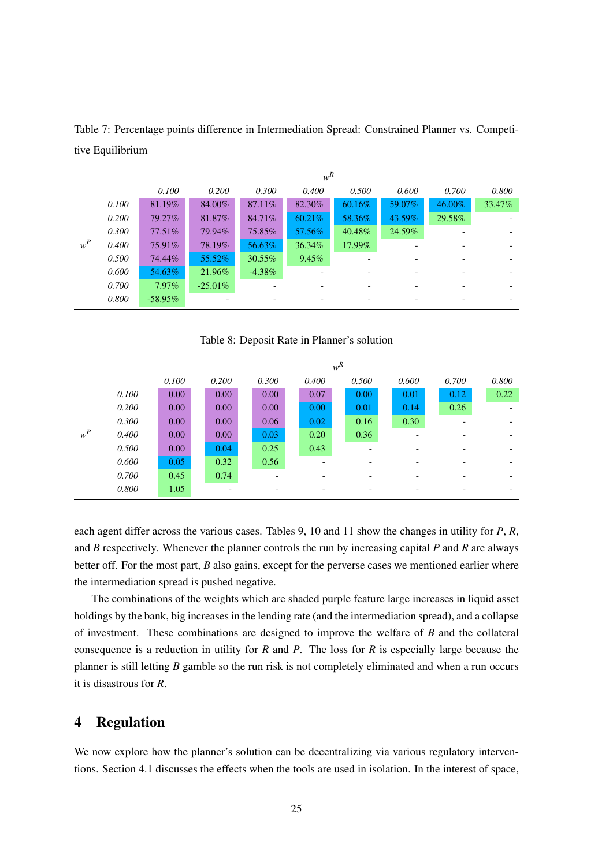|       | $w^R$ |            |            |           |        |        |        |        |        |  |  |
|-------|-------|------------|------------|-----------|--------|--------|--------|--------|--------|--|--|
|       |       | 0.100      | 0.200      | 0.300     | 0.400  | 0.500  | 0.600  | 0.700  | 0.800  |  |  |
|       | 0.100 | 81.19%     | 84.00%     | 87.11\%   | 82.30% | 60.16% | 59.07% | 46.00% | 33.47% |  |  |
|       | 0.200 | 79.27%     | 81.87%     | 84.71%    | 60.21% | 58.36% | 43.59% | 29.58% |        |  |  |
|       | 0.300 | 77.51\%    | 79.94%     | 75.85%    | 57.56% | 40.48% | 24.59% |        |        |  |  |
| $w^P$ | 0.400 | 75.91%     | 78.19%     | 56.63%    | 36.34% | 17.99% |        |        |        |  |  |
|       | 0.500 | 74.44%     | 55.52%     | $30.55\%$ | 9.45%  |        |        |        |        |  |  |
|       | 0.600 | 54.63%     | 21.96%     | $-4.38\%$ |        |        |        |        |        |  |  |
|       | 0.700 | $7.97\%$   | $-25.01\%$ |           |        |        |        |        |        |  |  |
|       | 0.800 | $-58.95\%$ |            |           |        |        |        |        |        |  |  |

Table 7: Percentage points difference in Intermediation Spread: Constrained Planner vs. Competitive Equilibrium

Table 8: Deposit Rate in Planner's solution

|       |       | $w^R$ |                   |       |                          |                   |       |       |                          |  |  |
|-------|-------|-------|-------------------|-------|--------------------------|-------------------|-------|-------|--------------------------|--|--|
|       |       | 0.100 | 0.200             | 0.300 | 0.400                    | 0.500             | 0.600 | 0.700 | 0.800                    |  |  |
|       | 0.100 | 0.00  | 0.00              | 0.00  | 0.07                     | 0.00 <sub>1</sub> | 0.01  | 0.12  | 0.22                     |  |  |
|       | 0.200 | 0.00  | 0.00              | 0.00  | 0.00 <sub>1</sub>        | 0.01              | 0.14  | 0.26  |                          |  |  |
|       | 0.300 | 0.00  | 0.00 <sub>1</sub> | 0.06  | 0.02                     | 0.16              | 0.30  |       |                          |  |  |
| $w^P$ | 0.400 | 0.00  | 0.00              | 0.03  | 0.20                     | 0.36              |       |       | $\overline{\phantom{0}}$ |  |  |
|       | 0.500 | 0.00  | 0.04              | 0.25  | 0.43                     |                   |       |       |                          |  |  |
|       | 0.600 | 0.05  | 0.32              | 0.56  | $\overline{\phantom{0}}$ | -                 |       |       |                          |  |  |
|       | 0.700 | 0.45  | 0.74              |       |                          | -                 |       |       |                          |  |  |
|       | 0.800 | 1.05  |                   |       |                          |                   |       |       |                          |  |  |

each agent differ across the various cases. Tables 9, 10 and 11 show the changes in utility for *P*, *R*, and *B* respectively. Whenever the planner controls the run by increasing capital *P* and *R* are always better off. For the most part, *B* also gains, except for the perverse cases we mentioned earlier where the intermediation spread is pushed negative.

The combinations of the weights which are shaded purple feature large increases in liquid asset holdings by the bank, big increases in the lending rate (and the intermediation spread), and a collapse of investment. These combinations are designed to improve the welfare of *B* and the collateral consequence is a reduction in utility for *R* and *P*. The loss for *R* is especially large because the planner is still letting *B* gamble so the run risk is not completely eliminated and when a run occurs it is disastrous for *R*.

# 4 Regulation

We now explore how the planner's solution can be decentralizing via various regulatory interventions. Section 4.1 discusses the effects when the tools are used in isolation. In the interest of space,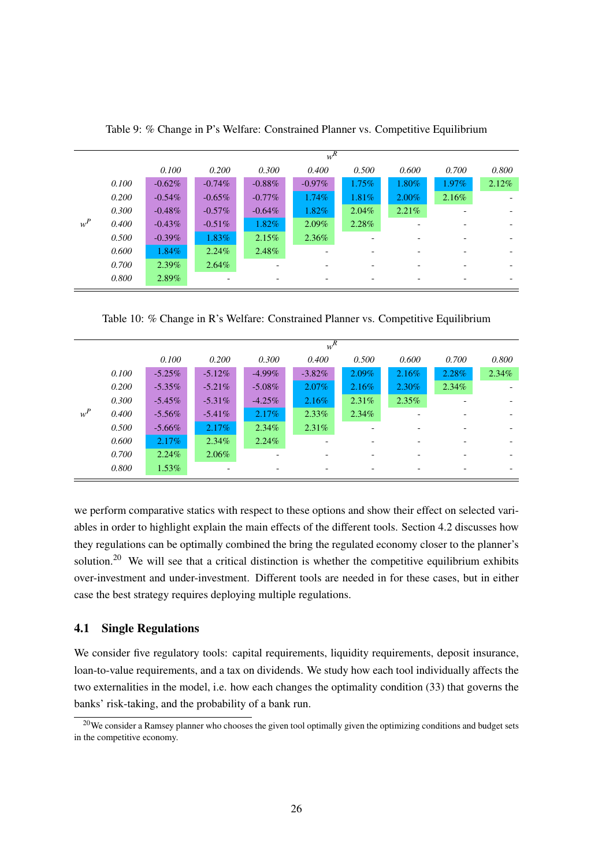|       | $w^R$ |           |           |           |           |          |          |          |       |  |
|-------|-------|-----------|-----------|-----------|-----------|----------|----------|----------|-------|--|
|       |       | 0.100     | 0.200     | 0.300     | 0.400     | 0.500    | 0.600    | 0.700    | 0.800 |  |
|       | 0.100 | $-0.62\%$ | $-0.74\%$ | $-0.88\%$ | $-0.97\%$ | $1.75\%$ | 1.80%    | $1.97\%$ | 2.12% |  |
|       | 0.200 | $-0.54\%$ | $-0.65\%$ | $-0.77\%$ | $1.74\%$  | $1.81\%$ | $2.00\%$ | 2.16%    |       |  |
|       | 0.300 | $-0.48\%$ | $-0.57\%$ | $-0.64\%$ | 1.82%     | $2.04\%$ | 2.21%    |          |       |  |
| $w^P$ | 0.400 | $-0.43\%$ | $-0.51\%$ | 1.82%     | $2.09\%$  | 2.28%    |          |          |       |  |
|       | 0.500 | $-0.39\%$ | 1.83%     | 2.15%     | 2.36%     |          |          |          |       |  |
|       | 0.600 | 1.84%     | 2.24%     | 2.48%     | ۰         |          |          |          |       |  |
|       | 0.700 | $2.39\%$  | $2.64\%$  |           | -         |          |          |          |       |  |
|       | 0.800 | 2.89%     |           | -         | -         | -        |          |          |       |  |

Table 9: % Change in P's Welfare: Constrained Planner vs. Competitive Equilibrium

Table 10: % Change in R's Welfare: Constrained Planner vs. Competitive Equilibrium

|       | $w^R$ |           |           |           |           |          |                          |       |                          |  |  |
|-------|-------|-----------|-----------|-----------|-----------|----------|--------------------------|-------|--------------------------|--|--|
|       |       | 0.100     | 0.200     | 0.300     | 0.400     | 0.500    | 0.600                    | 0.700 | 0.800                    |  |  |
|       | 0.100 | $-5.25\%$ | $-5.12\%$ | $-4.99\%$ | $-3.82\%$ | $2.09\%$ | $2.16\%$                 | 2.28% | 2.34%                    |  |  |
|       | 0.200 | $-5.35\%$ | $-5.21\%$ | $-5.08\%$ | $2.07\%$  | $2.16\%$ | 2.30%                    | 2.34% |                          |  |  |
|       | 0.300 | $-5.45\%$ | $-5.31\%$ | $-4.25\%$ | $2.16\%$  | 2.31%    | $2.35\%$                 |       | $\overline{\phantom{a}}$ |  |  |
| $w^P$ | 0.400 | $-5.56\%$ | $-5.41\%$ | $2.17\%$  | $2.33\%$  | $2.34\%$ |                          |       |                          |  |  |
|       | 0.500 | $-5.66\%$ | $2.17\%$  | $2.34\%$  | 2.31%     |          |                          |       |                          |  |  |
|       | 0.600 | $2.17\%$  | $2.34\%$  | $2.24\%$  | -         |          | $\overline{\phantom{0}}$ |       | $\overline{\phantom{0}}$ |  |  |
|       | 0.700 | $2.24\%$  | $2.06\%$  |           | ۰         |          |                          |       |                          |  |  |
|       | 0.800 | $1.53\%$  |           |           | -         |          |                          |       | $\overline{\phantom{a}}$ |  |  |

we perform comparative statics with respect to these options and show their effect on selected variables in order to highlight explain the main effects of the different tools. Section 4.2 discusses how they regulations can be optimally combined the bring the regulated economy closer to the planner's solution.<sup>20</sup> We will see that a critical distinction is whether the competitive equilibrium exhibits over-investment and under-investment. Different tools are needed in for these cases, but in either case the best strategy requires deploying multiple regulations.

### 4.1 Single Regulations

We consider five regulatory tools: capital requirements, liquidity requirements, deposit insurance, loan-to-value requirements, and a tax on dividends. We study how each tool individually affects the two externalities in the model, i.e. how each changes the optimality condition (33) that governs the banks' risk-taking, and the probability of a bank run.

 $20$ We consider a Ramsey planner who chooses the given tool optimally given the optimizing conditions and budget sets in the competitive economy.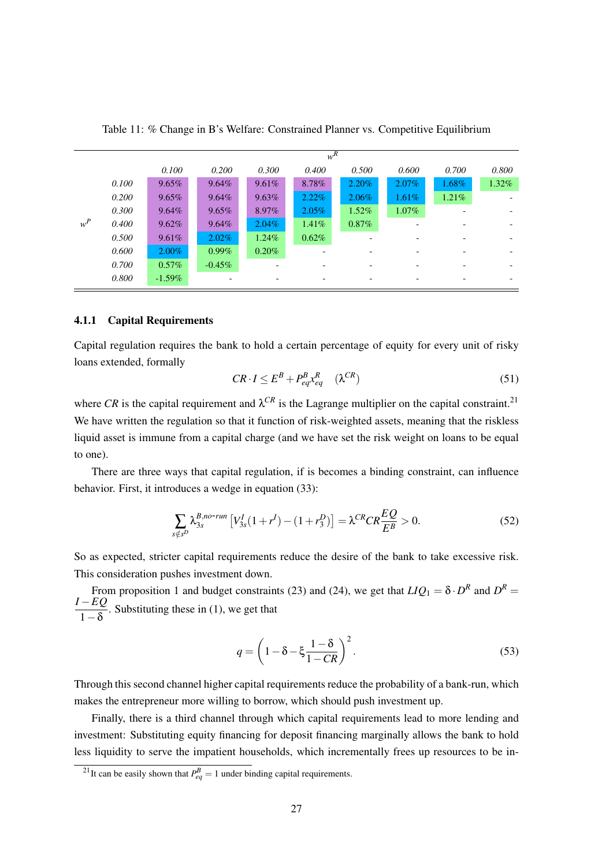|       |       |           | $w^{\overline{R}}$ |          |          |          |          |          |          |  |  |  |
|-------|-------|-----------|--------------------|----------|----------|----------|----------|----------|----------|--|--|--|
|       |       | 0.100     | 0.200              | 0.300    | 0.400    | 0.500    | 0.600    | 0.700    | 0.800    |  |  |  |
|       | 0.100 | 9.65%     | $9.64\%$           | $9.61\%$ | 8.78%    | 2.20%    | 2.07%    | $1.68\%$ | $1.32\%$ |  |  |  |
|       | 0.200 | 9.65%     | $9.64\%$           | 9.63%    | $2.22\%$ | 2.06%    | 1.61%    | $1.21\%$ |          |  |  |  |
|       | 0.300 | $9.64\%$  | $9.65\%$           | 8.97%    | $2.05\%$ | 1.52%    | $1.07\%$ |          |          |  |  |  |
| $w^P$ | 0.400 | 9.62%     | $9.64\%$           | $2.04\%$ | $1.41\%$ | $0.87\%$ |          |          |          |  |  |  |
|       | 0.500 | 9.61%     | $2.02\%$           | $1.24\%$ | 0.62%    |          |          |          |          |  |  |  |
|       | 0.600 | $2.00\%$  | $0.99\%$           | $0.20\%$ |          |          |          |          |          |  |  |  |
|       | 0.700 | $0.57\%$  | $-0.45\%$          |          |          |          |          |          |          |  |  |  |
|       | 0.800 | $-1.59\%$ |                    |          |          |          |          |          |          |  |  |  |

Table 11: % Change in B's Welfare: Constrained Planner vs. Competitive Equilibrium

### 4.1.1 Capital Requirements

Capital regulation requires the bank to hold a certain percentage of equity for every unit of risky loans extended, formally

$$
CR \cdot I \le E^B + P_{eq}^B x_{eq}^R \quad (\lambda^{CR}) \tag{51}
$$

where CR is the capital requirement and  $\lambda^{CR}$  is the Lagrange multiplier on the capital constraint.<sup>21</sup> We have written the regulation so that it function of risk-weighted assets, meaning that the riskless liquid asset is immune from a capital charge (and we have set the risk weight on loans to be equal to one).

There are three ways that capital regulation, if is becomes a binding constraint, can influence behavior. First, it introduces a wedge in equation (33):

$$
\sum_{s \notin s^D} \lambda_{3s}^{B, no-run} \left[ V_{3s}^I (1 + r^I) - (1 + r_3^D) \right] = \lambda^{CR} C R \frac{EQ}{E^B} > 0. \tag{52}
$$

So as expected, stricter capital requirements reduce the desire of the bank to take excessive risk. This consideration pushes investment down.

From proposition 1 and budget constraints (23) and (24), we get that  $LIQ_1 = \delta \cdot D^R$  and  $D^R =$ *I* −*EQ*  $\frac{2z}{1-\delta}$ . Substituting these in (1), we get that

$$
q = \left(1 - \delta - \xi \frac{1 - \delta}{1 - CR}\right)^2.
$$
\n(53)

Through this second channel higher capital requirements reduce the probability of a bank-run, which makes the entrepreneur more willing to borrow, which should push investment up.

Finally, there is a third channel through which capital requirements lead to more lending and investment: Substituting equity financing for deposit financing marginally allows the bank to hold less liquidity to serve the impatient households, which incrementally frees up resources to be in-

<sup>&</sup>lt;sup>21</sup>It can be easily shown that  $P_{eq}^{B} = 1$  under binding capital requirements.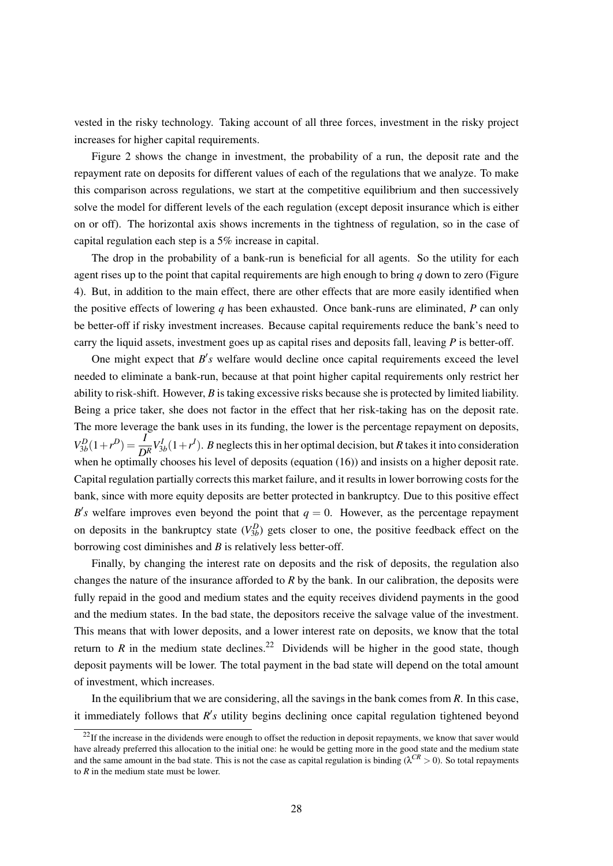vested in the risky technology. Taking account of all three forces, investment in the risky project increases for higher capital requirements.

Figure 2 shows the change in investment, the probability of a run, the deposit rate and the repayment rate on deposits for different values of each of the regulations that we analyze. To make this comparison across regulations, we start at the competitive equilibrium and then successively solve the model for different levels of the each regulation (except deposit insurance which is either on or off). The horizontal axis shows increments in the tightness of regulation, so in the case of capital regulation each step is a 5% increase in capital.

The drop in the probability of a bank-run is beneficial for all agents. So the utility for each agent rises up to the point that capital requirements are high enough to bring *q* down to zero (Figure 4). But, in addition to the main effect, there are other effects that are more easily identified when the positive effects of lowering *q* has been exhausted. Once bank-runs are eliminated, *P* can only be better-off if risky investment increases. Because capital requirements reduce the bank's need to carry the liquid assets, investment goes up as capital rises and deposits fall, leaving *P* is better-off.

One might expect that  $B's$  welfare would decline once capital requirements exceed the level needed to eliminate a bank-run, because at that point higher capital requirements only restrict her ability to risk-shift. However, *B* is taking excessive risks because she is protected by limited liability. Being a price taker, she does not factor in the effect that her risk-taking has on the deposit rate. The more leverage the bank uses in its funding, the lower is the percentage repayment on deposits,  $V_{3b}^{D}(1+r^{D}) = \frac{I}{D_{3b}^{R}} V_{3b}^{I}(1+r^{I})$ . *B* neglects this in her optimal decision, but *R* takes it into consideration when he optimally chooses his level of deposits (equation (16)) and insists on a higher deposit rate. Capital regulation partially corrects this market failure, and it results in lower borrowing costs for the bank, since with more equity deposits are better protected in bankruptcy. Due to this positive effect  $B$ 's welfare improves even beyond the point that  $q = 0$ . However, as the percentage repayment on deposits in the bankruptcy state  $(V_{3b}^D)$  gets closer to one, the positive feedback effect on the borrowing cost diminishes and *B* is relatively less better-off.

Finally, by changing the interest rate on deposits and the risk of deposits, the regulation also changes the nature of the insurance afforded to *R* by the bank. In our calibration, the deposits were fully repaid in the good and medium states and the equity receives dividend payments in the good and the medium states. In the bad state, the depositors receive the salvage value of the investment. This means that with lower deposits, and a lower interest rate on deposits, we know that the total return to *R* in the medium state declines.<sup>22</sup> Dividends will be higher in the good state, though deposit payments will be lower. The total payment in the bad state will depend on the total amount of investment, which increases.

In the equilibrium that we are considering, all the savings in the bank comes from *R*. In this case, it immediately follows that  $R$ 's utility begins declining once capital regulation tightened beyond

 $^{22}$ If the increase in the dividends were enough to offset the reduction in deposit repayments, we know that saver would have already preferred this allocation to the initial one: he would be getting more in the good state and the medium state and the same amount in the bad state. This is not the case as capital regulation is binding ( $\lambda^{CR} > 0$ ). So total repayments to *R* in the medium state must be lower.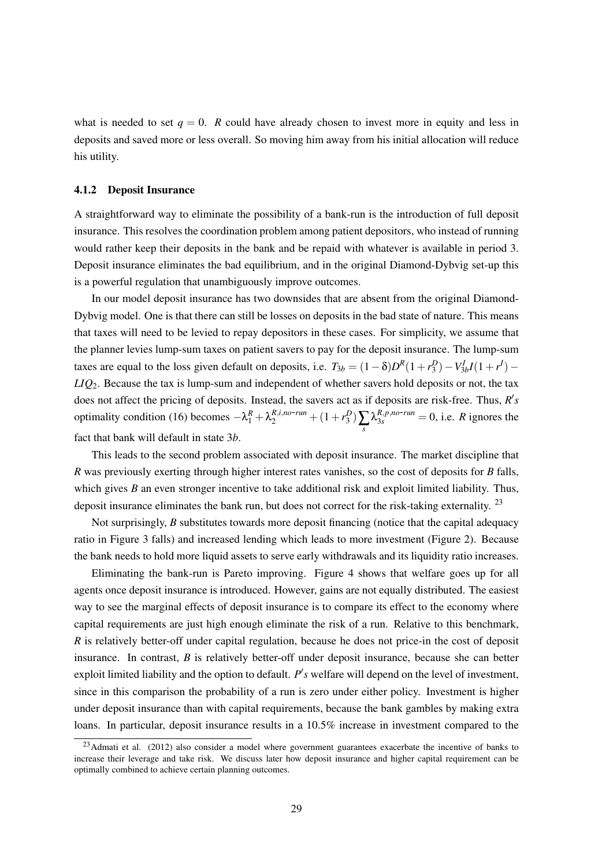what is needed to set  $q = 0$ . *R* could have already chosen to invest more in equity and less in deposits and saved more or less overall. So moving him away from his initial allocation will reduce his utility.

#### 4.1.2 Deposit Insurance

A straightforward way to eliminate the possibility of a bank-run is the introduction of full deposit insurance. This resolves the coordination problem among patient depositors, who instead of running would rather keep their deposits in the bank and be repaid with whatever is available in period 3. Deposit insurance eliminates the bad equilibrium, and in the original Diamond-Dybvig set-up this is a powerful regulation that unambiguously improve outcomes.

In our model deposit insurance has two downsides that are absent from the original Diamond-Dybvig model. One is that there can still be losses on deposits in the bad state of nature. This means that taxes will need to be levied to repay depositors in these cases. For simplicity, we assume that the planner levies lump-sum taxes on patient savers to pay for the deposit insurance. The lump-sum taxes are equal to the loss given default on deposits, i.e.  $T_{3b} = (1 - \delta)D^R(1 + r_3^D) - V_{3b}^I(1 + r^I) -$ *LIQ*2. Because the tax is lump-sum and independent of whether savers hold deposits or not, the tax does not affect the pricing of deposits. Instead, the savers act as if deposits are risk-free. Thus, *R's* optimality condition (16) becomes  $-\lambda_1^R + \lambda_2^{R,i,no-run} + (1 + r_3^D) \sum_s \lambda_{3s}^{R,p,no-run} = 0$ , i.e. *R* ignores the fact that bank will default in state 3*b*.

This leads to the second problem associated with deposit insurance. The market discipline that *R* was previously exerting through higher interest rates vanishes, so the cost of deposits for *B* falls, which gives *B* an even stronger incentive to take additional risk and exploit limited liability. Thus, deposit insurance eliminates the bank run, but does not correct for the risk-taking externality. <sup>23</sup>

Not surprisingly, *B* substitutes towards more deposit financing (notice that the capital adequacy ratio in Figure 3 falls) and increased lending which leads to more investment (Figure 2). Because the bank needs to hold more liquid assets to serve early withdrawals and its liquidity ratio increases.

Eliminating the bank-run is Pareto improving. Figure 4 shows that welfare goes up for all agents once deposit insurance is introduced. However, gains are not equally distributed. The easiest way to see the marginal effects of deposit insurance is to compare its effect to the economy where capital requirements are just high enough eliminate the risk of a run. Relative to this benchmark, *R* is relatively better-off under capital regulation, because he does not price-in the cost of deposit insurance. In contrast, *B* is relatively better-off under deposit insurance, because she can better exploit limited liability and the option to default. P's welfare will depend on the level of investment, since in this comparison the probability of a run is zero under either policy. Investment is higher under deposit insurance than with capital requirements, because the bank gambles by making extra loans. In particular, deposit insurance results in a 10.5% increase in investment compared to the

<sup>&</sup>lt;sup>23</sup>Admati et al. (2012) also consider a model where government guarantees exacerbate the incentive of banks to increase their leverage and take risk. We discuss later how deposit insurance and higher capital requirement can be optimally combined to achieve certain planning outcomes.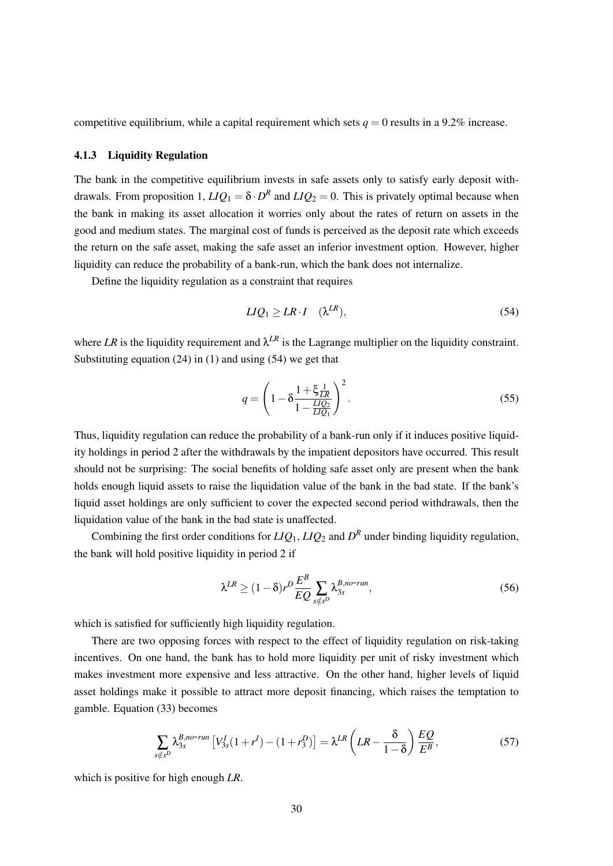competitive equilibrium, while a capital requirement which sets  $q = 0$  results in a 9.2% increase.

### 4.1.3 Liquidity Regulation

The bank in the competitive equilibrium invests in safe assets only to satisfy early deposit withdrawals. From proposition 1,  $LIQ_1 = \delta \cdot D^R$  and  $LIQ_2 = 0$ . This is privately optimal because when the bank in making its asset allocation it worries only about the rates of return on assets in the good and medium states. The marginal cost of funds is perceived as the deposit rate which exceeds the return on the safe asset, making the safe asset an inferior investment option. However, higher liquidity can reduce the probability of a bank-run, which the bank does not internalize.

Define the liquidity regulation as a constraint that requires

$$
LIQ_1 \ge LR \cdot I \quad (\lambda^{LR}), \tag{54}
$$

where LR is the liquidity requirement and  $\lambda^{LR}$  is the Lagrange multiplier on the liquidity constraint. Substituting equation  $(24)$  in  $(1)$  and using  $(54)$  we get that

$$
q = \left(1 - \delta \frac{1 + \xi \frac{1}{LR}}{1 - \frac{LIQ_2}{LIQ_1}}\right)^2.
$$
 (55)

Thus, liquidity regulation can reduce the probability of a bank-run only if it induces positive liquidity holdings in period 2 after the withdrawals by the impatient depositors have occurred. This result should not be surprising: The social benefits of holding safe asset only are present when the bank holds enough liquid assets to raise the liquidation value of the bank in the bad state. If the bank's liquid asset holdings are only sufficient to cover the expected second period withdrawals, then the liquidation value of the bank in the bad state is unaffected.

Combining the first order conditions for  $LIQ_1$ ,  $LIQ_2$  and  $D<sup>R</sup>$  under binding liquidity regulation, the bank will hold positive liquidity in period 2 if

$$
\lambda^{LR} \ge (1 - \delta) r^D \frac{E^B}{EQ} \sum_{s \notin s^D} \lambda_{3s}^{B, no-run}, \tag{56}
$$

which is satisfied for sufficiently high liquidity regulation.

There are two opposing forces with respect to the effect of liquidity regulation on risk-taking incentives. On one hand, the bank has to hold more liquidity per unit of risky investment which makes investment more expensive and less attractive. On the other hand, higher levels of liquid asset holdings make it possible to attract more deposit financing, which raises the temptation to gamble. Equation (33) becomes

$$
\sum_{s \notin s^D} \lambda_{3s}^{B, no-run} \left[ V_{3s}^I (1 + r^I) - (1 + r_3^D) \right] = \lambda^{LR} \left( LR - \frac{\delta}{1 - \delta} \right) \frac{EQ}{E^B},\tag{57}
$$

which is positive for high enough *LR*.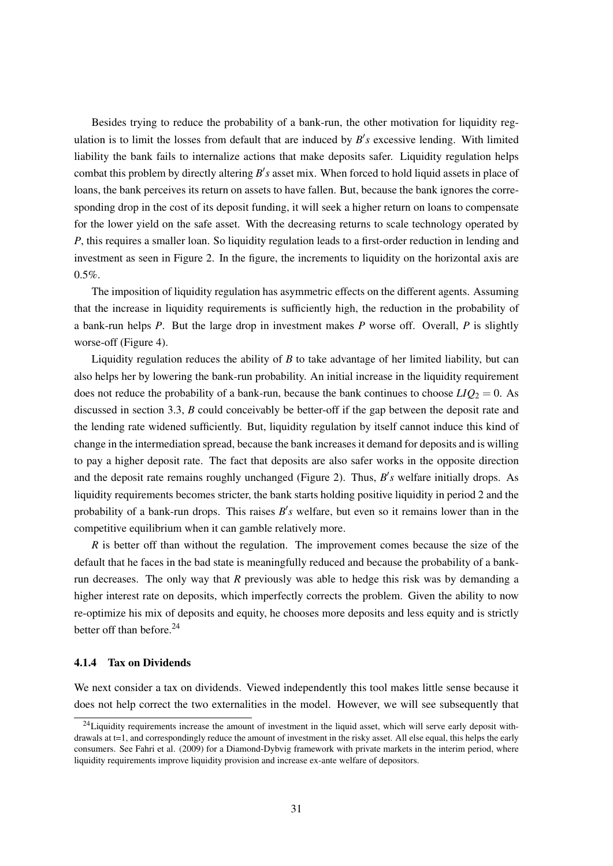Besides trying to reduce the probability of a bank-run, the other motivation for liquidity regulation is to limit the losses from default that are induced by  $B'$ s excessive lending. With limited liability the bank fails to internalize actions that make deposits safer. Liquidity regulation helps combat this problem by directly altering B's asset mix. When forced to hold liquid assets in place of loans, the bank perceives its return on assets to have fallen. But, because the bank ignores the corresponding drop in the cost of its deposit funding, it will seek a higher return on loans to compensate for the lower yield on the safe asset. With the decreasing returns to scale technology operated by *P*, this requires a smaller loan. So liquidity regulation leads to a first-order reduction in lending and investment as seen in Figure 2. In the figure, the increments to liquidity on the horizontal axis are  $0.5\%$ .

The imposition of liquidity regulation has asymmetric effects on the different agents. Assuming that the increase in liquidity requirements is sufficiently high, the reduction in the probability of a bank-run helps *P*. But the large drop in investment makes *P* worse off. Overall, *P* is slightly worse-off (Figure 4).

Liquidity regulation reduces the ability of *B* to take advantage of her limited liability, but can also helps her by lowering the bank-run probability. An initial increase in the liquidity requirement does not reduce the probability of a bank-run, because the bank continues to choose  $LIQ_2 = 0$ . As discussed in section 3.3, *B* could conceivably be better-off if the gap between the deposit rate and the lending rate widened sufficiently. But, liquidity regulation by itself cannot induce this kind of change in the intermediation spread, because the bank increases it demand for deposits and is willing to pay a higher deposit rate. The fact that deposits are also safer works in the opposite direction and the deposit rate remains roughly unchanged (Figure 2). Thus,  $B's$  welfare initially drops. As liquidity requirements becomes stricter, the bank starts holding positive liquidity in period 2 and the probability of a bank-run drops. This raises  $B's$  welfare, but even so it remains lower than in the competitive equilibrium when it can gamble relatively more.

*R* is better off than without the regulation. The improvement comes because the size of the default that he faces in the bad state is meaningfully reduced and because the probability of a bankrun decreases. The only way that *R* previously was able to hedge this risk was by demanding a higher interest rate on deposits, which imperfectly corrects the problem. Given the ability to now re-optimize his mix of deposits and equity, he chooses more deposits and less equity and is strictly better off than before.<sup>24</sup>

#### 4.1.4 Tax on Dividends

We next consider a tax on dividends. Viewed independently this tool makes little sense because it does not help correct the two externalities in the model. However, we will see subsequently that

 $24$ Liquidity requirements increase the amount of investment in the liquid asset, which will serve early deposit withdrawals at t=1, and correspondingly reduce the amount of investment in the risky asset. All else equal, this helps the early consumers. See Fahri et al. (2009) for a Diamond-Dybvig framework with private markets in the interim period, where liquidity requirements improve liquidity provision and increase ex-ante welfare of depositors.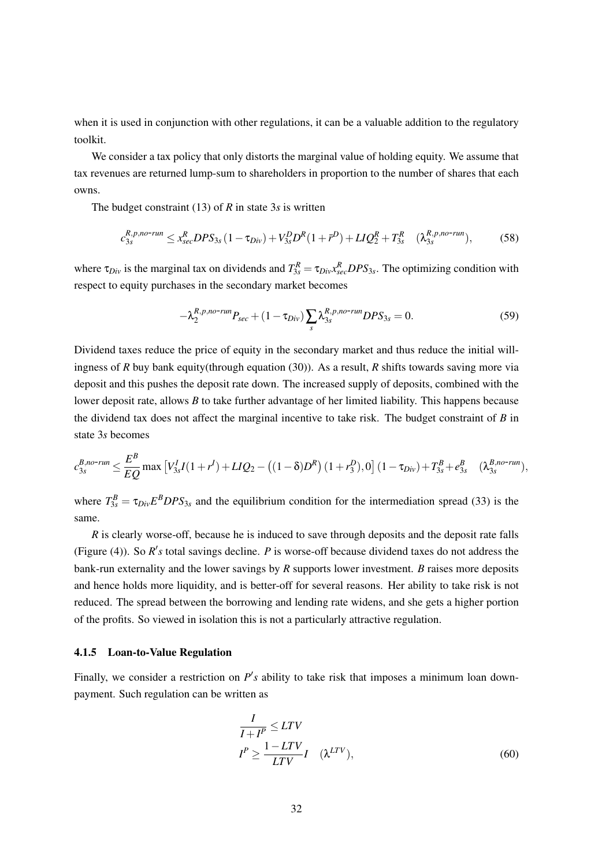when it is used in conjunction with other regulations, it can be a valuable addition to the regulatory toolkit.

We consider a tax policy that only distorts the marginal value of holding equity. We assume that tax revenues are returned lump-sum to shareholders in proportion to the number of shares that each owns.

The budget constraint (13) of *R* in state 3*s* is written

$$
c_{3s}^{R,p,no-run} \le x_{sec}^{R} DPS_{3s} (1 - \tau_{Div}) + V_{3s}^{D} D^{R} (1 + \bar{r}^{D}) + LIQ_{2}^{R} + T_{3s}^{R} \quad (\lambda_{3s}^{R,p,no-run}), \tag{58}
$$

where  $\tau_{Div}$  is the marginal tax on dividends and  $T_{3s}^R = \tau_{Div} x_{sec}^R DPS_{3s}$ . The optimizing condition with respect to equity purchases in the secondary market becomes

$$
-\lambda_2^{R,p,no\text{-}run}P_{sec} + (1 - \tau_{Div})\sum_s \lambda_{3s}^{R,p,no\text{-}run} DPS_{3s} = 0. \tag{59}
$$

Dividend taxes reduce the price of equity in the secondary market and thus reduce the initial willingness of *R* buy bank equity(through equation (30)). As a result, *R* shifts towards saving more via deposit and this pushes the deposit rate down. The increased supply of deposits, combined with the lower deposit rate, allows *B* to take further advantage of her limited liability. This happens because the dividend tax does not affect the marginal incentive to take risk. The budget constraint of *B* in state 3*s* becomes

$$
c_{3s}^{B,no-run} \leq \frac{E^B}{EQ} \max \left[ V_{3s}^I I(1+r^I) + L I Q_2 - \left( (1-\delta)D^R \right) (1+r_3^D), 0 \right] (1-\tau_{Div}) + T_{3s}^B + e_{3s}^B \quad (\lambda_{3s}^{B,no-run}),
$$

where  $T_{3s}^B = \tau_{Div} E^B DPS_{3s}$  and the equilibrium condition for the intermediation spread (33) is the same.

*R* is clearly worse-off, because he is induced to save through deposits and the deposit rate falls (Figure (4)). So  $R's$  total savings decline. *P* is worse-off because dividend taxes do not address the bank-run externality and the lower savings by *R* supports lower investment. *B* raises more deposits and hence holds more liquidity, and is better-off for several reasons. Her ability to take risk is not reduced. The spread between the borrowing and lending rate widens, and she gets a higher portion of the profits. So viewed in isolation this is not a particularly attractive regulation.

#### 4.1.5 Loan-to-Value Regulation

Finally, we consider a restriction on  $P'$ s ability to take risk that imposes a minimum loan downpayment. Such regulation can be written as

$$
\frac{I}{I+I^{P}} \leq LTV
$$
\n
$$
I^{P} \geq \frac{1-LTV}{LTV}I \quad (\lambda^{LTV}),
$$
\n(60)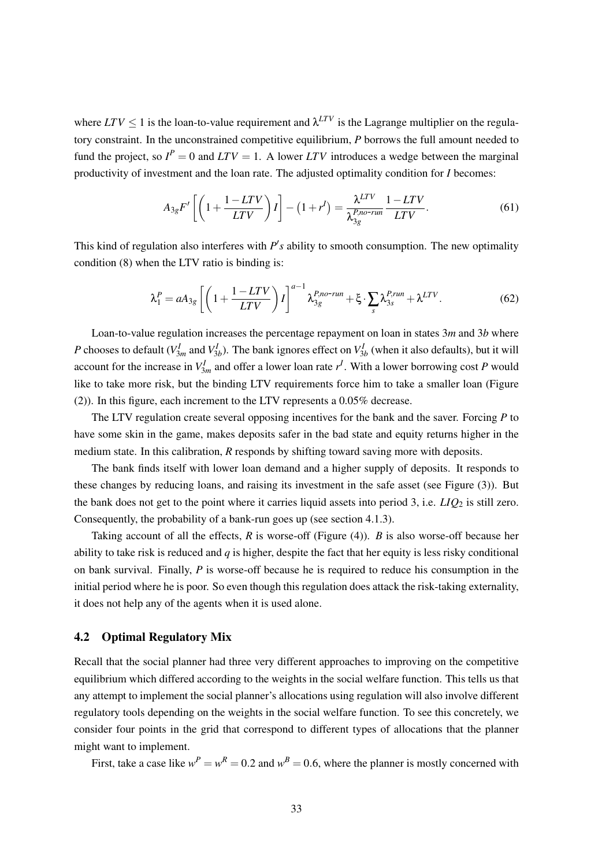where  $LTV \leq 1$  is the loan-to-value requirement and  $\lambda^{LTV}$  is the Lagrange multiplier on the regulatory constraint. In the unconstrained competitive equilibrium, *P* borrows the full amount needed to fund the project, so  $I^P = 0$  and  $LTV = 1$ . A lower  $LTV$  introduces a wedge between the marginal productivity of investment and the loan rate. The adjusted optimality condition for *I* becomes:

$$
A_{3g}F'\left[\left(1+\frac{1-LTV}{LTV}\right)I\right]-\left(1+r^{I}\right)=\frac{\lambda^{LTV}}{\lambda_{3g}^{P,norum}}\frac{1-LTV}{LTV}.\tag{61}
$$

This kind of regulation also interferes with  $P's$  ability to smooth consumption. The new optimality condition (8) when the LTV ratio is binding is:

$$
\lambda_1^P = aA_{3g} \left[ \left( 1 + \frac{1 - LTV}{LTV} \right) I \right]^{a-1} \lambda_{3g}^{P, no-run} + \xi \cdot \sum_s \lambda_{3s}^{P, run} + \lambda^{LTV}.
$$
 (62)

Loan-to-value regulation increases the percentage repayment on loan in states 3*m* and 3*b* where *P* chooses to default ( $V_{3m}^I$  and  $V_{3b}^I$ ). The bank ignores effect on  $V_{3b}^I$  (when it also defaults), but it will account for the increase in  $V_{3m}^I$  and offer a lower loan rate  $r^I$ . With a lower borrowing cost *P* would like to take more risk, but the binding LTV requirements force him to take a smaller loan (Figure (2)). In this figure, each increment to the LTV represents a 0.05% decrease.

The LTV regulation create several opposing incentives for the bank and the saver. Forcing *P* to have some skin in the game, makes deposits safer in the bad state and equity returns higher in the medium state. In this calibration, *R* responds by shifting toward saving more with deposits.

The bank finds itself with lower loan demand and a higher supply of deposits. It responds to these changes by reducing loans, and raising its investment in the safe asset (see Figure (3)). But the bank does not get to the point where it carries liquid assets into period 3, i.e.  $LIO<sub>2</sub>$  is still zero. Consequently, the probability of a bank-run goes up (see section 4.1.3).

Taking account of all the effects, *R* is worse-off (Figure (4)). *B* is also worse-off because her ability to take risk is reduced and *q* is higher, despite the fact that her equity is less risky conditional on bank survival. Finally, *P* is worse-off because he is required to reduce his consumption in the initial period where he is poor. So even though this regulation does attack the risk-taking externality, it does not help any of the agents when it is used alone.

### 4.2 Optimal Regulatory Mix

Recall that the social planner had three very different approaches to improving on the competitive equilibrium which differed according to the weights in the social welfare function. This tells us that any attempt to implement the social planner's allocations using regulation will also involve different regulatory tools depending on the weights in the social welfare function. To see this concretely, we consider four points in the grid that correspond to different types of allocations that the planner might want to implement.

First, take a case like  $w^P = w^R = 0.2$  and  $w^B = 0.6$ , where the planner is mostly concerned with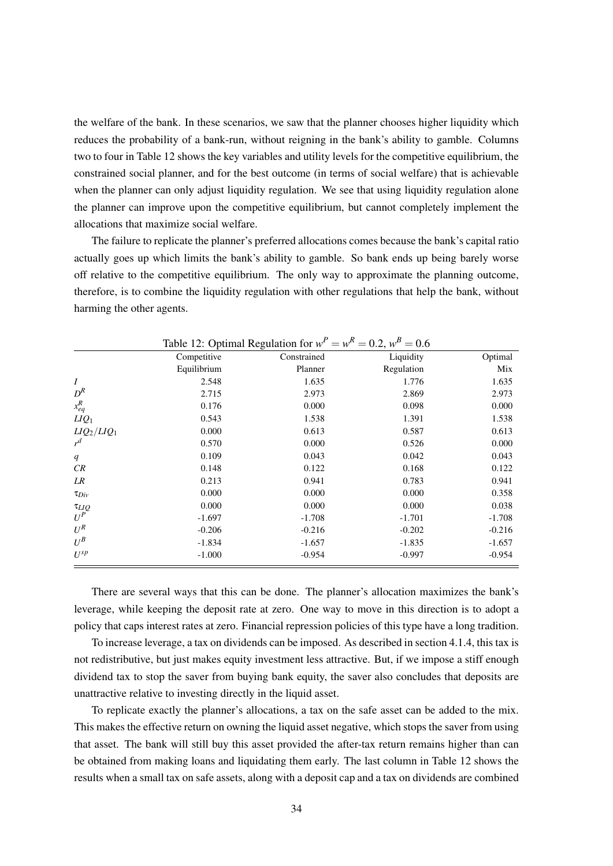the welfare of the bank. In these scenarios, we saw that the planner chooses higher liquidity which reduces the probability of a bank-run, without reigning in the bank's ability to gamble. Columns two to four in Table 12 shows the key variables and utility levels for the competitive equilibrium, the constrained social planner, and for the best outcome (in terms of social welfare) that is achievable when the planner can only adjust liquidity regulation. We see that using liquidity regulation alone the planner can improve upon the competitive equilibrium, but cannot completely implement the allocations that maximize social welfare.

The failure to replicate the planner's preferred allocations comes because the bank's capital ratio actually goes up which limits the bank's ability to gamble. So bank ends up being barely worse off relative to the competitive equilibrium. The only way to approximate the planning outcome, therefore, is to combine the liquidity regulation with other regulations that help the bank, without harming the other agents.

|                            |             | Table 12: Optimal Regulation for $w^P = w^R = 0.2$ , $w^B = 0.6$ |            |          |
|----------------------------|-------------|------------------------------------------------------------------|------------|----------|
|                            | Competitive | Constrained                                                      | Liquidity  | Optimal  |
|                            | Equilibrium | Planner                                                          | Regulation | Mix      |
| $\boldsymbol{I}$           | 2.548       | 1.635                                                            | 1.776      | 1.635    |
| $D^R$                      | 2.715       | 2.973                                                            | 2.869      | 2.973    |
| $x_{eq}^R$                 | 0.176       | 0.000                                                            | 0.098      | 0.000    |
| $LIQ_1$                    | 0.543       | 1.538                                                            | 1.391      | 1.538    |
| $LIQ_2/LIQ_1$              | 0.000       | 0.613                                                            | 0.587      | 0.613    |
| $r^d$                      | 0.570       | 0.000                                                            | 0.526      | 0.000    |
| q                          | 0.109       | 0.043                                                            | 0.042      | 0.043    |
| CR                         | 0.148       | 0.122                                                            | 0.168      | 0.122    |
| LR                         | 0.213       | 0.941                                                            | 0.783      | 0.941    |
| $\tau_{Div}$               | 0.000       | 0.000                                                            | 0.000      | 0.358    |
|                            | 0.000       | 0.000                                                            | 0.000      | 0.038    |
| $\frac{\tau_{LIQ}}{U^{P}}$ | $-1.697$    | $-1.708$                                                         | $-1.701$   | $-1.708$ |
| $U^R$                      | $-0.206$    | $-0.216$                                                         | $-0.202$   | $-0.216$ |
| $U^B$                      | $-1.834$    | $-1.657$                                                         | $-1.835$   | $-1.657$ |
| $U^{sp}$                   | $-1.000$    | $-0.954$                                                         | $-0.997$   | $-0.954$ |

There are several ways that this can be done. The planner's allocation maximizes the bank's leverage, while keeping the deposit rate at zero. One way to move in this direction is to adopt a policy that caps interest rates at zero. Financial repression policies of this type have a long tradition.

To increase leverage, a tax on dividends can be imposed. As described in section 4.1.4, this tax is not redistributive, but just makes equity investment less attractive. But, if we impose a stiff enough dividend tax to stop the saver from buying bank equity, the saver also concludes that deposits are unattractive relative to investing directly in the liquid asset.

To replicate exactly the planner's allocations, a tax on the safe asset can be added to the mix. This makes the effective return on owning the liquid asset negative, which stops the saver from using that asset. The bank will still buy this asset provided the after-tax return remains higher than can be obtained from making loans and liquidating them early. The last column in Table 12 shows the results when a small tax on safe assets, along with a deposit cap and a tax on dividends are combined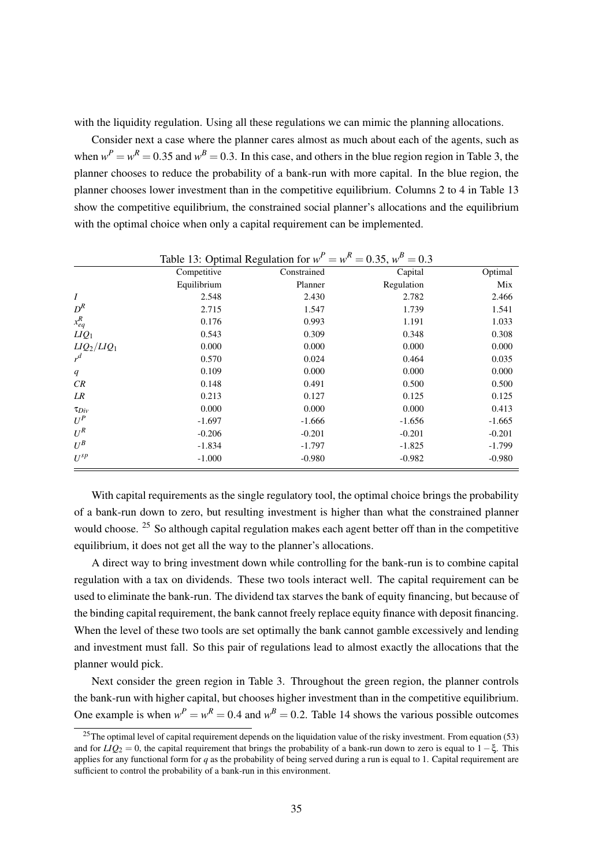with the liquidity regulation. Using all these regulations we can mimic the planning allocations.

Consider next a case where the planner cares almost as much about each of the agents, such as when  $w^P = w^R = 0.35$  and  $w^B = 0.3$ . In this case, and others in the blue region region in Table 3, the planner chooses to reduce the probability of a bank-run with more capital. In the blue region, the planner chooses lower investment than in the competitive equilibrium. Columns 2 to 4 in Table 13 show the competitive equilibrium, the constrained social planner's allocations and the equilibrium with the optimal choice when only a capital requirement can be implemented.

|                  | Table 13: Optimal Regulation for $w^P = w^R = 0.35$ , $w^B = 0.3$ |             |            |          |  |
|------------------|-------------------------------------------------------------------|-------------|------------|----------|--|
|                  | Competitive                                                       | Constrained | Capital    | Optimal  |  |
|                  | Equilibrium                                                       | Planner     | Regulation | Mix      |  |
| $\boldsymbol{I}$ | 2.548                                                             | 2.430       | 2.782      | 2.466    |  |
| $D^R$            | 2.715                                                             | 1.547       | 1.739      | 1.541    |  |
| $x_{eq}^R$       | 0.176                                                             | 0.993       | 1.191      | 1.033    |  |
| $LIQ_1$          | 0.543                                                             | 0.309       | 0.348      | 0.308    |  |
| $LIQ_2/LIQ_1$    | 0.000                                                             | 0.000       | 0.000      | 0.000    |  |
| $r^d$            | 0.570                                                             | 0.024       | 0.464      | 0.035    |  |
| q                | 0.109                                                             | 0.000       | 0.000      | 0.000    |  |
| CR               | 0.148                                                             | 0.491       | 0.500      | 0.500    |  |
| LR               | 0.213                                                             | 0.127       | 0.125      | 0.125    |  |
| $\tau_{Div}$     | 0.000                                                             | 0.000       | 0.000      | 0.413    |  |
| $U^P$            | $-1.697$                                                          | $-1.666$    | $-1.656$   | $-1.665$ |  |
| $U^R$            | $-0.206$                                                          | $-0.201$    | $-0.201$   | $-0.201$ |  |
| $U^B$            | $-1.834$                                                          | $-1.797$    | $-1.825$   | $-1.799$ |  |
| $U^{sp}$         | $-1.000$                                                          | $-0.980$    | $-0.982$   | $-0.980$ |  |

With capital requirements as the single regulatory tool, the optimal choice brings the probability of a bank-run down to zero, but resulting investment is higher than what the constrained planner would choose. <sup>25</sup> So although capital regulation makes each agent better off than in the competitive equilibrium, it does not get all the way to the planner's allocations.

A direct way to bring investment down while controlling for the bank-run is to combine capital regulation with a tax on dividends. These two tools interact well. The capital requirement can be used to eliminate the bank-run. The dividend tax starves the bank of equity financing, but because of the binding capital requirement, the bank cannot freely replace equity finance with deposit financing. When the level of these two tools are set optimally the bank cannot gamble excessively and lending and investment must fall. So this pair of regulations lead to almost exactly the allocations that the planner would pick.

Next consider the green region in Table 3. Throughout the green region, the planner controls the bank-run with higher capital, but chooses higher investment than in the competitive equilibrium. One example is when  $w^P = w^R = 0.4$  and  $w^B = 0.2$ . Table 14 shows the various possible outcomes

<sup>&</sup>lt;sup>25</sup>The optimal level of capital requirement depends on the liquidation value of the risky investment. From equation  $(53)$ and for  $LIQ_2 = 0$ , the capital requirement that brings the probability of a bank-run down to zero is equal to  $1-\xi$ . This applies for any functional form for *q* as the probability of being served during a run is equal to 1. Capital requirement are sufficient to control the probability of a bank-run in this environment.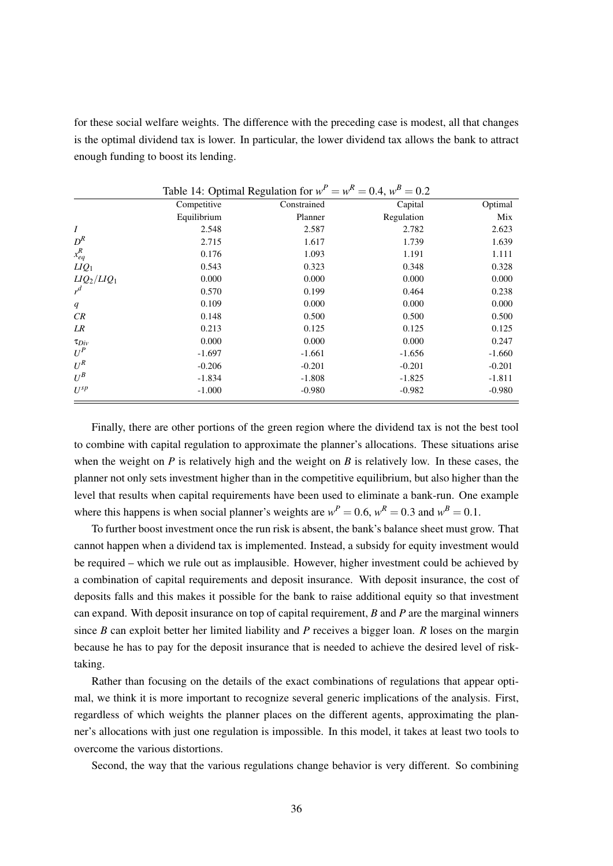for these social welfare weights. The difference with the preceding case is modest, all that changes is the optimal dividend tax is lower. In particular, the lower dividend tax allows the bank to attract enough funding to boost its lending.

|                  |             | Table 14: Optimal Regulation for $w^P = w^R = 0.4$ , $w^B = 0.2$ |            |          |
|------------------|-------------|------------------------------------------------------------------|------------|----------|
|                  | Competitive | Constrained                                                      | Capital    | Optimal  |
|                  | Equilibrium | Planner                                                          | Regulation | Mix      |
| $\boldsymbol{I}$ | 2.548       | 2.587                                                            | 2.782      | 2.623    |
| $D^R$            | 2.715       | 1.617                                                            | 1.739      | 1.639    |
| $x_{eq}^R$       | 0.176       | 1.093                                                            | 1.191      | 1.111    |
| $LIQ_1$          | 0.543       | 0.323                                                            | 0.348      | 0.328    |
| $LIQ_2/LIQ_1$    | 0.000       | 0.000                                                            | 0.000      | 0.000    |
| $r^d$            | 0.570       | 0.199                                                            | 0.464      | 0.238    |
| q                | 0.109       | 0.000                                                            | 0.000      | 0.000    |
| CR               | 0.148       | 0.500                                                            | 0.500      | 0.500    |
| LR               | 0.213       | 0.125                                                            | 0.125      | 0.125    |
| $\tau_{Div}$     | 0.000       | 0.000                                                            | 0.000      | 0.247    |
| $U^P$            | $-1.697$    | $-1.661$                                                         | $-1.656$   | $-1.660$ |
| $U^R$            | $-0.206$    | $-0.201$                                                         | $-0.201$   | $-0.201$ |
| $U^B$            | $-1.834$    | $-1.808$                                                         | $-1.825$   | $-1.811$ |
| $U^{sp}$         | $-1.000$    | $-0.980$                                                         | $-0.982$   | $-0.980$ |

Finally, there are other portions of the green region where the dividend tax is not the best tool to combine with capital regulation to approximate the planner's allocations. These situations arise when the weight on *P* is relatively high and the weight on *B* is relatively low. In these cases, the planner not only sets investment higher than in the competitive equilibrium, but also higher than the level that results when capital requirements have been used to eliminate a bank-run. One example where this happens is when social planner's weights are  $w^P = 0.6$ ,  $w^R = 0.3$  and  $w^B = 0.1$ .

To further boost investment once the run risk is absent, the bank's balance sheet must grow. That cannot happen when a dividend tax is implemented. Instead, a subsidy for equity investment would be required – which we rule out as implausible. However, higher investment could be achieved by a combination of capital requirements and deposit insurance. With deposit insurance, the cost of deposits falls and this makes it possible for the bank to raise additional equity so that investment can expand. With deposit insurance on top of capital requirement, *B* and *P* are the marginal winners since *B* can exploit better her limited liability and *P* receives a bigger loan. *R* loses on the margin because he has to pay for the deposit insurance that is needed to achieve the desired level of risktaking.

Rather than focusing on the details of the exact combinations of regulations that appear optimal, we think it is more important to recognize several generic implications of the analysis. First, regardless of which weights the planner places on the different agents, approximating the planner's allocations with just one regulation is impossible. In this model, it takes at least two tools to overcome the various distortions.

Second, the way that the various regulations change behavior is very different. So combining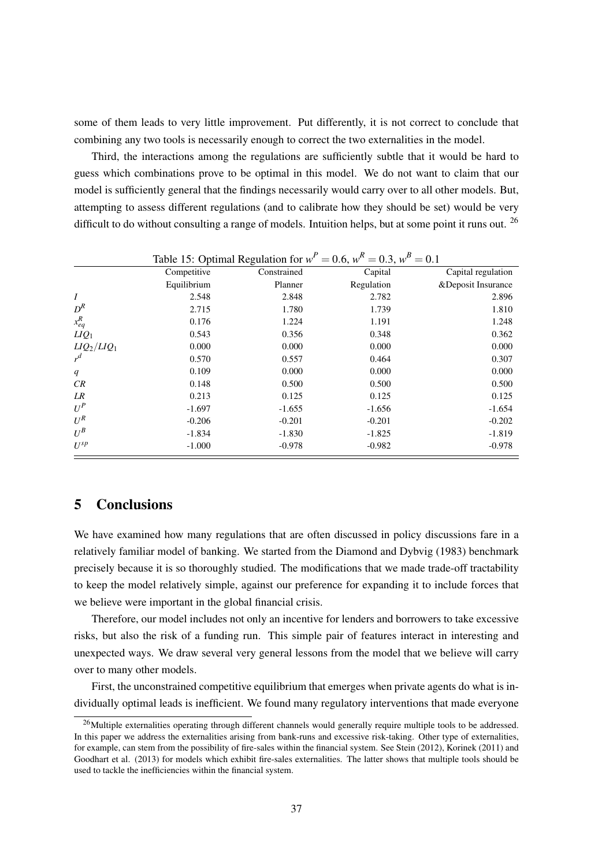some of them leads to very little improvement. Put differently, it is not correct to conclude that combining any two tools is necessarily enough to correct the two externalities in the model.

Third, the interactions among the regulations are sufficiently subtle that it would be hard to guess which combinations prove to be optimal in this model. We do not want to claim that our model is sufficiently general that the findings necessarily would carry over to all other models. But, attempting to assess different regulations (and to calibrate how they should be set) would be very difficult to do without consulting a range of models. Intuition helps, but at some point it runs out.  $^{26}$ 

|                  |             | Table 15: Optimal Regulation for $w^P = 0.6$ , $w^R = 0.3$ , $w^B = 0.1$ |            |                     |
|------------------|-------------|--------------------------------------------------------------------------|------------|---------------------|
|                  | Competitive | Constrained                                                              | Capital    | Capital regulation  |
|                  | Equilibrium | Planner                                                                  | Regulation | & Deposit Insurance |
| $\boldsymbol{I}$ | 2.548       | 2.848                                                                    | 2.782      | 2.896               |
| $D^R$            | 2.715       | 1.780                                                                    | 1.739      | 1.810               |
| $x_{eq}^R$       | 0.176       | 1.224                                                                    | 1.191      | 1.248               |
| $LIQ_1$          | 0.543       | 0.356                                                                    | 0.348      | 0.362               |
| $LIQ_2/LIQ_1$    | 0.000       | 0.000                                                                    | 0.000      | 0.000               |
| $r^d$            | 0.570       | 0.557                                                                    | 0.464      | 0.307               |
| q                | 0.109       | 0.000                                                                    | 0.000      | 0.000               |
| CR               | 0.148       | 0.500                                                                    | 0.500      | 0.500               |
| LR               | 0.213       | 0.125                                                                    | 0.125      | 0.125               |
| $U^P$            | $-1.697$    | $-1.655$                                                                 | $-1.656$   | $-1.654$            |
| $U^R$            | $-0.206$    | $-0.201$                                                                 | $-0.201$   | $-0.202$            |
| $U^B$            | $-1.834$    | $-1.830$                                                                 | $-1.825$   | $-1.819$            |
| $U^{sp}$         | $-1.000$    | $-0.978$                                                                 | $-0.982$   | $-0.978$            |

# 5 Conclusions

We have examined how many regulations that are often discussed in policy discussions fare in a relatively familiar model of banking. We started from the Diamond and Dybvig (1983) benchmark precisely because it is so thoroughly studied. The modifications that we made trade-off tractability to keep the model relatively simple, against our preference for expanding it to include forces that we believe were important in the global financial crisis.

Therefore, our model includes not only an incentive for lenders and borrowers to take excessive risks, but also the risk of a funding run. This simple pair of features interact in interesting and unexpected ways. We draw several very general lessons from the model that we believe will carry over to many other models.

First, the unconstrained competitive equilibrium that emerges when private agents do what is individually optimal leads is inefficient. We found many regulatory interventions that made everyone

<sup>&</sup>lt;sup>26</sup>Multiple externalities operating through different channels would generally require multiple tools to be addressed. In this paper we address the externalities arising from bank-runs and excessive risk-taking. Other type of externalities, for example, can stem from the possibility of fire-sales within the financial system. See Stein (2012), Korinek (2011) and Goodhart et al. (2013) for models which exhibit fire-sales externalities. The latter shows that multiple tools should be used to tackle the inefficiencies within the financial system.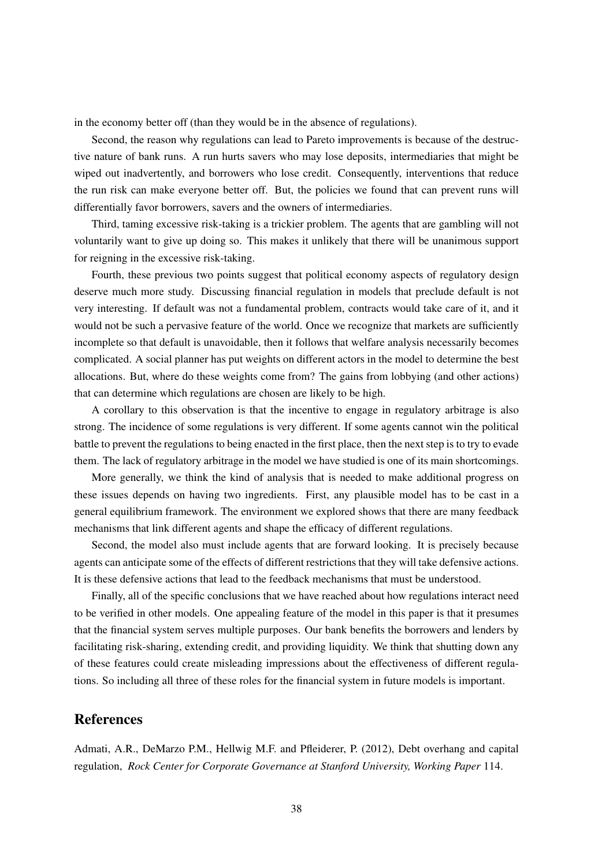in the economy better off (than they would be in the absence of regulations).

Second, the reason why regulations can lead to Pareto improvements is because of the destructive nature of bank runs. A run hurts savers who may lose deposits, intermediaries that might be wiped out inadvertently, and borrowers who lose credit. Consequently, interventions that reduce the run risk can make everyone better off. But, the policies we found that can prevent runs will differentially favor borrowers, savers and the owners of intermediaries.

Third, taming excessive risk-taking is a trickier problem. The agents that are gambling will not voluntarily want to give up doing so. This makes it unlikely that there will be unanimous support for reigning in the excessive risk-taking.

Fourth, these previous two points suggest that political economy aspects of regulatory design deserve much more study. Discussing financial regulation in models that preclude default is not very interesting. If default was not a fundamental problem, contracts would take care of it, and it would not be such a pervasive feature of the world. Once we recognize that markets are sufficiently incomplete so that default is unavoidable, then it follows that welfare analysis necessarily becomes complicated. A social planner has put weights on different actors in the model to determine the best allocations. But, where do these weights come from? The gains from lobbying (and other actions) that can determine which regulations are chosen are likely to be high.

A corollary to this observation is that the incentive to engage in regulatory arbitrage is also strong. The incidence of some regulations is very different. If some agents cannot win the political battle to prevent the regulations to being enacted in the first place, then the next step is to try to evade them. The lack of regulatory arbitrage in the model we have studied is one of its main shortcomings.

More generally, we think the kind of analysis that is needed to make additional progress on these issues depends on having two ingredients. First, any plausible model has to be cast in a general equilibrium framework. The environment we explored shows that there are many feedback mechanisms that link different agents and shape the efficacy of different regulations.

Second, the model also must include agents that are forward looking. It is precisely because agents can anticipate some of the effects of different restrictions that they will take defensive actions. It is these defensive actions that lead to the feedback mechanisms that must be understood.

Finally, all of the specific conclusions that we have reached about how regulations interact need to be verified in other models. One appealing feature of the model in this paper is that it presumes that the financial system serves multiple purposes. Our bank benefits the borrowers and lenders by facilitating risk-sharing, extending credit, and providing liquidity. We think that shutting down any of these features could create misleading impressions about the effectiveness of different regulations. So including all three of these roles for the financial system in future models is important.

### References

Admati, A.R., DeMarzo P.M., Hellwig M.F. and Pfleiderer, P. (2012), Debt overhang and capital regulation, *Rock Center for Corporate Governance at Stanford University, Working Paper* 114.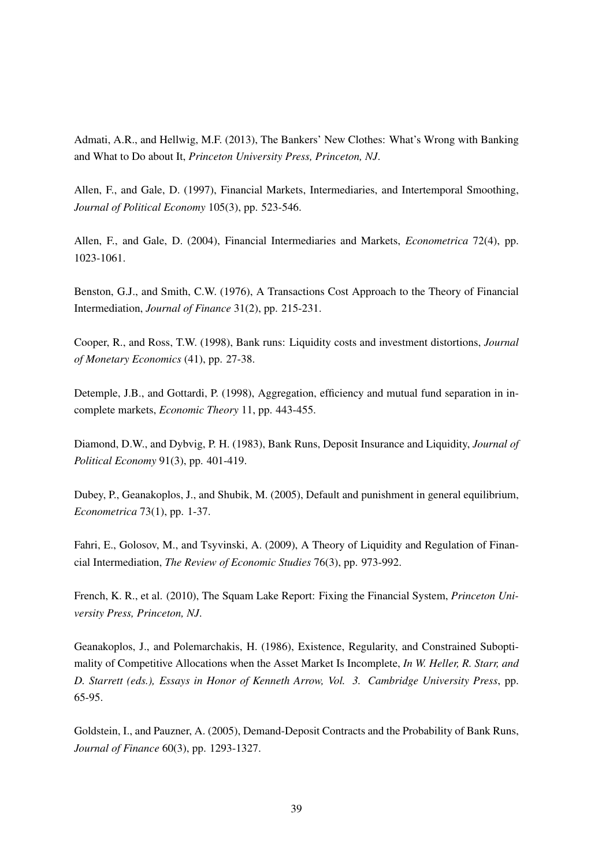Admati, A.R., and Hellwig, M.F. (2013), The Bankers' New Clothes: What's Wrong with Banking and What to Do about It, *Princeton University Press, Princeton, NJ*.

Allen, F., and Gale, D. (1997), Financial Markets, Intermediaries, and Intertemporal Smoothing, *Journal of Political Economy* 105(3), pp. 523-546.

Allen, F., and Gale, D. (2004), Financial Intermediaries and Markets, *Econometrica* 72(4), pp. 1023-1061.

Benston, G.J., and Smith, C.W. (1976), A Transactions Cost Approach to the Theory of Financial Intermediation, *Journal of Finance* 31(2), pp. 215-231.

Cooper, R., and Ross, T.W. (1998), Bank runs: Liquidity costs and investment distortions, *Journal of Monetary Economics* (41), pp. 27-38.

Detemple, J.B., and Gottardi, P. (1998), Aggregation, efficiency and mutual fund separation in incomplete markets, *Economic Theory* 11, pp. 443-455.

Diamond, D.W., and Dybvig, P. H. (1983), Bank Runs, Deposit Insurance and Liquidity, *Journal of Political Economy* 91(3), pp. 401-419.

Dubey, P., Geanakoplos, J., and Shubik, M. (2005), Default and punishment in general equilibrium, *Econometrica* 73(1), pp. 1-37.

Fahri, E., Golosov, M., and Tsyvinski, A. (2009), A Theory of Liquidity and Regulation of Financial Intermediation, *The Review of Economic Studies* 76(3), pp. 973-992.

French, K. R., et al. (2010), The Squam Lake Report: Fixing the Financial System, *Princeton University Press, Princeton, NJ*.

Geanakoplos, J., and Polemarchakis, H. (1986), Existence, Regularity, and Constrained Suboptimality of Competitive Allocations when the Asset Market Is Incomplete, *In W. Heller, R. Starr, and D. Starrett (eds.), Essays in Honor of Kenneth Arrow, Vol. 3. Cambridge University Press*, pp. 65-95.

Goldstein, I., and Pauzner, A. (2005), Demand-Deposit Contracts and the Probability of Bank Runs, *Journal of Finance* 60(3), pp. 1293-1327.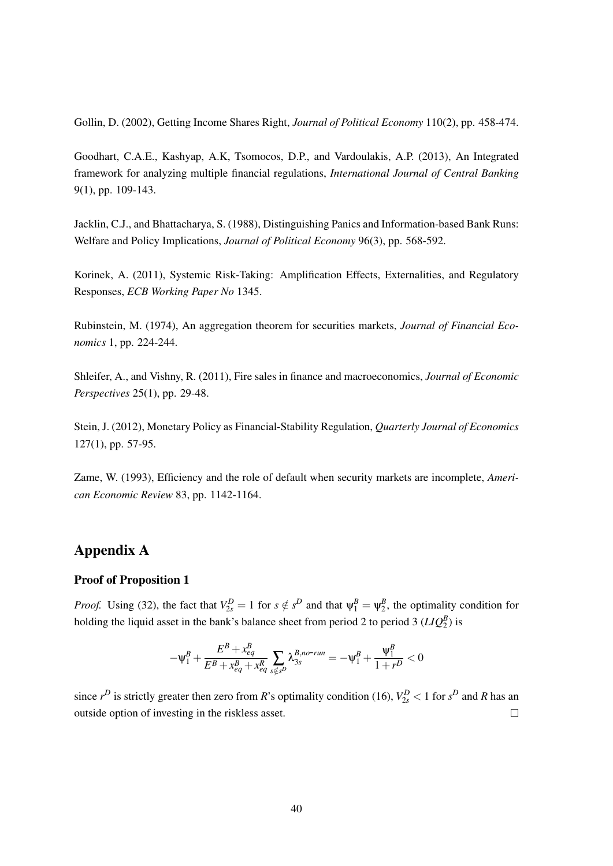Gollin, D. (2002), Getting Income Shares Right, *Journal of Political Economy* 110(2), pp. 458-474.

Goodhart, C.A.E., Kashyap, A.K, Tsomocos, D.P., and Vardoulakis, A.P. (2013), An Integrated framework for analyzing multiple financial regulations, *International Journal of Central Banking* 9(1), pp. 109-143.

Jacklin, C.J., and Bhattacharya, S. (1988), Distinguishing Panics and Information-based Bank Runs: Welfare and Policy Implications, *Journal of Political Economy* 96(3), pp. 568-592.

Korinek, A. (2011), Systemic Risk-Taking: Amplification Effects, Externalities, and Regulatory Responses, *ECB Working Paper No* 1345.

Rubinstein, M. (1974), An aggregation theorem for securities markets, *Journal of Financial Economics* 1, pp. 224-244.

Shleifer, A., and Vishny, R. (2011), Fire sales in finance and macroeconomics, *Journal of Economic Perspectives* 25(1), pp. 29-48.

Stein, J. (2012), Monetary Policy as Financial-Stability Regulation, *Quarterly Journal of Economics* 127(1), pp. 57-95.

Zame, W. (1993), Efficiency and the role of default when security markets are incomplete, *American Economic Review* 83, pp. 1142-1164.

# Appendix A

### Proof of Proposition 1

*Proof.* Using (32), the fact that  $V_{2s}^D = 1$  for  $s \notin s^D$  and that  $\psi_1^B = \psi_2^B$ , the optimality condition for holding the liquid asset in the bank's balance sheet from period 2 to period 3  $(LIQ_2^B)$  is

$$
-\psi^B_1+\frac{E^B+x^B_{eq}}{E^B+x^B_{eq}+x^R_{eq}}\sum_{s\notin s^D}\lambda^{B,no\text{-}\textit{run}}_{3s}=-\psi^B_1+\frac{\psi^B_1}{1+r^D}<0
$$

since  $r^D$  is strictly greater then zero from *R*'s optimality condition (16),  $V_{2s}^D < 1$  for  $s^D$  and *R* has an outside option of investing in the riskless asset.  $\Box$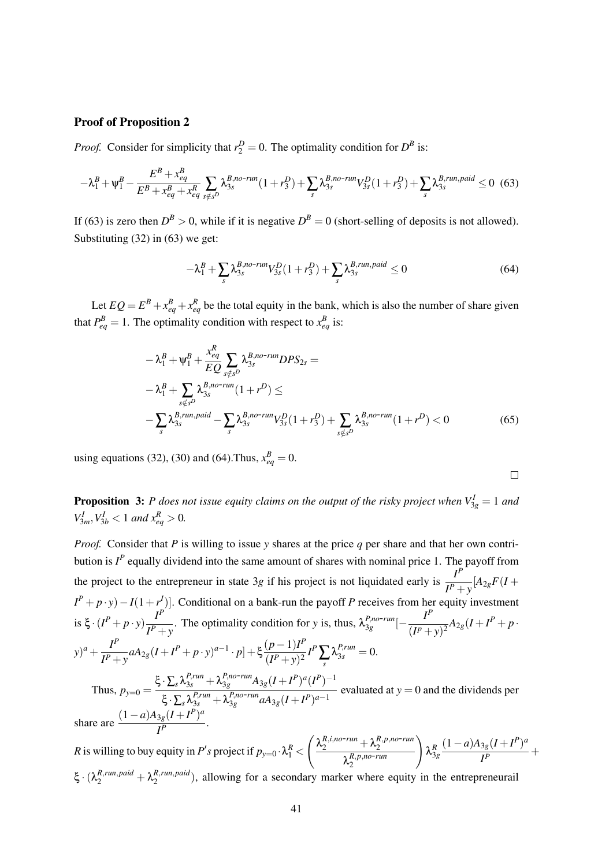### Proof of Proposition 2

*Proof.* Consider for simplicity that  $r_2^D = 0$ . The optimality condition for  $D^B$  is:

$$
-\lambda_1^B + \Psi_1^B - \frac{E^B + x_{eq}^B}{E^B + x_{eq}^B + x_{eq}^B} \sum_{s \notin s^D} \lambda_{3s}^{B, no-run} (1 + r_3^D) + \sum_s \lambda_{3s}^{B, no-run} V_{3s}^D (1 + r_3^D) + \sum_s \lambda_{3s}^{B, run, paid} \le 0 \tag{63}
$$

If (63) is zero then  $D^B > 0$ , while if it is negative  $D^B = 0$  (short-selling of deposits is not allowed). Substituting (32) in (63) we get:

$$
-\lambda_1^B + \sum_s \lambda_{3s}^{B,no-run} V_{3s}^D (1 + r_3^D) + \sum_s \lambda_{3s}^{B,run, paid} \le 0
$$
\n
$$
(64)
$$

Let  $EQ = E^B + x_{eq}^B + x_{eq}^B$  be the total equity in the bank, which is also the number of share given that  $P_{eq}^{B} = 1$ . The optimality condition with respect to  $x_{eq}^{B}$  is:

$$
-\lambda_1^B + \Psi_1^B + \frac{x_{eq}^R}{EQ} \sum_{s \notin s^D} \lambda_{3s}^{B,no-run} DPS_{2s} =
$$
  
\n
$$
-\lambda_1^B + \sum_{s \notin s^D} \lambda_{3s}^{B,no-run} (1+r^D) \le
$$
  
\n
$$
-\sum_{s} \lambda_{3s}^{B,run, paid} - \sum_{s} \lambda_{3s}^{B,no-run} V_{3s}^D (1+r^D) + \sum_{s \notin s^D} \lambda_{3s}^{B,no-run} (1+r^D) < 0
$$
 (65)

using equations (32), (30) and (64). Thus,  $x_{eq}^{B} = 0$ .

 $\Box$ 

**Proposition 3:** *P* does not issue equity claims on the output of the risky project when  $V_{3g}^I = 1$  and  $V_{3m}^I, V_{3b}^I < 1$  *and*  $x_{eq}^R > 0$ *.* 

*Proof.* Consider that *P* is willing to issue *y* shares at the price *q* per share and that her own contribution is  $I^P$  equally dividend into the same amount of shares with nominal price 1. The payoff from the project to the entrepreneur in state 3*g* if his project is not liquidated early is  $\frac{I^P}{I^P}$  $\frac{1}{I^P + y}$ [*A*<sub>2*g*</sub>*F*(*I* +  $I^P + p \cdot y - I(1+r^I)$ ]. Conditional on a bank-run the payoff *P* receives from her equity investment is  $\xi \cdot (I^P + p \cdot y) \frac{I^P}{I^P}$  $I^P$  *I*<sup>P</sup> + *y*. The optimality condition for *y* is, thus,  $\lambda_{3g}^{P,no-run}[-\frac{I^P}{(I^P+P)}$  $\frac{I}{(I^p + y)^2} A_{2g}(I + I^p + p$  $(y)^{a} + \frac{I^{P}}{I^{P}}$  $I^P$  *I*<sup>*P*</sup> *P y aA*<sub>2*g*</sub></sub>(*I* + *I*<sup>*P*</sup> + *p* · *y*)<sup>*a*−1</sup> · *p*] + ξ  $\frac{(p-1)I^P}{(I^P + y)^2}$  $\frac{(p-1)T}{(I^P+y)^2}I^P\sum_s\lambda_{3s}^{P,run}=0.$ Thus,  $p_{y=0} =$  $\xi \cdot \sum_{s} \lambda_{3s}^{P,run} + \lambda_{3g}^{P,no-run} A_{3g} (I + I^P)^a (I^P)^{-1}$  $\frac{Z_s}{\xi} \cdot \sum_s \lambda_{3s}^{P,run} + \lambda_{3g}^{P,no-run} aA_{3g}(I+I^P)^{a-1}$  evaluated at  $y = 0$  and the dividends per share are  $\frac{(1-a)A_{3g}(I+I^P)^a}{I^P}$  $\frac{Jg(1+I)}{I^P}$ .

*R* is willing to buy equity in  $P's$  project if  $p_{y=0} \cdot \lambda_1^R <$  $\left(\frac{\lambda_2^{R,i,no-run}}{\lambda_2^{R,p,no-run}}\right)$  $\lambda_2^{R,p,no-run}$ 2  $\setminus$  $\lambda_{3g}^R$  $(1-a)A_{3g}(I+I^P)^a$  $\frac{I^P}{I^P}$  +  $\xi \cdot (\lambda_2^{R, run, paid} + \lambda_2^{R, run, paid})$  $2^{R, run, p and}$ ), allowing for a secondary marker where equity in the entrepreneurail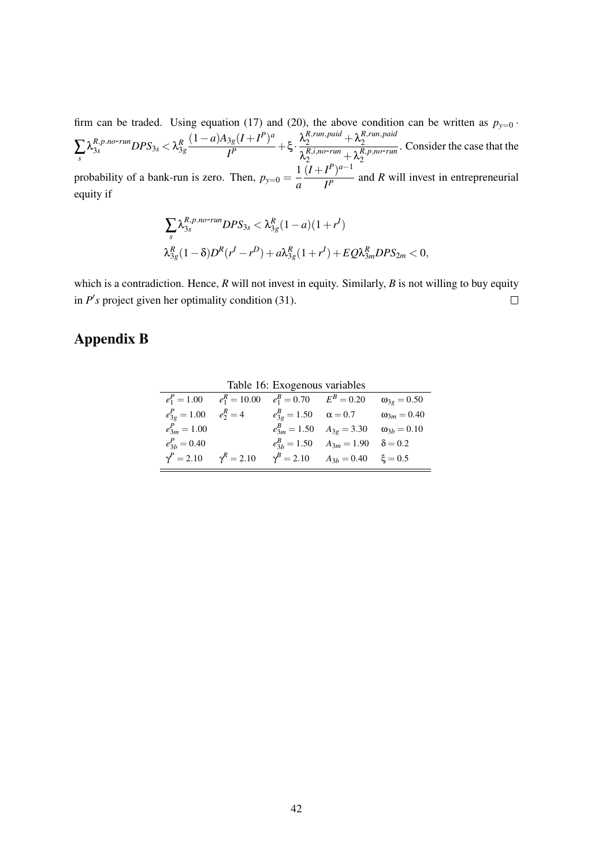firm can be traded. Using equation (17) and (20), the above condition can be written as  $p_{y=0}$ .  $\sum_{s} \lambda_{3s}^{R,p.no-run} DPS_{3s} < \lambda_{3g}^{R}$  $(1-a)A_{3g}(I+I^P)^a$  $\frac{\lambda_S (I + I^P)^a}{I^P} + \xi \cdot \frac{\lambda_2^{R, run, paid} + \lambda_2^{R, run, paid}}{\lambda_2^{R, ion - run} + \lambda_2^{R, pon, norm}}$ 2  $\lambda_2^{R,i,no-run} + \lambda_2^{R,p,no-run}$ . Consider the case that the  $(I+I^{P})^{a-1}$ 

probability of a bank-run is zero. Then,  $p_{y=0} = \frac{1}{a}$ *a*  $\frac{I}{I^P}$  and *R* will invest in entrepreneurial equity if

$$
\sum_{s} \lambda_{3s}^{R,p.no-run} DPS_{3s} < \lambda_{3g}^{R} (1-a)(1+r^{I})
$$
  

$$
\lambda_{3g}^{R} (1-\delta) D^{R}(r^{I}-r^{D}) + a \lambda_{3g}^{R} (1+r^{I}) + EQ \lambda_{3m}^{R} DPS_{2m} < 0,
$$

which is a contradiction. Hence, *R* will not invest in equity. Similarly, *B* is not willing to buy equity in  $P'$ s project given her optimality condition (31).  $\Box$ 

# Appendix B

|                   |                                                            | Table 16: Exogenous variables |                                                  |                      |
|-------------------|------------------------------------------------------------|-------------------------------|--------------------------------------------------|----------------------|
|                   | $e_1^P = 1.00$ $e_1^R = 10.00$ $e_1^B = 0.70$ $E^B = 0.20$ |                               |                                                  | $\omega_{3g} = 0.50$ |
| $e_{3g}^P = 1.00$ | $e_2^R = 4$ $e_{3g}^B = 1.50$ $\alpha = 0.7$               |                               |                                                  | $\omega_{3m} = 0.40$ |
| $e_{3m}^P = 1.00$ |                                                            |                               | $e_{3m}^B = 1.50$ $A_{3g} = 3.30$                | $\omega_{3b} = 0.10$ |
| $e_{3h}^P = 0.40$ |                                                            |                               | $e_{3h}^B = 1.50$ $A_{3m} = 1.90$ $\delta = 0.2$ |                      |
| $\gamma^P = 2.10$ | $\gamma^R = 2.10$                                          |                               | $\gamma^B = 2.10$ $A_{3b} = 0.40$ $\xi = 0.5$    |                      |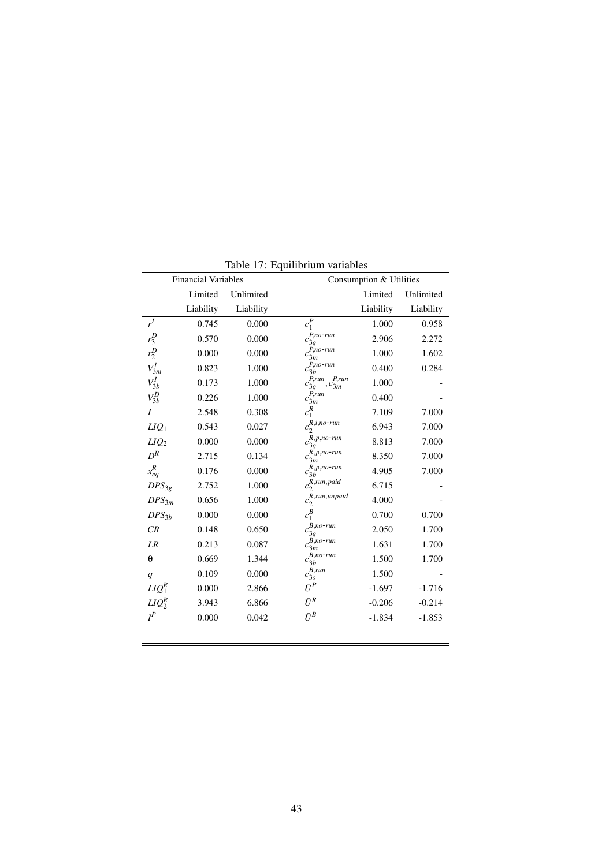|                  |                            |           | Table 17: Equilibrium variables                |           |           |
|------------------|----------------------------|-----------|------------------------------------------------|-----------|-----------|
|                  | <b>Financial Variables</b> |           | Consumption & Utilities                        |           |           |
|                  | Limited                    | Unlimited |                                                | Limited   | Unlimited |
|                  | Liability                  | Liability |                                                | Liability | Liability |
| r <sup>I</sup>   | 0.745                      | 0.000     | $c_1^P$                                        | 1.000     | 0.958     |
| $r_3^D$          | 0.570                      | 0.000     | $P, no-run$<br>$c_{3g}^{\phantom{\dagger}}$    | 2.906     | 2.272     |
| $r_2^D$          | 0.000                      | 0.000     | P,no-run<br>$c_{3m}$                           | 1.000     | 1.602     |
| $V_{3m}^I$       | 0.823                      | 1.000     | $c_{3b}^{P,no-run}$                            | 0.400     | 0.284     |
| $V_{3b}^I$       | 0.173                      | 1.000     | $P, run \quad P, run$<br>$,c_{3m}$<br>$c_{3g}$ | 1.000     |           |
| $V_{3b}^D$       | 0.226                      | 1.000     | $c_{3m}^{\nu,run}$                             | 0.400     |           |
| $\overline{I}$   | 2.548                      | 0.308     | $c_1^R$                                        | 7.109     | 7.000     |
| $LIQ_1$          | 0.543                      | 0.027     | $R, i, no-run$<br>$c_2$                        | 6.943     | 7.000     |
| LIQ <sub>2</sub> | 0.000                      | 0.000     | $R, p, no-run$<br>$c_{3g}$                     | 8.813     | 7.000     |
| $D^R$            | 2.715                      | 0.134     | $R, p, no-run$<br>$c_{3m}$                     | 8.350     | 7.000     |
| $x_{eq}^R$       | 0.176                      | 0.000     | $R, p, no-run$<br>$c_{3b}$                     | 4.905     | 7.000     |
| $DPS_{3g}$       | 2.752                      | 1.000     | $R$ , run, paid<br>$c_2$                       | 6.715     |           |
| $DPS_{3m}$       | 0.656                      | 1.000     | $R$ ,run,un paid<br>$c_2$                      | 4.000     |           |
| $DPS_{3b}$       | 0.000                      | 0.000     | $c_1^B$                                        | 0.700     | 0.700     |
| CR               | 0.148                      | 0.650     | $B, no-run$<br>$c_{3g}^{\phantom{\dagger}}$    | 2.050     | 1.700     |
| LR               | 0.213                      | 0.087     | $c_{3m}^{\overline{B},no-run}$                 | 1.631     | 1.700     |
| $\theta$         | 0.669                      | 1.344     | $c_{3b}^{B,no-run}$                            | 1.500     | 1.700     |
| q                | 0.109                      | 0.000     | $c_{3s}^{B,run}$                               | 1.500     |           |
| $LIQ_1^R$        | 0.000                      | 2.866     | $\bar{U}^P$                                    | $-1.697$  | $-1.716$  |
| $LIQ_2^R$        | 3.943                      | 6.866     | $\bar{U}^R$                                    | $-0.206$  | $-0.214$  |
| $I^P$            | 0.000                      | 0.042     | $\bar{U}^B$                                    | $-1.834$  | $-1.853$  |

Table 17: Equilibrium variables

 $\equiv$ 

 $\overline{\phantom{0}}$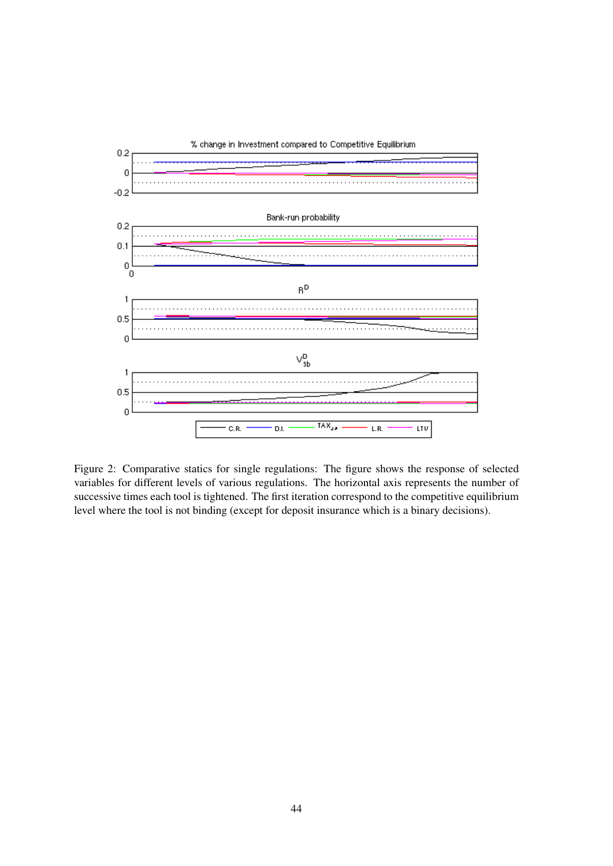

Figure 2: Comparative statics for single regulations: The figure shows the response of selected variables for different levels of various regulations. The horizontal axis represents the number of successive times each tool is tightened. The first iteration correspond to the competitive equilibrium level where the tool is not binding (except for deposit insurance which is a binary decisions).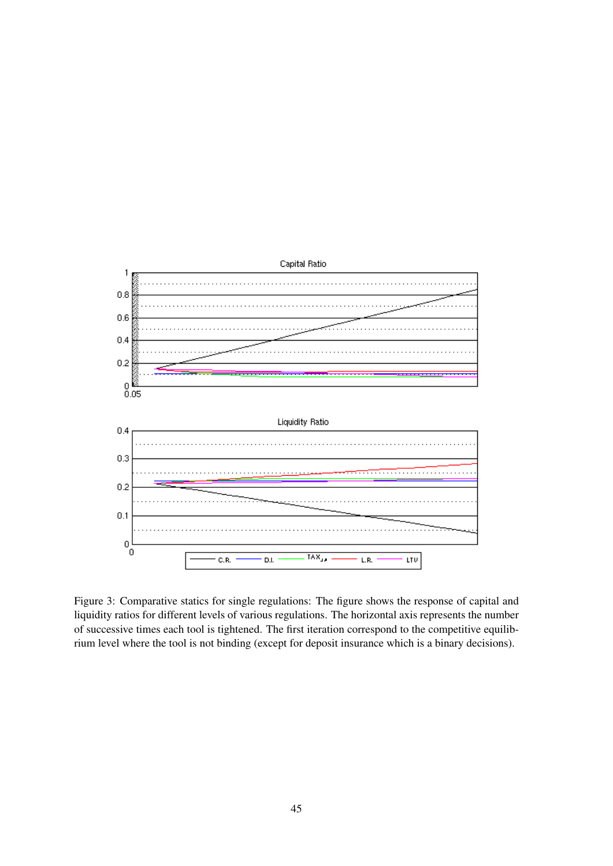

Figure 3: Comparative statics for single regulations: The figure shows the response of capital and liquidity ratios for different levels of various regulations. The horizontal axis represents the number of successive times each tool is tightened. The first iteration correspond to the competitive equilibrium level where the tool is not binding (except for deposit insurance which is a binary decisions).